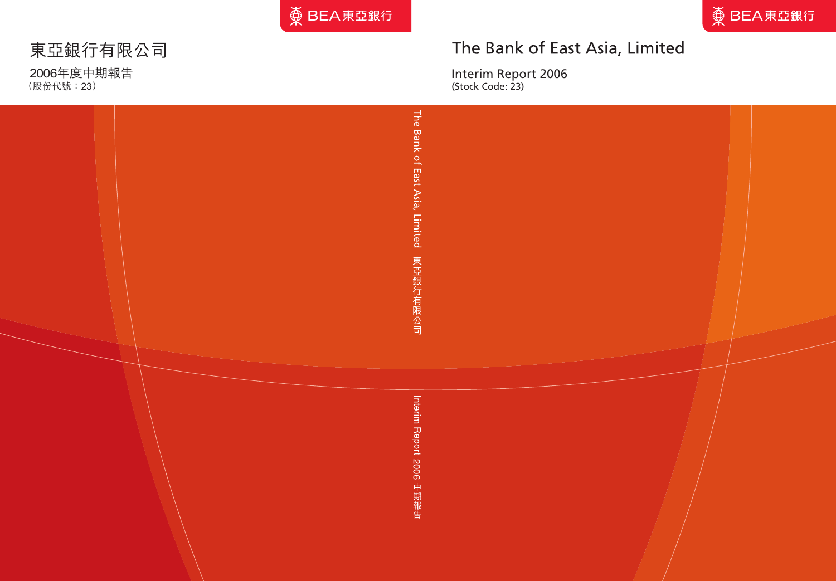

# The Bank of East Asia, Limited

Interim Report 2006 (Stock Code: 23)

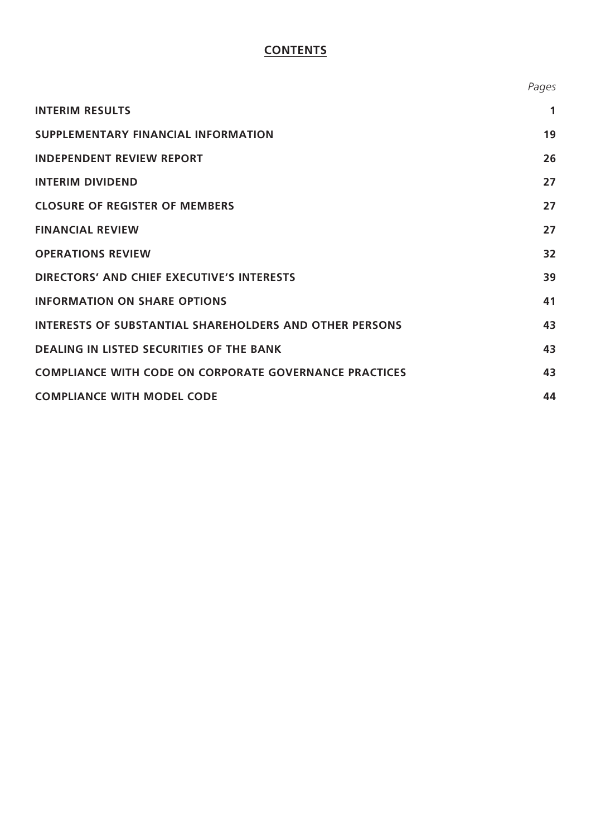# **CONTENTS**

|                                                                | Pages |
|----------------------------------------------------------------|-------|
| <b>INTERIM RESULTS</b>                                         | 1     |
| <b>SUPPLEMENTARY FINANCIAL INFORMATION</b>                     | 19    |
| <b>INDEPENDENT REVIEW REPORT</b>                               | 26    |
| <b>INTERIM DIVIDEND</b>                                        | 27    |
| <b>CLOSURE OF REGISTER OF MEMBERS</b>                          | 27    |
| <b>FINANCIAL REVIEW</b>                                        | 27    |
| <b>OPERATIONS REVIEW</b>                                       | 32    |
| <b>DIRECTORS' AND CHIEF EXECUTIVE'S INTERESTS</b>              | 39    |
| <b>INFORMATION ON SHARE OPTIONS</b>                            | 41    |
| <b>INTERESTS OF SUBSTANTIAL SHAREHOLDERS AND OTHER PERSONS</b> | 43    |
| <b>DEALING IN LISTED SECURITIES OF THE BANK</b>                | 43    |
| <b>COMPLIANCE WITH CODE ON CORPORATE GOVERNANCE PRACTICES</b>  | 43    |
| <b>COMPLIANCE WITH MODEL CODE</b>                              | 44    |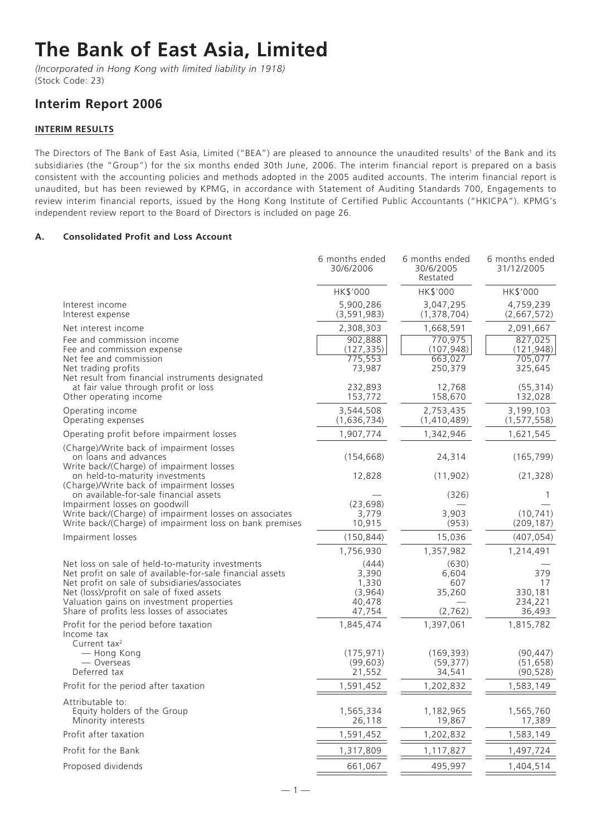# **The Bank of East Asia, Limited**

*(Incorporated in Hong Kong with limited liability in 1918)* (Stock Code: 23)

# **Interim Report 2006**

# **INTERIM RESULTS**

The Directors of The Bank of East Asia, Limited ("BEA") are pleased to announce the unaudited results<sup>1</sup> of the Bank and its subsidiaries (the "Group") for the six months ended 30th June, 2006. The interim financial report is prepared on a basis consistent with the accounting policies and methods adopted in the 2005 audited accounts. The interim financial report is unaudited, but has been reviewed by KPMG, in accordance with Statement of Auditing Standards 700, Engagements to review interim financial reports, issued by the Hong Kong Institute of Certified Public Accountants ("HKICPA"). KPMG's independent review report to the Board of Directors is included on page 26.

# **A. Consolidated Profit and Loss Account**

| HK\$'000<br>HK\$'000<br>HK\$'000<br>5,900,286<br>Interest income<br>3,047,295<br>4,759,239<br>Interest expense<br>(3,591,983)<br>(1,378,704)<br>(2,667,572)<br>Net interest income<br>2,308,303<br>1,668,591<br>2,091,667<br>902,888<br>770,975<br>827,025<br>Fee and commission income<br>Fee and commission expense<br>(127, 335)<br>(107, 948)<br>(121, 948)<br>775,553<br>705,077<br>Net fee and commission<br>663,027<br>73,987<br>Net trading profits<br>250,379<br>325,645<br>Net result from financial instruments designated<br>at fair value through profit or loss<br>232,893<br>12,768<br>(55, 314)<br>Other operating income<br>153,772<br>158,670<br>132,028<br>Operating income<br>3,544,508<br>2,753,435<br>3,199,103<br>Operating expenses<br>(1, 577, 558)<br>(1,636,734)<br>(1,410,489)<br>Operating profit before impairment losses<br>1,907,774<br>1,342,946<br>1,621,545<br>(Charge)/Write back of impairment losses<br>on loans and advances<br>(154, 668)<br>24,314<br>(165, 799)<br>Write back/(Charge) of impairment losses<br>on held-to-maturity investments<br>12,828<br>(11, 902)<br>(21, 328)<br>(Charge)/Write back of impairment losses<br>on available-for-sale financial assets<br>(326)<br>1<br>(23, 698)<br>Impairment losses on goodwill<br>3,903<br>(10, 741)<br>Write back/(Charge) of impairment losses on associates<br>3,779<br>10,915<br>Write back/(Charge) of impairment loss on bank premises<br>(953)<br>(209, 187)<br>(150, 844)<br>15,036<br>(407, 054)<br>Impairment losses<br>1,756,930<br>1,357,982<br>1,214,491<br>Net loss on sale of held-to-maturity investments<br>(444)<br>(630)<br>379<br>Net profit on sale of available-for-sale financial assets<br>3,390<br>6,604<br>Net profit on sale of subsidiaries/associates<br>1,330<br>607<br>17<br>Net (loss)/profit on sale of fixed assets<br>(3,964)<br>35,260<br>330,181<br>234,221<br>Valuation gains on investment properties<br>40,478<br>Share of profits less losses of associates<br>47,754<br>(2, 762)<br>36,493<br>1,397,061<br>Profit for the period before taxation<br>1,845,474<br>1,815,782<br>Income tax<br>Current tax $2$<br>- Hong Kong<br>(175, 971)<br>(169, 393)<br>(90, 447)<br>(51, 658)<br>— Overseas<br>(99, 603)<br>(59, 377)<br>Deferred tax<br>21,552<br>34,541<br>(90, 528)<br>1,583,149<br>Profit for the period after taxation<br>1,591,452<br>1,202,832<br>Attributable to:<br>Equity holders of the Group<br>1,565,334<br>1,182,965<br>1,565,760<br>17,389<br>Minority interests<br>26,118<br>19,867<br>Profit after taxation<br>1,591,452<br>1,202,832<br>1,583,149<br>Profit for the Bank<br>1,497,724<br>1,317,809<br>1,117,827<br>Proposed dividends<br>661,067<br>495,997<br>1,404,514 | 6 months ended<br>30/6/2006 | 6 months ended<br>30/6/2005<br>Restated | 6 months ended<br>31/12/2005 |
|-----------------------------------------------------------------------------------------------------------------------------------------------------------------------------------------------------------------------------------------------------------------------------------------------------------------------------------------------------------------------------------------------------------------------------------------------------------------------------------------------------------------------------------------------------------------------------------------------------------------------------------------------------------------------------------------------------------------------------------------------------------------------------------------------------------------------------------------------------------------------------------------------------------------------------------------------------------------------------------------------------------------------------------------------------------------------------------------------------------------------------------------------------------------------------------------------------------------------------------------------------------------------------------------------------------------------------------------------------------------------------------------------------------------------------------------------------------------------------------------------------------------------------------------------------------------------------------------------------------------------------------------------------------------------------------------------------------------------------------------------------------------------------------------------------------------------------------------------------------------------------------------------------------------------------------------------------------------------------------------------------------------------------------------------------------------------------------------------------------------------------------------------------------------------------------------------------------------------------------------------------------------------------------------------------------------------------------------------------------------------------------------------------------------------------------------------------------------------------------------------------------------------------------------------------------------------------------------------------------------------------------------------------------------------------------------------------------------------------------------|-----------------------------|-----------------------------------------|------------------------------|
|                                                                                                                                                                                                                                                                                                                                                                                                                                                                                                                                                                                                                                                                                                                                                                                                                                                                                                                                                                                                                                                                                                                                                                                                                                                                                                                                                                                                                                                                                                                                                                                                                                                                                                                                                                                                                                                                                                                                                                                                                                                                                                                                                                                                                                                                                                                                                                                                                                                                                                                                                                                                                                                                                                                                         |                             |                                         |                              |
|                                                                                                                                                                                                                                                                                                                                                                                                                                                                                                                                                                                                                                                                                                                                                                                                                                                                                                                                                                                                                                                                                                                                                                                                                                                                                                                                                                                                                                                                                                                                                                                                                                                                                                                                                                                                                                                                                                                                                                                                                                                                                                                                                                                                                                                                                                                                                                                                                                                                                                                                                                                                                                                                                                                                         |                             |                                         |                              |
|                                                                                                                                                                                                                                                                                                                                                                                                                                                                                                                                                                                                                                                                                                                                                                                                                                                                                                                                                                                                                                                                                                                                                                                                                                                                                                                                                                                                                                                                                                                                                                                                                                                                                                                                                                                                                                                                                                                                                                                                                                                                                                                                                                                                                                                                                                                                                                                                                                                                                                                                                                                                                                                                                                                                         |                             |                                         |                              |
|                                                                                                                                                                                                                                                                                                                                                                                                                                                                                                                                                                                                                                                                                                                                                                                                                                                                                                                                                                                                                                                                                                                                                                                                                                                                                                                                                                                                                                                                                                                                                                                                                                                                                                                                                                                                                                                                                                                                                                                                                                                                                                                                                                                                                                                                                                                                                                                                                                                                                                                                                                                                                                                                                                                                         |                             |                                         |                              |
|                                                                                                                                                                                                                                                                                                                                                                                                                                                                                                                                                                                                                                                                                                                                                                                                                                                                                                                                                                                                                                                                                                                                                                                                                                                                                                                                                                                                                                                                                                                                                                                                                                                                                                                                                                                                                                                                                                                                                                                                                                                                                                                                                                                                                                                                                                                                                                                                                                                                                                                                                                                                                                                                                                                                         |                             |                                         |                              |
|                                                                                                                                                                                                                                                                                                                                                                                                                                                                                                                                                                                                                                                                                                                                                                                                                                                                                                                                                                                                                                                                                                                                                                                                                                                                                                                                                                                                                                                                                                                                                                                                                                                                                                                                                                                                                                                                                                                                                                                                                                                                                                                                                                                                                                                                                                                                                                                                                                                                                                                                                                                                                                                                                                                                         |                             |                                         |                              |
|                                                                                                                                                                                                                                                                                                                                                                                                                                                                                                                                                                                                                                                                                                                                                                                                                                                                                                                                                                                                                                                                                                                                                                                                                                                                                                                                                                                                                                                                                                                                                                                                                                                                                                                                                                                                                                                                                                                                                                                                                                                                                                                                                                                                                                                                                                                                                                                                                                                                                                                                                                                                                                                                                                                                         |                             |                                         |                              |
|                                                                                                                                                                                                                                                                                                                                                                                                                                                                                                                                                                                                                                                                                                                                                                                                                                                                                                                                                                                                                                                                                                                                                                                                                                                                                                                                                                                                                                                                                                                                                                                                                                                                                                                                                                                                                                                                                                                                                                                                                                                                                                                                                                                                                                                                                                                                                                                                                                                                                                                                                                                                                                                                                                                                         |                             |                                         |                              |
|                                                                                                                                                                                                                                                                                                                                                                                                                                                                                                                                                                                                                                                                                                                                                                                                                                                                                                                                                                                                                                                                                                                                                                                                                                                                                                                                                                                                                                                                                                                                                                                                                                                                                                                                                                                                                                                                                                                                                                                                                                                                                                                                                                                                                                                                                                                                                                                                                                                                                                                                                                                                                                                                                                                                         |                             |                                         |                              |
|                                                                                                                                                                                                                                                                                                                                                                                                                                                                                                                                                                                                                                                                                                                                                                                                                                                                                                                                                                                                                                                                                                                                                                                                                                                                                                                                                                                                                                                                                                                                                                                                                                                                                                                                                                                                                                                                                                                                                                                                                                                                                                                                                                                                                                                                                                                                                                                                                                                                                                                                                                                                                                                                                                                                         |                             |                                         |                              |
|                                                                                                                                                                                                                                                                                                                                                                                                                                                                                                                                                                                                                                                                                                                                                                                                                                                                                                                                                                                                                                                                                                                                                                                                                                                                                                                                                                                                                                                                                                                                                                                                                                                                                                                                                                                                                                                                                                                                                                                                                                                                                                                                                                                                                                                                                                                                                                                                                                                                                                                                                                                                                                                                                                                                         |                             |                                         |                              |
|                                                                                                                                                                                                                                                                                                                                                                                                                                                                                                                                                                                                                                                                                                                                                                                                                                                                                                                                                                                                                                                                                                                                                                                                                                                                                                                                                                                                                                                                                                                                                                                                                                                                                                                                                                                                                                                                                                                                                                                                                                                                                                                                                                                                                                                                                                                                                                                                                                                                                                                                                                                                                                                                                                                                         |                             |                                         |                              |
|                                                                                                                                                                                                                                                                                                                                                                                                                                                                                                                                                                                                                                                                                                                                                                                                                                                                                                                                                                                                                                                                                                                                                                                                                                                                                                                                                                                                                                                                                                                                                                                                                                                                                                                                                                                                                                                                                                                                                                                                                                                                                                                                                                                                                                                                                                                                                                                                                                                                                                                                                                                                                                                                                                                                         |                             |                                         |                              |
|                                                                                                                                                                                                                                                                                                                                                                                                                                                                                                                                                                                                                                                                                                                                                                                                                                                                                                                                                                                                                                                                                                                                                                                                                                                                                                                                                                                                                                                                                                                                                                                                                                                                                                                                                                                                                                                                                                                                                                                                                                                                                                                                                                                                                                                                                                                                                                                                                                                                                                                                                                                                                                                                                                                                         |                             |                                         |                              |
|                                                                                                                                                                                                                                                                                                                                                                                                                                                                                                                                                                                                                                                                                                                                                                                                                                                                                                                                                                                                                                                                                                                                                                                                                                                                                                                                                                                                                                                                                                                                                                                                                                                                                                                                                                                                                                                                                                                                                                                                                                                                                                                                                                                                                                                                                                                                                                                                                                                                                                                                                                                                                                                                                                                                         |                             |                                         |                              |
|                                                                                                                                                                                                                                                                                                                                                                                                                                                                                                                                                                                                                                                                                                                                                                                                                                                                                                                                                                                                                                                                                                                                                                                                                                                                                                                                                                                                                                                                                                                                                                                                                                                                                                                                                                                                                                                                                                                                                                                                                                                                                                                                                                                                                                                                                                                                                                                                                                                                                                                                                                                                                                                                                                                                         |                             |                                         |                              |
|                                                                                                                                                                                                                                                                                                                                                                                                                                                                                                                                                                                                                                                                                                                                                                                                                                                                                                                                                                                                                                                                                                                                                                                                                                                                                                                                                                                                                                                                                                                                                                                                                                                                                                                                                                                                                                                                                                                                                                                                                                                                                                                                                                                                                                                                                                                                                                                                                                                                                                                                                                                                                                                                                                                                         |                             |                                         |                              |
|                                                                                                                                                                                                                                                                                                                                                                                                                                                                                                                                                                                                                                                                                                                                                                                                                                                                                                                                                                                                                                                                                                                                                                                                                                                                                                                                                                                                                                                                                                                                                                                                                                                                                                                                                                                                                                                                                                                                                                                                                                                                                                                                                                                                                                                                                                                                                                                                                                                                                                                                                                                                                                                                                                                                         |                             |                                         |                              |
|                                                                                                                                                                                                                                                                                                                                                                                                                                                                                                                                                                                                                                                                                                                                                                                                                                                                                                                                                                                                                                                                                                                                                                                                                                                                                                                                                                                                                                                                                                                                                                                                                                                                                                                                                                                                                                                                                                                                                                                                                                                                                                                                                                                                                                                                                                                                                                                                                                                                                                                                                                                                                                                                                                                                         |                             |                                         |                              |
|                                                                                                                                                                                                                                                                                                                                                                                                                                                                                                                                                                                                                                                                                                                                                                                                                                                                                                                                                                                                                                                                                                                                                                                                                                                                                                                                                                                                                                                                                                                                                                                                                                                                                                                                                                                                                                                                                                                                                                                                                                                                                                                                                                                                                                                                                                                                                                                                                                                                                                                                                                                                                                                                                                                                         |                             |                                         |                              |
|                                                                                                                                                                                                                                                                                                                                                                                                                                                                                                                                                                                                                                                                                                                                                                                                                                                                                                                                                                                                                                                                                                                                                                                                                                                                                                                                                                                                                                                                                                                                                                                                                                                                                                                                                                                                                                                                                                                                                                                                                                                                                                                                                                                                                                                                                                                                                                                                                                                                                                                                                                                                                                                                                                                                         |                             |                                         |                              |
|                                                                                                                                                                                                                                                                                                                                                                                                                                                                                                                                                                                                                                                                                                                                                                                                                                                                                                                                                                                                                                                                                                                                                                                                                                                                                                                                                                                                                                                                                                                                                                                                                                                                                                                                                                                                                                                                                                                                                                                                                                                                                                                                                                                                                                                                                                                                                                                                                                                                                                                                                                                                                                                                                                                                         |                             |                                         |                              |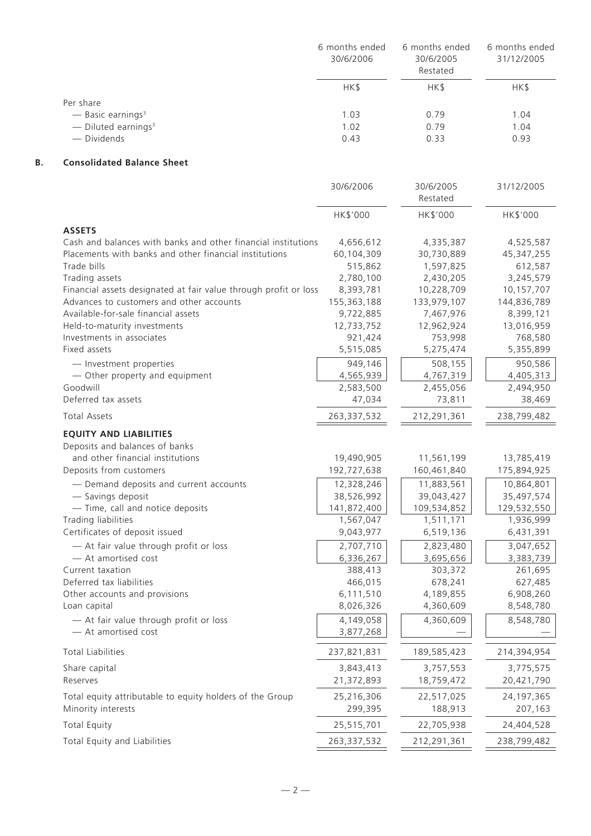|                                   | 6 months ended<br>30/6/2006 | 6 months ended<br>30/6/2005<br>Restated | 6 months ended<br>31/12/2005 |
|-----------------------------------|-----------------------------|-----------------------------------------|------------------------------|
|                                   | HK\$                        | HK\$                                    | HK\$                         |
| Per share                         |                             |                                         |                              |
| $-$ Basic earnings <sup>3</sup>   | 1.03                        | 0.79                                    | 1.04                         |
| $-$ Diluted earnings <sup>3</sup> | 1.02                        | 0.79                                    | 1.04                         |
| — Dividends                       | 0.43                        | 0.33                                    | 0.93                         |

# **B. Consolidated Balance Sheet**

|                                                                  | 30/6/2006     | 30/6/2005<br>Restated | 31/12/2005   |
|------------------------------------------------------------------|---------------|-----------------------|--------------|
|                                                                  | HK\$'000      | HK\$'000              | HK\$'000     |
| <b>ASSETS</b>                                                    |               |                       |              |
| Cash and balances with banks and other financial institutions    | 4,656,612     | 4,335,387             | 4,525,587    |
| Placements with banks and other financial institutions           | 60,104,309    | 30,730,889            | 45, 347, 255 |
| Trade bills                                                      | 515,862       | 1,597,825             | 612,587      |
| Trading assets                                                   | 2,780,100     | 2,430,205             | 3,245,579    |
| Financial assets designated at fair value through profit or loss | 8,393,781     | 10,228,709            | 10,157,707   |
| Advances to customers and other accounts                         | 155,363,188   | 133,979,107           | 144,836,789  |
| Available-for-sale financial assets                              | 9,722,885     | 7,467,976             | 8,399,121    |
| Held-to-maturity investments                                     | 12,733,752    | 12,962,924            | 13,016,959   |
| Investments in associates                                        | 921,424       | 753,998               | 768,580      |
| Fixed assets                                                     | 5,515,085     | 5,275,474             | 5,355,899    |
| - Investment properties                                          | 949,146       | 508,155               | 950,586      |
| - Other property and equipment                                   | 4,565,939     | 4,767,319             | 4,405,313    |
| Goodwill                                                         | 2,583,500     | 2,455,056             | 2,494,950    |
| Deferred tax assets                                              | 47,034        | 73,811                | 38,469       |
| <b>Total Assets</b>                                              | 263,337,532   | 212,291,361           | 238,799,482  |
| <b>EQUITY AND LIABILITIES</b>                                    |               |                       |              |
| Deposits and balances of banks                                   |               |                       |              |
| and other financial institutions                                 | 19,490,905    | 11,561,199            | 13,785,419   |
| Deposits from customers                                          | 192,727,638   | 160,461,840           | 175,894,925  |
| - Demand deposits and current accounts                           | 12,328,246    | 11,883,561            | 10,864,801   |
| - Savings deposit                                                | 38,526,992    | 39,043,427            | 35,497,574   |
| - Time, call and notice deposits                                 | 141,872,400   | 109,534,852           | 129,532,550  |
| Trading liabilities                                              | 1,567,047     | 1,511,171             | 1,936,999    |
| Certificates of deposit issued                                   | 9,043,977     | 6,519,136             | 6,431,391    |
| - At fair value through profit or loss                           | 2,707,710     | 2,823,480             | 3,047,652    |
| - At amortised cost                                              | 6,336,267     | 3,695,656             | 3,383,739    |
| Current taxation                                                 | 388,413       | 303,372               | 261,695      |
| Deferred tax liabilities                                         | 466,015       | 678,241               | 627,485      |
| Other accounts and provisions                                    | 6,111,510     | 4,189,855             | 6,908,260    |
| Loan capital                                                     | 8,026,326     | 4,360,609             | 8,548,780    |
| - At fair value through profit or loss                           | 4,149,058     | 4,360,609             | 8,548,780    |
| - At amortised cost                                              | 3,877,268     |                       |              |
| <b>Total Liabilities</b>                                         | 237,821,831   | 189,585,423           | 214,394,954  |
| Share capital                                                    | 3,843,413     | 3,757,553             | 3,775,575    |
| Reserves                                                         | 21,372,893    | 18,759,472            | 20,421,790   |
| Total equity attributable to equity holders of the Group         | 25,216,306    | 22,517,025            | 24, 197, 365 |
| Minority interests                                               | 299,395       | 188,913               | 207,163      |
| <b>Total Equity</b>                                              | 25,515,701    | 22,705,938            | 24,404,528   |
| Total Equity and Liabilities                                     | 263, 337, 532 | 212,291,361           | 238,799,482  |
|                                                                  |               |                       |              |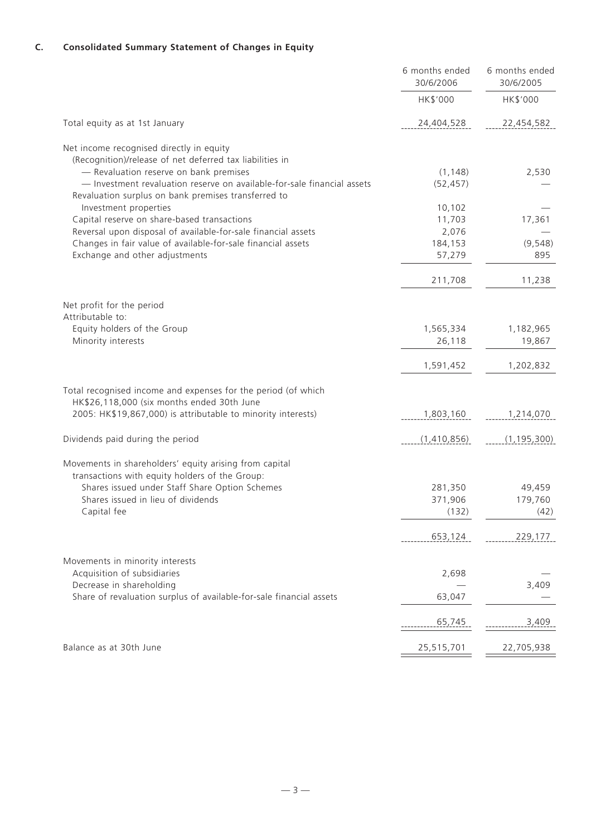# **C. Consolidated Summary Statement of Changes in Equity**

| HK\$'000<br>HK\$'000<br>Total equity as at 1st January<br>24,404,528<br>22,454,582                                                                            |
|---------------------------------------------------------------------------------------------------------------------------------------------------------------|
|                                                                                                                                                               |
|                                                                                                                                                               |
| Net income recognised directly in equity                                                                                                                      |
| (Recognition)/release of net deferred tax liabilities in<br>- Revaluation reserve on bank premises<br>2,530                                                   |
| (1, 148)<br>- Investment revaluation reserve on available-for-sale financial assets<br>(52, 457)                                                              |
| Revaluation surplus on bank premises transferred to                                                                                                           |
| Investment properties<br>10,102                                                                                                                               |
| Capital reserve on share-based transactions<br>17,361<br>11,703                                                                                               |
| Reversal upon disposal of available-for-sale financial assets<br>2,076<br>Changes in fair value of available-for-sale financial assets<br>184,153<br>(9, 548) |
| Exchange and other adjustments<br>57,279<br>895                                                                                                               |
|                                                                                                                                                               |
| 211,708<br>11,238                                                                                                                                             |
| Net profit for the period                                                                                                                                     |
| Attributable to:                                                                                                                                              |
| Equity holders of the Group<br>1,182,965<br>1,565,334                                                                                                         |
| Minority interests<br>26,118<br>19,867                                                                                                                        |
| 1,591,452<br>1,202,832                                                                                                                                        |
| Total recognised income and expenses for the period (of which<br>HK\$26,118,000 (six months ended 30th June                                                   |
| 2005: HK\$19,867,000) is attributable to minority interests)<br>1,803,160<br>1,214,070                                                                        |
| Dividends paid during the period<br>(1,410,856)<br>(1, 195, 300)                                                                                              |
|                                                                                                                                                               |
| Movements in shareholders' equity arising from capital<br>transactions with equity holders of the Group:                                                      |
| Shares issued under Staff Share Option Schemes<br>281,350<br>49,459                                                                                           |
| Shares issued in lieu of dividends<br>371,906<br>179,760                                                                                                      |
| Capital fee<br>(132)<br>(42)                                                                                                                                  |
| 653,124<br>229,177                                                                                                                                            |
| Movements in minority interests                                                                                                                               |
| Acquisition of subsidiaries<br>2,698                                                                                                                          |
| Decrease in shareholding<br>3,409                                                                                                                             |
| Share of revaluation surplus of available-for-sale financial assets<br>63,047                                                                                 |
| 3,409<br>65,745                                                                                                                                               |
| Balance as at 30th June<br>25,515,701<br>22,705,938                                                                                                           |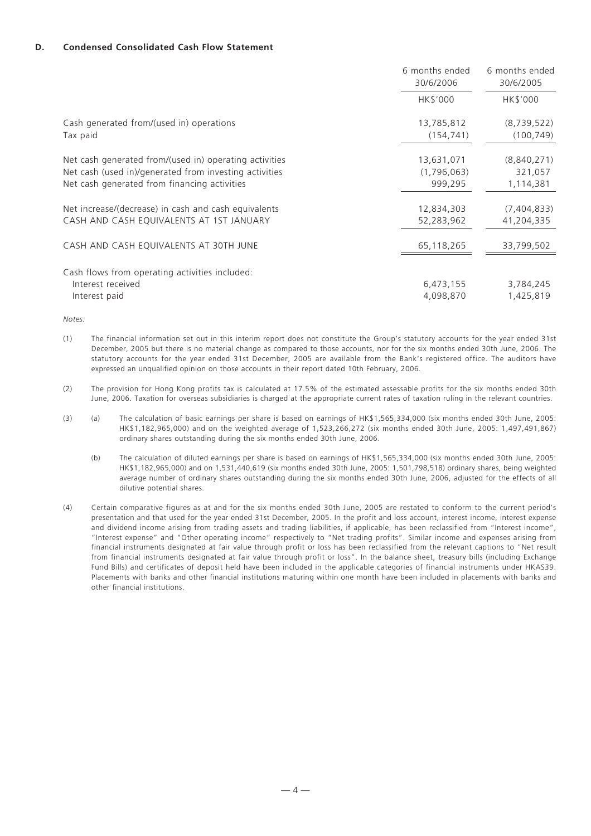#### **D. Condensed Consolidated Cash Flow Statement**

|                                                                                                                                                                  | 6 months ended<br>30/6/2006          | 6 months ended<br>30/6/2005         |
|------------------------------------------------------------------------------------------------------------------------------------------------------------------|--------------------------------------|-------------------------------------|
|                                                                                                                                                                  | HK\$'000                             | HK\$'000                            |
| Cash generated from/(used in) operations<br>Tax paid                                                                                                             | 13,785,812<br>(154, 741)             | (8,739,522)<br>(100, 749)           |
| Net cash generated from/(used in) operating activities<br>Net cash (used in)/generated from investing activities<br>Net cash generated from financing activities | 13,631,071<br>(1,796,063)<br>999,295 | (8,840,271)<br>321,057<br>1,114,381 |
| Net increase/(decrease) in cash and cash equivalents<br>CASH AND CASH EQUIVALENTS AT 1ST JANUARY                                                                 | 12,834,303<br>52,283,962             | (7,404,833)<br>41,204,335           |
| CASH AND CASH EQUIVALENTS AT 30TH JUNE                                                                                                                           | 65,118,265                           | 33,799,502                          |
| Cash flows from operating activities included:<br>Interest received<br>Interest paid                                                                             | 6,473,155<br>4,098,870               | 3,784,245<br>1,425,819              |

*Notes:*

- (1) The financial information set out in this interim report does not constitute the Group's statutory accounts for the year ended 31st December, 2005 but there is no material change as compared to those accounts, nor for the six months ended 30th June, 2006. The statutory accounts for the year ended 31st December, 2005 are available from the Bank's registered office. The auditors have expressed an unqualified opinion on those accounts in their report dated 10th February, 2006.
- (2) The provision for Hong Kong profits tax is calculated at 17.5% of the estimated assessable profits for the six months ended 30th June, 2006. Taxation for overseas subsidiaries is charged at the appropriate current rates of taxation ruling in the relevant countries.
- (3) (a) The calculation of basic earnings per share is based on earnings of HK\$1,565,334,000 (six months ended 30th June, 2005: HK\$1,182,965,000) and on the weighted average of 1,523,266,272 (six months ended 30th June, 2005: 1,497,491,867) ordinary shares outstanding during the six months ended 30th June, 2006.
	- (b) The calculation of diluted earnings per share is based on earnings of HK\$1,565,334,000 (six months ended 30th June, 2005: HK\$1,182,965,000) and on 1,531,440,619 (six months ended 30th June, 2005: 1,501,798,518) ordinary shares, being weighted average number of ordinary shares outstanding during the six months ended 30th June, 2006, adjusted for the effects of all dilutive potential shares.
- (4) Certain comparative figures as at and for the six months ended 30th June, 2005 are restated to conform to the current period's presentation and that used for the year ended 31st December, 2005. In the profit and loss account, interest income, interest expense and dividend income arising from trading assets and trading liabilities, if applicable, has been reclassified from "Interest income", "Interest expense" and "Other operating income" respectively to "Net trading profits". Similar income and expenses arising from financial instruments designated at fair value through profit or loss has been reclassified from the relevant captions to "Net result from financial instruments designated at fair value through profit or loss". In the balance sheet, treasury bills (including Exchange Fund Bills) and certificates of deposit held have been included in the applicable categories of financial instruments under HKAS39. Placements with banks and other financial institutions maturing within one month have been included in placements with banks and other financial institutions.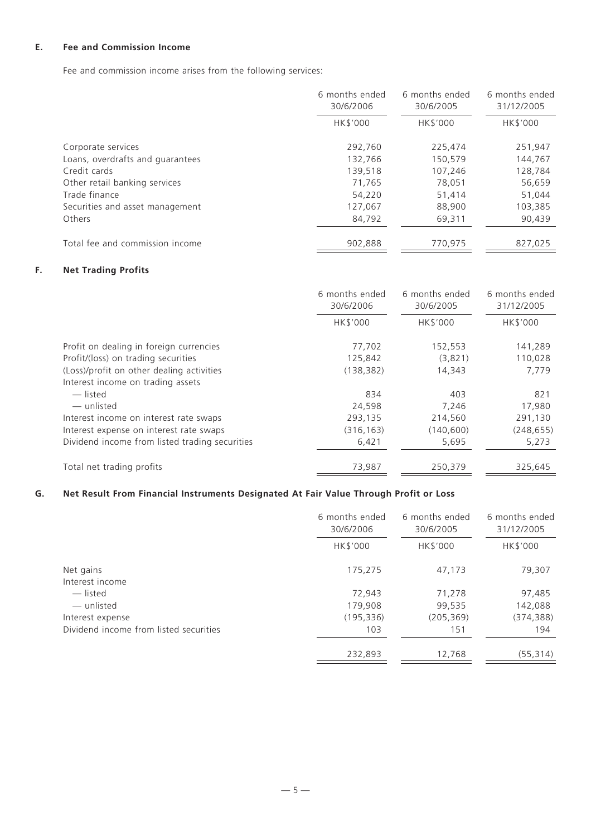# **E. Fee and Commission Income**

Fee and commission income arises from the following services:

|                                  | 6 months ended<br>30/6/2006 | 6 months ended<br>30/6/2005 | 6 months ended<br>31/12/2005 |
|----------------------------------|-----------------------------|-----------------------------|------------------------------|
|                                  | HK\$'000                    | HK\$'000                    | HK\$'000                     |
| Corporate services               | 292.760                     | 225,474                     | 251,947                      |
| Loans, overdrafts and guarantees | 132,766                     | 150,579                     | 144,767                      |
| Credit cards                     | 139.518                     | 107,246                     | 128,784                      |
| Other retail banking services    | 71,765                      | 78,051                      | 56,659                       |
| Trade finance                    | 54,220                      | 51,414                      | 51,044                       |
| Securities and asset management  | 127,067                     | 88,900                      | 103,385                      |
| Others                           | 84,792                      | 69,311                      | 90,439                       |
| Total fee and commission income  | 902.888                     | 770.975                     | 827,025                      |

# **F. Net Trading Profits**

|                                                | 6 months ended<br>30/6/2006 | 6 months ended<br>30/6/2005 | 6 months ended<br>31/12/2005 |
|------------------------------------------------|-----------------------------|-----------------------------|------------------------------|
|                                                | HK\$'000                    | <b>HK\$'000</b>             | HK\$'000                     |
| Profit on dealing in foreign currencies        | 77,702                      | 152,553                     | 141,289                      |
| Profit/(loss) on trading securities            | 125,842                     | (3,821)                     | 110,028                      |
| (Loss)/profit on other dealing activities      | (138, 382)                  | 14,343                      | 7,779                        |
| Interest income on trading assets              |                             |                             |                              |
| — listed                                       | 834                         | 403                         | 821                          |
| — unlisted                                     | 24,598                      | 7.246                       | 17,980                       |
| Interest income on interest rate swaps         | 293,135                     | 214,560                     | 291,130                      |
| Interest expense on interest rate swaps        | (316, 163)                  | (140, 600)                  | (248, 655)                   |
| Dividend income from listed trading securities | 6,421                       | 5,695                       | 5,273                        |
| Total net trading profits                      | 73,987                      | 250,379                     | 325,645                      |

# **G. Net Result From Financial Instruments Designated At Fair Value Through Profit or Loss**

|                                        | 6 months ended<br>30/6/2006 | 6 months ended<br>30/6/2005 | 6 months ended<br>31/12/2005 |
|----------------------------------------|-----------------------------|-----------------------------|------------------------------|
|                                        | HK\$'000                    | HK\$'000                    | HK\$'000                     |
| Net gains<br>Interest income           | 175,275                     | 47,173                      | 79,307                       |
| — listed                               | 72,943                      | 71,278                      | 97,485                       |
| — unlisted                             | 179,908                     | 99,535                      | 142,088                      |
| Interest expense                       | (195, 336)                  | (205, 369)                  | (374,388)                    |
| Dividend income from listed securities | 103                         | 151                         | 194                          |
|                                        | 232,893                     | 12,768                      | (55, 314)                    |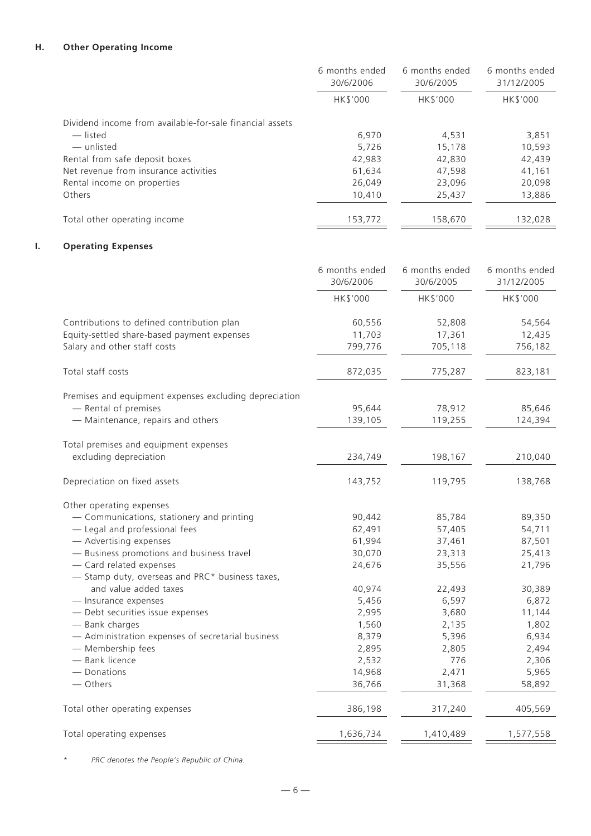# **H. Other Operating Income**

|                                                          | 6 months ended<br>30/6/2006 | 6 months ended<br>30/6/2005 | 6 months ended<br>31/12/2005 |
|----------------------------------------------------------|-----------------------------|-----------------------------|------------------------------|
|                                                          | HK\$'000                    | HK\$'000                    | HK\$'000                     |
| Dividend income from available-for-sale financial assets |                             |                             |                              |
| — listed                                                 | 6,970                       | 4,531                       | 3,851                        |
| — unlisted                                               | 5,726                       | 15,178                      | 10,593                       |
| Rental from safe deposit boxes                           | 42,983                      | 42.830                      | 42,439                       |
| Net revenue from insurance activities                    | 61,634                      | 47,598                      | 41,161                       |
| Rental income on properties                              | 26,049                      | 23.096                      | 20,098                       |
| Others                                                   | 10,410                      | 25,437                      | 13,886                       |
| Total other operating income                             | 153,772                     | 158,670                     | 132,028                      |

# **I. Operating Expenses**

|                                                        | 6 months ended<br>30/6/2006 | 6 months ended<br>30/6/2005 | 6 months ended<br>31/12/2005 |
|--------------------------------------------------------|-----------------------------|-----------------------------|------------------------------|
|                                                        | HK\$'000                    | HK\$'000                    | HK\$'000                     |
| Contributions to defined contribution plan             | 60,556                      | 52,808                      | 54,564                       |
| Equity-settled share-based payment expenses            | 11,703                      | 17,361                      | 12,435                       |
| Salary and other staff costs                           | 799,776                     | 705,118                     | 756,182                      |
| Total staff costs                                      | 872,035                     | 775,287                     | 823,181                      |
| Premises and equipment expenses excluding depreciation |                             |                             |                              |
| - Rental of premises                                   | 95,644                      | 78,912                      | 85,646                       |
| - Maintenance, repairs and others                      | 139,105                     | 119,255                     | 124,394                      |
| Total premises and equipment expenses                  |                             |                             |                              |
| excluding depreciation                                 | 234,749                     | 198,167                     | 210,040                      |
| Depreciation on fixed assets                           | 143,752                     | 119,795                     | 138,768                      |
| Other operating expenses                               |                             |                             |                              |
| - Communications, stationery and printing              | 90,442                      | 85,784                      | 89,350                       |
| - Legal and professional fees                          | 62,491                      | 57,405                      | 54,711                       |
| - Advertising expenses                                 | 61,994                      | 37,461                      | 87,501                       |
| - Business promotions and business travel              | 30,070                      | 23,313                      | 25,413                       |
| - Card related expenses                                | 24,676                      | 35,556                      | 21,796                       |
| - Stamp duty, overseas and PRC* business taxes,        |                             |                             |                              |
| and value added taxes                                  | 40,974                      | 22,493                      | 30,389                       |
| - Insurance expenses                                   | 5,456                       | 6,597                       | 6,872                        |
| - Debt securities issue expenses                       | 2,995                       | 3,680                       | 11,144                       |
| - Bank charges                                         | 1,560                       | 2,135                       | 1,802                        |
| - Administration expenses of secretarial business      | 8,379                       | 5,396                       | 6,934                        |
| - Membership fees                                      | 2,895                       | 2,805                       | 2,494                        |
| - Bank licence                                         | 2,532                       | 776                         | 2,306                        |
| - Donations                                            | 14,968                      | 2,471                       | 5,965                        |
| - Others                                               | 36,766                      | 31,368                      | 58,892                       |
| Total other operating expenses                         | 386,198                     | 317,240                     | 405,569                      |
| Total operating expenses                               | 1,636,734                   | 1,410,489                   | 1,577,558                    |

*\* PRC denotes the People's Republic of China.*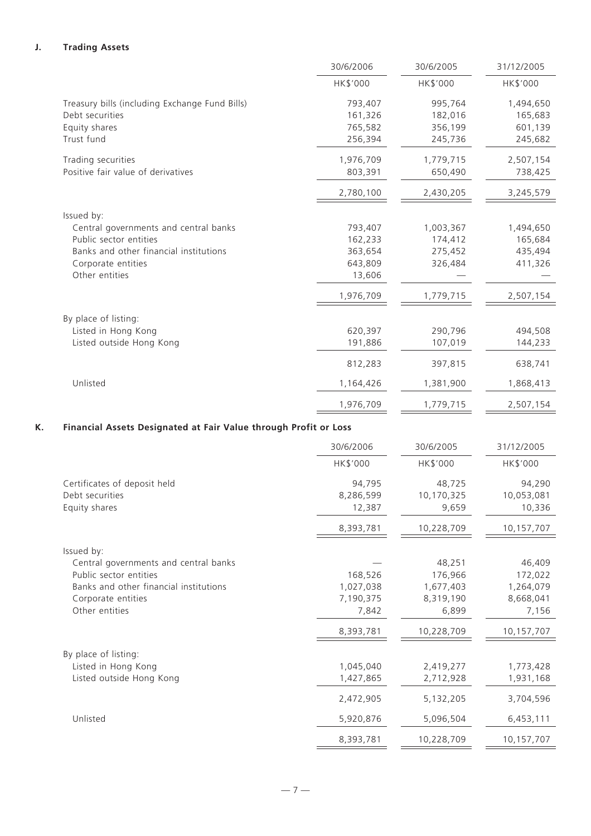# **J. Trading Assets**

|                                                | 30/6/2006 | 30/6/2005 | 31/12/2005 |
|------------------------------------------------|-----------|-----------|------------|
|                                                | HK\$'000  | HK\$'000  | HK\$'000   |
| Treasury bills (including Exchange Fund Bills) | 793,407   | 995,764   | 1,494,650  |
| Debt securities                                | 161,326   | 182,016   | 165,683    |
| Equity shares                                  | 765,582   | 356,199   | 601,139    |
| Trust fund                                     | 256,394   | 245,736   | 245,682    |
| Trading securities                             | 1,976,709 | 1,779,715 | 2,507,154  |
| Positive fair value of derivatives             | 803,391   | 650,490   | 738,425    |
|                                                | 2,780,100 | 2,430,205 | 3,245,579  |
| Issued by:                                     |           |           |            |
| Central governments and central banks          | 793,407   | 1,003,367 | 1,494,650  |
| Public sector entities                         | 162,233   | 174,412   | 165,684    |
| Banks and other financial institutions         | 363,654   | 275,452   | 435,494    |
| Corporate entities                             | 643,809   | 326,484   | 411,326    |
| Other entities                                 | 13,606    |           |            |
|                                                | 1,976,709 | 1,779,715 | 2,507,154  |
| By place of listing:                           |           |           |            |
| Listed in Hong Kong                            | 620,397   | 290,796   | 494,508    |
| Listed outside Hong Kong                       | 191,886   | 107,019   | 144,233    |
|                                                | 812,283   | 397,815   | 638,741    |
| Unlisted                                       | 1,164,426 | 1,381,900 | 1,868,413  |
|                                                | 1,976,709 | 1,779,715 | 2,507,154  |
|                                                |           |           |            |

# **K. Financial Assets Designated at Fair Value through Profit or Loss**

|                                        | 30/6/2006 | 30/6/2005  | 31/12/2005 |
|----------------------------------------|-----------|------------|------------|
|                                        | HK\$'000  | HK\$'000   | HK\$'000   |
| Certificates of deposit held           | 94,795    | 48,725     | 94,290     |
| Debt securities                        | 8,286,599 | 10,170,325 | 10,053,081 |
| Equity shares                          | 12,387    | 9,659      | 10,336     |
|                                        | 8,393,781 | 10,228,709 | 10,157,707 |
| Issued by:                             |           |            |            |
| Central governments and central banks  |           | 48,251     | 46,409     |
| Public sector entities                 | 168,526   | 176,966    | 172,022    |
| Banks and other financial institutions | 1,027,038 | 1,677,403  | 1,264,079  |
| Corporate entities                     | 7,190,375 | 8,319,190  | 8,668,041  |
| Other entities                         | 7,842     | 6,899      | 7,156      |
|                                        | 8,393,781 | 10,228,709 | 10,157,707 |
| By place of listing:                   |           |            |            |
| Listed in Hong Kong                    | 1,045,040 | 2,419,277  | 1,773,428  |
| Listed outside Hong Kong               | 1,427,865 | 2,712,928  | 1,931,168  |
|                                        | 2,472,905 | 5,132,205  | 3,704,596  |
| Unlisted                               | 5,920,876 | 5,096,504  | 6,453,111  |
|                                        | 8,393,781 | 10,228,709 | 10,157,707 |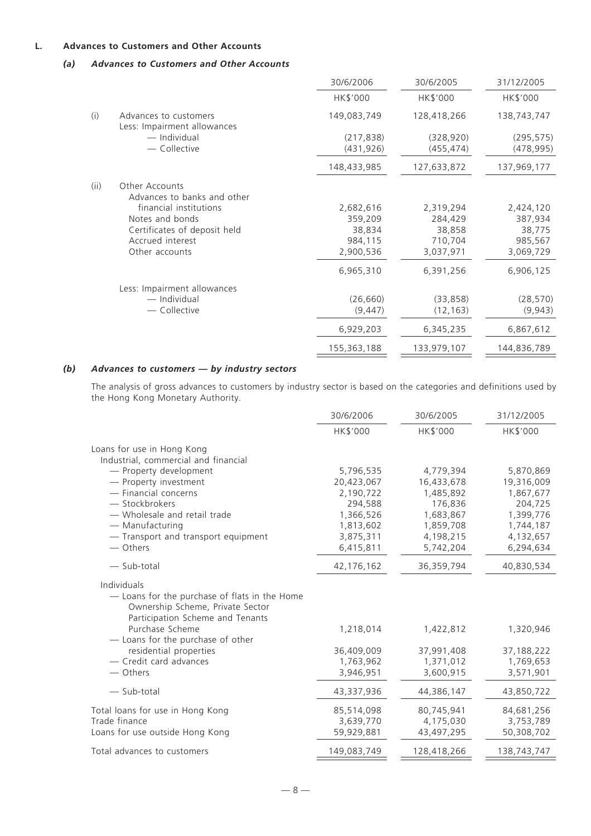# **L. Advances to Customers and Other Accounts**

# *(a) Advances to Customers and Other Accounts*

|                                               | 30/6/2006                   | 30/6/2005                | 31/12/2005               |
|-----------------------------------------------|-----------------------------|--------------------------|--------------------------|
|                                               | HK\$'000                    | HK\$'000                 | HK\$'000                 |
| Advances to customers                         | 149,083,749                 | 128,418,266              | 138,743,747              |
| — Individual<br>- Collective                  | (217, 838)<br>(431, 926)    | (328, 920)<br>(455, 474) | (295, 575)<br>(478, 995) |
|                                               | 148,433,985                 | 127,633,872              | 137,969,177              |
| Other Accounts<br>Advances to banks and other |                             |                          |                          |
| financial institutions                        | 2,682,616                   | 2,319,294                | 2,424,120                |
| Notes and bonds                               | 359,209                     | 284,429                  | 387,934                  |
| Certificates of deposit held                  | 38,834                      | 38,858                   | 38,775                   |
| Accrued interest                              | 984,115                     | 710,704                  | 985,567                  |
| Other accounts                                | 2,900,536                   | 3,037,971                | 3,069,729                |
|                                               | 6,965,310                   | 6,391,256                | 6,906,125                |
| Less: Impairment allowances                   |                             |                          |                          |
| — Individual                                  | (26, 660)                   | (33, 858)                | (28, 570)                |
| - Collective                                  | (9, 447)                    | (12, 163)                | (9,943)                  |
|                                               | 6,929,203                   | 6,345,235                | 6,867,612                |
|                                               | 155,363,188                 | 133,979,107              | 144,836,789              |
|                                               | Less: Impairment allowances |                          |                          |

# *(b) Advances to customers — by industry sectors*

The analysis of gross advances to customers by industry sector is based on the categories and definitions used by the Hong Kong Monetary Authority.

|                                                                                                                                      | 30/6/2006    | 30/6/2005   | 31/12/2005  |
|--------------------------------------------------------------------------------------------------------------------------------------|--------------|-------------|-------------|
|                                                                                                                                      | HK\$'000     | HK\$'000    | HK\$'000    |
| Loans for use in Hong Kong                                                                                                           |              |             |             |
| Industrial, commercial and financial                                                                                                 |              |             |             |
| - Property development                                                                                                               | 5,796,535    | 4,779,394   | 5,870,869   |
| - Property investment                                                                                                                | 20,423,067   | 16,433,678  | 19,316,009  |
| - Financial concerns                                                                                                                 | 2,190,722    | 1,485,892   | 1,867,677   |
| - Stockbrokers                                                                                                                       | 294,588      | 176,836     | 204,725     |
| - Wholesale and retail trade                                                                                                         | 1,366,526    | 1,683,867   | 1,399,776   |
| - Manufacturing                                                                                                                      | 1,813,602    | 1,859,708   | 1,744,187   |
| - Transport and transport equipment                                                                                                  | 3,875,311    | 4,198,215   | 4,132,657   |
| - Others                                                                                                                             | 6,415,811    | 5,742,204   | 6,294,634   |
| $-$ Sub-total                                                                                                                        | 42, 176, 162 | 36,359,794  | 40,830,534  |
| Individuals<br>- Loans for the purchase of flats in the Home<br>Ownership Scheme, Private Sector<br>Participation Scheme and Tenants |              |             |             |
| Purchase Scheme<br>- Loans for the purchase of other                                                                                 | 1,218,014    | 1,422,812   | 1,320,946   |
| residential properties                                                                                                               | 36,409,009   | 37,991,408  | 37,188,222  |
| - Credit card advances                                                                                                               | 1,763,962    | 1,371,012   | 1,769,653   |
| — Others                                                                                                                             | 3,946,951    | 3,600,915   | 3,571,901   |
| $-$ Sub-total                                                                                                                        | 43,337,936   | 44,386,147  | 43,850,722  |
| Total loans for use in Hong Kong                                                                                                     | 85,514,098   | 80,745,941  | 84,681,256  |
| Trade finance                                                                                                                        | 3,639,770    | 4,175,030   | 3,753,789   |
| Loans for use outside Hong Kong                                                                                                      | 59,929,881   | 43,497,295  | 50,308,702  |
| Total advances to customers                                                                                                          | 149,083,749  | 128,418,266 | 138,743,747 |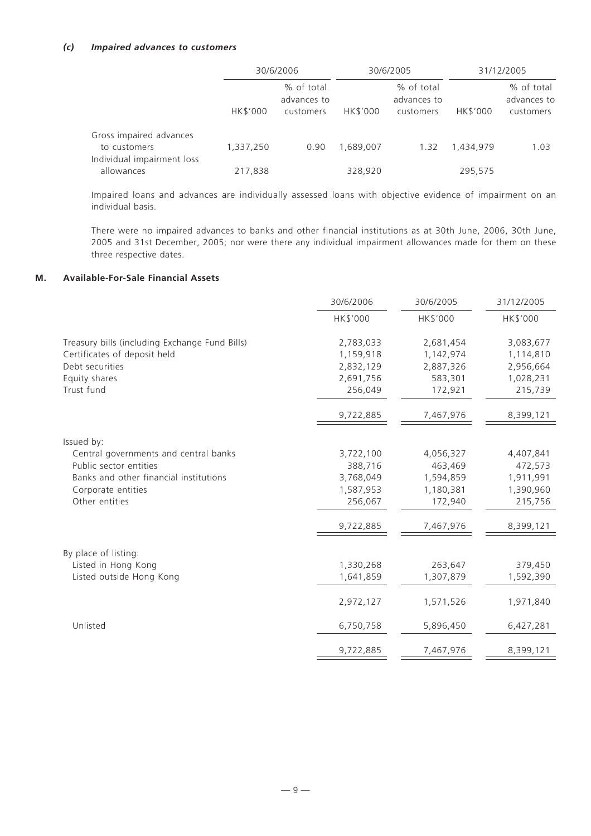#### *(c) Impaired advances to customers*

|                                          |           | 30/6/2006                              |           | 30/6/2005                              |           | 31/12/2005                             |  |
|------------------------------------------|-----------|----------------------------------------|-----------|----------------------------------------|-----------|----------------------------------------|--|
|                                          | HK\$'000  | % of total<br>advances to<br>customers | HK\$'000  | % of total<br>advances to<br>customers | HK\$'000  | % of total<br>advances to<br>customers |  |
| Gross impaired advances<br>to customers  | 1,337,250 | 0.90                                   | 1,689,007 | 1.32                                   | 1,434,979 | 1.03                                   |  |
| Individual impairment loss<br>allowances | 217,838   |                                        | 328,920   |                                        | 295,575   |                                        |  |

Impaired loans and advances are individually assessed loans with objective evidence of impairment on an individual basis.

There were no impaired advances to banks and other financial institutions as at 30th June, 2006, 30th June, 2005 and 31st December, 2005; nor were there any individual impairment allowances made for them on these three respective dates.

# **M. Available-For-Sale Financial Assets**

|                                                | 30/6/2006 | 30/6/2005 | 31/12/2005 |
|------------------------------------------------|-----------|-----------|------------|
|                                                | HK\$'000  | HK\$'000  | HK\$'000   |
| Treasury bills (including Exchange Fund Bills) | 2,783,033 | 2,681,454 | 3,083,677  |
| Certificates of deposit held                   | 1,159,918 | 1,142,974 | 1,114,810  |
| Debt securities                                | 2,832,129 | 2,887,326 | 2,956,664  |
| Equity shares                                  | 2,691,756 | 583,301   | 1,028,231  |
| Trust fund                                     | 256,049   | 172,921   | 215,739    |
|                                                | 9,722,885 | 7,467,976 | 8,399,121  |
| Issued by:                                     |           |           |            |
| Central governments and central banks          | 3,722,100 | 4,056,327 | 4,407,841  |
| Public sector entities                         | 388,716   | 463,469   | 472,573    |
| Banks and other financial institutions         | 3,768,049 | 1,594,859 | 1,911,991  |
| Corporate entities                             | 1,587,953 | 1,180,381 | 1,390,960  |
| Other entities                                 | 256,067   | 172,940   | 215,756    |
|                                                | 9,722,885 | 7,467,976 | 8,399,121  |
| By place of listing:                           |           |           |            |
| Listed in Hong Kong                            | 1,330,268 | 263,647   | 379,450    |
| Listed outside Hong Kong                       | 1,641,859 | 1,307,879 | 1,592,390  |
|                                                | 2,972,127 | 1,571,526 | 1,971,840  |
| Unlisted                                       | 6,750,758 | 5,896,450 | 6,427,281  |
|                                                | 9,722,885 | 7,467,976 | 8,399,121  |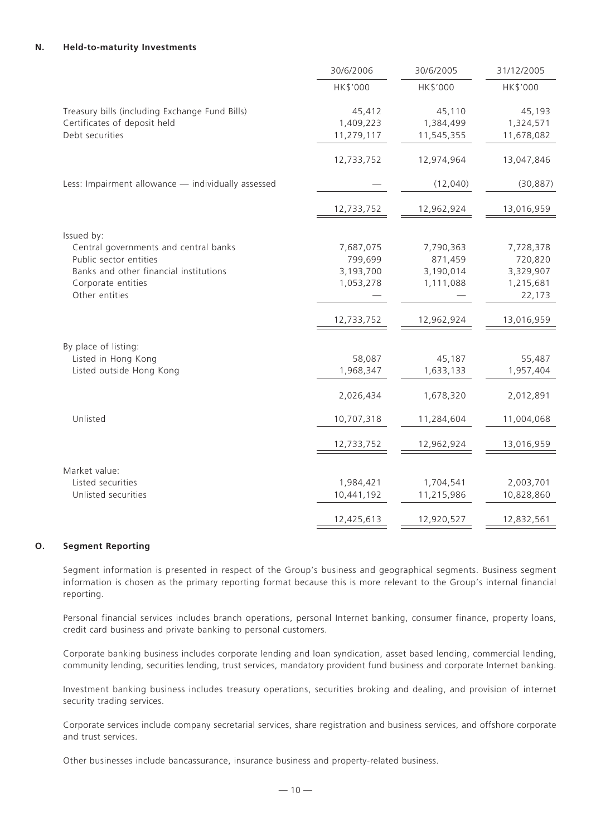#### **N. Held-to-maturity Investments**

|                                                                                                                                                   | 30/6/2006                                      | 30/6/2005                                      | 31/12/2005                                               |
|---------------------------------------------------------------------------------------------------------------------------------------------------|------------------------------------------------|------------------------------------------------|----------------------------------------------------------|
|                                                                                                                                                   | HK\$'000                                       | HK\$'000                                       | HK\$'000                                                 |
| Treasury bills (including Exchange Fund Bills)<br>Certificates of deposit held<br>Debt securities                                                 | 45,412<br>1,409,223<br>11,279,117              | 45,110<br>1,384,499<br>11,545,355              | 45,193<br>1,324,571<br>11,678,082                        |
|                                                                                                                                                   | 12,733,752                                     | 12,974,964                                     | 13,047,846                                               |
| Less: Impairment allowance - individually assessed                                                                                                |                                                | (12,040)                                       | (30, 887)                                                |
|                                                                                                                                                   | 12,733,752                                     | 12,962,924                                     | 13,016,959                                               |
| Issued by:                                                                                                                                        |                                                |                                                |                                                          |
| Central governments and central banks<br>Public sector entities<br>Banks and other financial institutions<br>Corporate entities<br>Other entities | 7,687,075<br>799,699<br>3,193,700<br>1,053,278 | 7,790,363<br>871,459<br>3,190,014<br>1,111,088 | 7,728,378<br>720,820<br>3,329,907<br>1,215,681<br>22,173 |
|                                                                                                                                                   | 12,733,752                                     | 12,962,924                                     | 13,016,959                                               |
| By place of listing:<br>Listed in Hong Kong                                                                                                       | 58,087                                         | 45,187                                         | 55,487                                                   |
| Listed outside Hong Kong                                                                                                                          | 1,968,347                                      | 1,633,133                                      | 1,957,404                                                |
|                                                                                                                                                   | 2,026,434                                      | 1,678,320                                      | 2,012,891                                                |
| Unlisted                                                                                                                                          | 10,707,318                                     | 11,284,604                                     | 11,004,068                                               |
|                                                                                                                                                   | 12,733,752                                     | 12,962,924                                     | 13,016,959                                               |
| Market value:                                                                                                                                     |                                                |                                                |                                                          |
| Listed securities<br>Unlisted securities                                                                                                          | 1,984,421<br>10,441,192                        | 1,704,541<br>11,215,986                        | 2,003,701<br>10,828,860                                  |
|                                                                                                                                                   | 12,425,613                                     | 12,920,527                                     | 12,832,561                                               |

#### **O. Segment Reporting**

Segment information is presented in respect of the Group's business and geographical segments. Business segment information is chosen as the primary reporting format because this is more relevant to the Group's internal financial reporting.

Personal financial services includes branch operations, personal Internet banking, consumer finance, property loans, credit card business and private banking to personal customers.

Corporate banking business includes corporate lending and loan syndication, asset based lending, commercial lending, community lending, securities lending, trust services, mandatory provident fund business and corporate Internet banking.

Investment banking business includes treasury operations, securities broking and dealing, and provision of internet security trading services.

Corporate services include company secretarial services, share registration and business services, and offshore corporate and trust services.

Other businesses include bancassurance, insurance business and property-related business.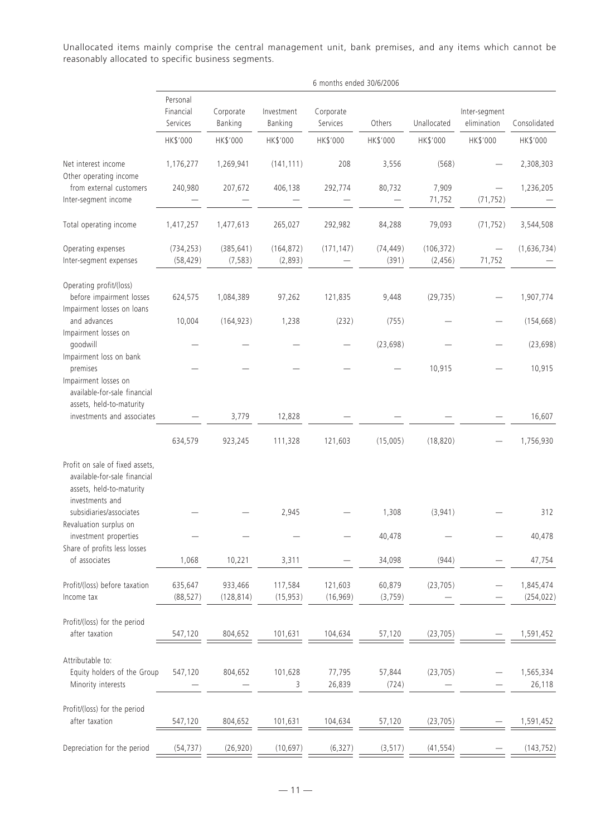Unallocated items mainly comprise the central management unit, bank premises, and any items which cannot be reasonably allocated to specific business segments.

|                                                                                                                | 6 months ended 30/6/2006          |                        |                       |                       |                    |                        |                              |                         |  |
|----------------------------------------------------------------------------------------------------------------|-----------------------------------|------------------------|-----------------------|-----------------------|--------------------|------------------------|------------------------------|-------------------------|--|
|                                                                                                                | Personal<br>Financial<br>Services | Corporate<br>Banking   | Investment<br>Banking | Corporate<br>Services | Others             | Unallocated            | Inter-segment<br>elimination | Consolidated            |  |
|                                                                                                                | HK\$'000                          | HK\$'000               | HK\$'000              | HK\$'000              | HK\$'000           | HK\$'000               | HK\$'000                     | HK\$'000                |  |
| Net interest income<br>Other operating income                                                                  | 1,176,277                         | 1,269,941              | (141, 111)            | 208                   | 3,556              | (568)                  |                              | 2,308,303               |  |
| from external customers<br>Inter-segment income                                                                | 240,980                           | 207,672                | 406,138               | 292,774               | 80,732             | 7,909<br>71,752        | (71, 752)                    | 1,236,205               |  |
| Total operating income                                                                                         | 1,417,257                         | 1,477,613              | 265,027               | 292,982               | 84,288             | 79,093                 | (71, 752)                    | 3,544,508               |  |
| Operating expenses<br>Inter-segment expenses                                                                   | (734, 253)<br>(58, 429)           | (385, 641)<br>(7, 583) | (164, 872)<br>(2,893) | (171, 147)            | (74, 449)<br>(391) | (106, 372)<br>(2, 456) | 71,752                       | (1,636,734)             |  |
| Operating profit/(loss)<br>before impairment losses<br>Impairment losses on loans                              | 624,575                           | 1,084,389              | 97,262                | 121,835               | 9,448              | (29, 735)              |                              | 1,907,774               |  |
| and advances<br>Impairment losses on                                                                           | 10,004                            | (164, 923)             | 1,238                 | (232)                 | (755)              |                        |                              | (154, 668)              |  |
| goodwill<br>Impairment loss on bank                                                                            |                                   |                        |                       |                       | (23, 698)          |                        |                              | (23, 698)               |  |
| premises<br>Impairment losses on<br>available-for-sale financial                                               |                                   |                        |                       |                       |                    | 10,915                 |                              | 10,915                  |  |
| assets, held-to-maturity<br>investments and associates                                                         |                                   | 3,779                  | 12,828                |                       |                    |                        |                              | 16,607                  |  |
|                                                                                                                | 634,579                           | 923,245                | 111,328               | 121,603               | (15,005)           | (18, 820)              |                              | 1,756,930               |  |
| Profit on sale of fixed assets,<br>available-for-sale financial<br>assets, held-to-maturity<br>investments and |                                   |                        |                       |                       |                    |                        |                              |                         |  |
| subsidiaries/associates<br>Revaluation surplus on                                                              |                                   |                        | 2,945                 |                       | 1,308              | (3,941)                |                              | 312                     |  |
| investment properties<br>Share of profits less losses                                                          |                                   |                        |                       |                       | 40,478             |                        |                              | 40,478                  |  |
| of associates                                                                                                  | 1,068                             | 10,221                 | 3,311                 |                       | 34,098             | (944)                  |                              | 47,754                  |  |
| Profit/(loss) before taxation<br>Income tax                                                                    | 635,647<br>(88, 527)              | 933,466<br>(128, 814)  | 117,584<br>(15, 953)  | 121,603<br>(16,969)   | 60,879<br>(3,759)  | (23, 705)              |                              | 1,845,474<br>(254, 022) |  |
| Profit/(loss) for the period<br>after taxation                                                                 | 547,120                           | 804,652                | 101,631               | 104,634               | 57,120             | (23, 705)              |                              | 1,591,452               |  |
| Attributable to:<br>Equity holders of the Group<br>Minority interests                                          | 547,120                           | 804,652                | 101,628<br>3          | 77,795<br>26,839      | 57,844<br>(724)    | (23, 705)              |                              | 1,565,334<br>26,118     |  |
| Profit/(loss) for the period<br>after taxation                                                                 | 547,120                           | 804,652                | 101,631               | 104,634               | 57,120             | (23, 705)              |                              | 1,591,452               |  |
| Depreciation for the period                                                                                    | (54, 737)                         | (26, 920)              | (10, 697)             | (6, 327)              | (3, 517)           | (41, 554)              |                              | (143, 752)              |  |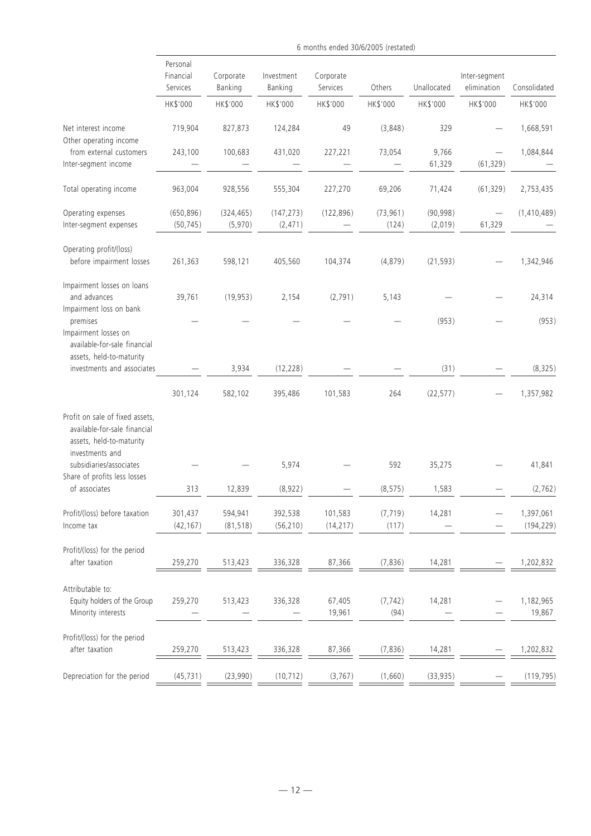|                                                                                                                                           | Personal<br>Financial<br>Services | Corporate<br>Banking  | Investment<br>Banking  | Corporate<br>Services | Others             | Unallocated          | Inter-segment<br>elimination | Consolidated            |
|-------------------------------------------------------------------------------------------------------------------------------------------|-----------------------------------|-----------------------|------------------------|-----------------------|--------------------|----------------------|------------------------------|-------------------------|
|                                                                                                                                           | HK\$'000                          | HK\$'000              | HK\$'000               | HK\$'000              | HK\$'000           | HK\$'000             | HK\$'000                     | HK\$'000                |
| Net interest income                                                                                                                       | 719,904                           | 827,873               | 124,284                | 49                    | (3,848)            | 329                  |                              | 1,668,591               |
| Other operating income<br>from external customers<br>Inter-segment income                                                                 | 243,100                           | 100,683               | 431,020                | 227,221               | 73,054             | 9,766<br>61,329      | (61, 329)                    | 1,084,844               |
| Total operating income                                                                                                                    | 963,004                           | 928,556               | 555,304                | 227,270               | 69,206             | 71,424               | (61, 329)                    | 2,753,435               |
| Operating expenses<br>Inter-segment expenses                                                                                              | (650, 896)<br>(50, 745)           | (324, 465)<br>(5,970) | (147, 273)<br>(2, 471) | (122, 896)            | (73, 961)<br>(124) | (90, 998)<br>(2,019) | 61,329                       | (1,410,489)             |
| Operating profit/(loss)<br>before impairment losses                                                                                       | 261,363                           | 598,121               | 405,560                | 104,374               | (4, 879)           | (21, 593)            |                              | 1,342,946               |
| Impairment losses on loans<br>and advances<br>Impairment loss on bank                                                                     | 39,761                            | (19, 953)             | 2,154                  | (2,791)               | 5,143              |                      |                              | 24,314                  |
| premises<br>Impairment losses on<br>available-for-sale financial                                                                          |                                   |                       |                        |                       |                    | (953)                |                              | (953)                   |
| assets, held-to-maturity<br>investments and associates                                                                                    |                                   | 3,934                 | (12, 228)              |                       |                    | (31)                 |                              | (8, 325)                |
|                                                                                                                                           | 301,124                           | 582,102               | 395,486                | 101,583               | 264                | (22, 577)            |                              | 1,357,982               |
| Profit on sale of fixed assets,<br>available-for-sale financial<br>assets, held-to-maturity<br>investments and<br>subsidiaries/associates |                                   |                       | 5,974                  |                       | 592                | 35,275               |                              | 41,841                  |
| Share of profits less losses<br>of associates                                                                                             | 313                               | 12,839                | (8,922)                |                       | (8, 575)           | 1,583                |                              | (2, 762)                |
| Profit/(loss) before taxation<br>Income tax                                                                                               | 301,437<br>(42, 167)              | 594,941<br>(81, 518)  | 392,538<br>(56, 210)   | 101,583<br>(14, 217)  | (7, 719)<br>(117)  | 14,281               |                              | 1,397,061<br>(194, 229) |
| Profit/(loss) for the period<br>after taxation                                                                                            | 259,270                           | 513,423               | 336,328                | 87,366                | (7, 836)           | 14,281               |                              | 1,202,832               |
| Attributable to:<br>Equity holders of the Group<br>Minority interests                                                                     | 259,270                           | 513,423               | 336,328                | 67,405<br>19,961      | (7, 742)<br>(94)   | 14,281               |                              | 1,182,965<br>19,867     |
| Profit/(loss) for the period<br>after taxation                                                                                            | 259,270                           | 513,423               | 336,328                | 87,366                | (7, 836)           | 14,281               |                              | 1,202,832               |
| Depreciation for the period                                                                                                               | (45, 731)                         | (23,990)              | (10, 712)              | (3, 767)              | (1,660)            | (33, 935)            |                              | (119, 795)              |

6 months ended 30/6/2005 (restated)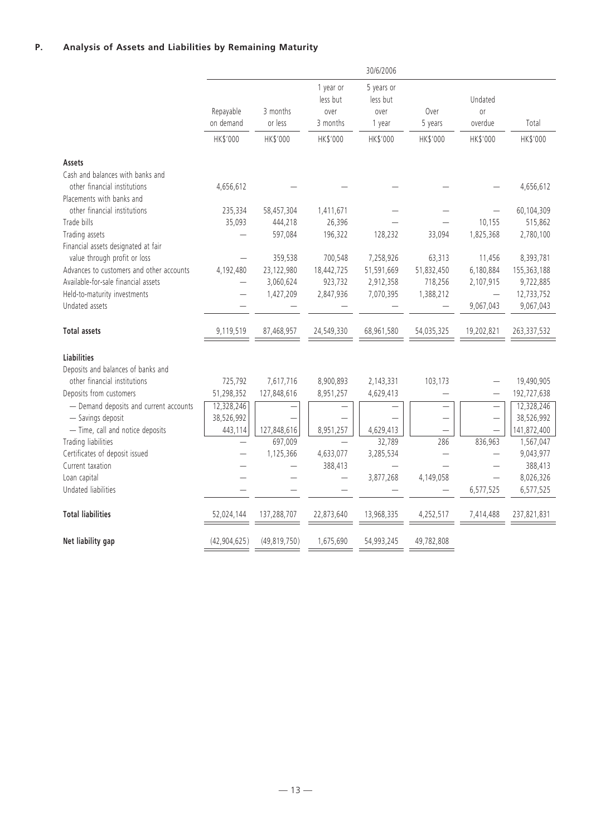# **P. Analysis of Assets and Liabilities by Remaining Maturity**

|                                                         |                        |                          |                                           | 30/6/2006                                |                                     |                          |                           |
|---------------------------------------------------------|------------------------|--------------------------|-------------------------------------------|------------------------------------------|-------------------------------------|--------------------------|---------------------------|
|                                                         | Repayable<br>on demand | 3 months<br>or less      | 1 year or<br>less but<br>over<br>3 months | 5 years or<br>less but<br>over<br>1 year | Over<br>5 years                     | Undated<br>0r<br>overdue | Total                     |
|                                                         | HK\$'000               | HK\$'000                 | HK\$'000                                  | HK\$'000                                 | HK\$'000                            | HK\$'000                 | HK\$'000                  |
| Assets                                                  |                        |                          |                                           |                                          |                                     |                          |                           |
| Cash and balances with banks and                        |                        |                          |                                           |                                          |                                     |                          |                           |
| other financial institutions                            | 4,656,612              |                          |                                           |                                          |                                     |                          | 4,656,612                 |
| Placements with banks and                               |                        |                          |                                           |                                          |                                     |                          |                           |
| other financial institutions                            | 235,334                | 58,457,304               | 1,411,671                                 |                                          |                                     |                          | 60,104,309                |
| Trade bills                                             | 35,093                 | 444,218                  | 26,396                                    |                                          |                                     | 10,155                   | 515,862                   |
| Trading assets                                          |                        | 597,084                  | 196,322                                   | 128,232                                  | 33,094                              | 1,825,368                | 2,780,100                 |
| Financial assets designated at fair                     |                        |                          |                                           |                                          |                                     |                          |                           |
| value through profit or loss                            |                        | 359,538                  | 700,548                                   | 7,258,926                                | 63,313                              | 11,456                   | 8,393,781                 |
| Advances to customers and other accounts                | 4,192,480              | 23,122,980               | 18,442,725                                | 51,591,669                               | 51,832,450                          | 6,180,884                | 155,363,188               |
| Available-for-sale financial assets                     |                        | 3,060,624                | 923,732                                   | 2,912,358                                | 718,256                             | 2,107,915                | 9,722,885                 |
| Held-to-maturity investments<br>Undated assets          |                        | 1,427,209                | 2,847,936                                 | 7,070,395                                | 1,388,212                           | 9,067,043                | 12,733,752                |
|                                                         |                        |                          |                                           |                                          |                                     |                          | 9,067,043                 |
| <b>Total assets</b>                                     | 9,119,519              | 87,468,957               | 24,549,330                                | 68,961,580                               | 54,035,325                          | 19,202,821               | 263,337,532               |
|                                                         |                        |                          |                                           |                                          |                                     |                          |                           |
| <b>Liabilities</b>                                      |                        |                          |                                           |                                          |                                     |                          |                           |
| Deposits and balances of banks and                      |                        |                          |                                           |                                          |                                     |                          |                           |
| other financial institutions<br>Deposits from customers | 725,792<br>51,298,352  | 7,617,716<br>127,848,616 | 8,900,893                                 | 2,143,331<br>4,629,413                   | 103,173<br>$\overline{\phantom{0}}$ | $\overline{\phantom{0}}$ | 19,490,905                |
| - Demand deposits and current accounts                  | 12,328,246             |                          | 8,951,257                                 | $\overline{\phantom{0}}$                 | $\overline{\phantom{0}}$            | $\overline{\phantom{0}}$ | 192,727,638<br>12,328,246 |
| - Savings deposit                                       | 38,526,992             |                          |                                           |                                          |                                     |                          | 38,526,992                |
| - Time, call and notice deposits                        | 443,114                | 127,848,616              | 8,951,257                                 | 4,629,413                                |                                     |                          | 141,872,400               |
| Trading liabilities                                     |                        | 697,009                  | $\equiv$                                  | 32,789                                   | 286                                 | 836,963                  | 1,567,047                 |
| Certificates of deposit issued                          |                        | 1,125,366                | 4,633,077                                 | 3,285,534                                | $\overline{\phantom{0}}$            |                          | 9,043,977                 |
| Current taxation                                        |                        | $\overline{\phantom{0}}$ | 388,413                                   |                                          |                                     |                          | 388,413                   |
| Loan capital                                            |                        |                          | $\overline{\phantom{0}}$                  | 3,877,268                                | 4,149,058                           |                          | 8,026,326                 |
| Undated liabilities                                     |                        |                          |                                           |                                          |                                     | 6,577,525                | 6,577,525                 |
| <b>Total liabilities</b>                                | 52,024,144             | 137.288.707              | 22.873.640                                | 13.968.335                               | 4,252,517                           | 7,414,488                | 237,821,831               |
| Net liability gap                                       | (42, 904, 625)         | (49, 819, 750)           | 1,675,690                                 | 54,993,245                               | 49,782,808                          |                          |                           |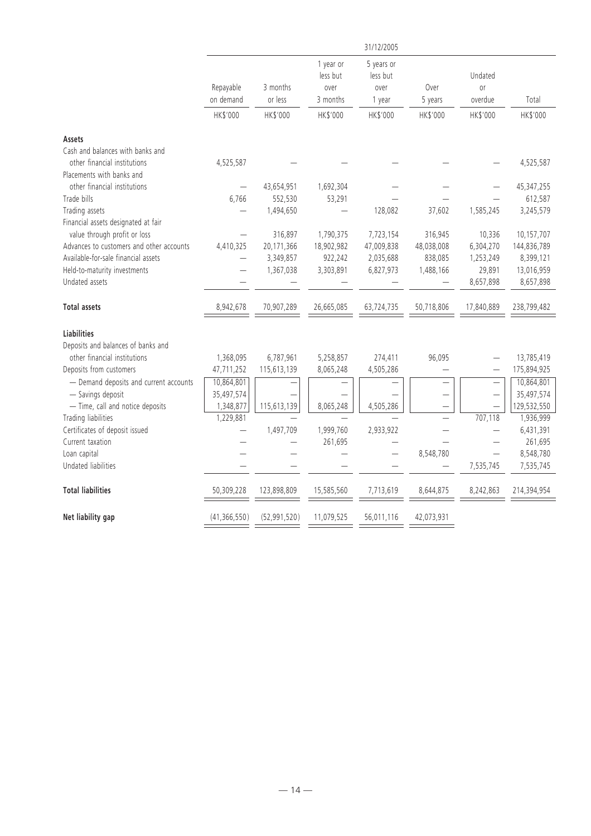|                                                                  |                          |                |                               | 31/12/2005                     |                          |                          |             |
|------------------------------------------------------------------|--------------------------|----------------|-------------------------------|--------------------------------|--------------------------|--------------------------|-------------|
|                                                                  | Repayable                | 3 months       | 1 year or<br>less but<br>over | 5 years or<br>less but<br>over | Over                     | Undated<br>0r            |             |
|                                                                  | on demand                | or less        | 3 months                      | 1 year                         | 5 years                  | overdue                  | Total       |
|                                                                  | HK\$'000                 | HK\$'000       | HK\$'000                      | HK\$'000                       | HK\$'000                 | HK\$'000                 | HK\$'000    |
| Assets                                                           |                          |                |                               |                                |                          |                          |             |
| Cash and balances with banks and<br>other financial institutions | 4,525,587                |                |                               |                                |                          |                          | 4,525,587   |
| Placements with banks and                                        |                          |                |                               |                                |                          |                          |             |
| other financial institutions                                     |                          | 43,654,951     | 1,692,304                     |                                |                          |                          | 45,347,255  |
| Trade bills                                                      | 6.766                    | 552,530        | 53,291                        |                                |                          |                          | 612,587     |
| Trading assets                                                   |                          | 1,494,650      |                               | 128,082                        | 37,602                   | 1,585,245                | 3,245,579   |
| Financial assets designated at fair                              |                          |                |                               |                                |                          |                          |             |
| value through profit or loss                                     | $\overline{\phantom{0}}$ | 316,897        | 1,790,375                     | 7,723,154                      | 316,945                  | 10,336                   | 10,157,707  |
| Advances to customers and other accounts                         | 4,410,325                | 20,171,366     | 18,902,982                    | 47,009,838                     | 48,038,008               | 6,304,270                | 144,836,789 |
| Available-for-sale financial assets                              |                          | 3,349,857      | 922,242                       | 2,035,688                      | 838,085                  | 1,253,249                | 8,399,121   |
| Held-to-maturity investments                                     |                          | 1,367,038      | 3,303,891                     | 6,827,973                      | 1,488,166                | 29,891                   | 13,016,959  |
| Undated assets                                                   |                          |                |                               |                                |                          | 8,657,898                | 8,657,898   |
| <b>Total assets</b>                                              | 8,942,678                | 70,907,289     | 26,665,085                    | 63,724,735                     | 50,718,806               | 17,840,889               | 238,799,482 |
| Liabilities                                                      |                          |                |                               |                                |                          |                          |             |
| Deposits and balances of banks and                               |                          |                |                               |                                |                          |                          |             |
| other financial institutions                                     | 1,368,095                | 6,787,961      | 5,258,857                     | 274,411                        | 96,095                   |                          | 13,785,419  |
| Deposits from customers                                          | 47,711,252               | 115,613,139    | 8,065,248                     | 4,505,286                      |                          |                          | 175,894,925 |
| - Demand deposits and current accounts                           | 10,864,801               |                |                               |                                |                          | $\overline{\phantom{0}}$ | 10,864,801  |
| - Savings deposit                                                | 35,497,574               |                |                               |                                | $\overline{\phantom{0}}$ | $\overline{\phantom{0}}$ | 35,497,574  |
| - Time, call and notice deposits                                 | 1,348,877                | 115,613,139    | 8,065,248                     | 4,505,286                      |                          |                          | 129,532,550 |
| Trading liabilities                                              | 1,229,881                |                |                               |                                | $\equiv$                 | 707,118                  | 1,936,999   |
| Certificates of deposit issued                                   |                          | 1,497,709      | 1,999,760                     | 2,933,922                      |                          | $\overline{\phantom{0}}$ | 6,431,391   |
| Current taxation                                                 |                          |                | 261,695                       |                                |                          |                          | 261,695     |
| Loan capital                                                     |                          |                |                               |                                | 8,548,780                | $\equiv$                 | 8,548,780   |
| Undated liabilities                                              |                          |                |                               |                                |                          | 7,535,745                | 7,535,745   |
| <b>Total liabilities</b>                                         | 50,309,228               | 123,898,809    | 15,585,560                    | 7,713,619                      | 8,644,875                | 8,242,863                | 214,394,954 |
| Net liability gap                                                | (41, 366, 550)           | (52, 991, 520) | 11,079,525                    | 56,011,116                     | 42,073,931               |                          |             |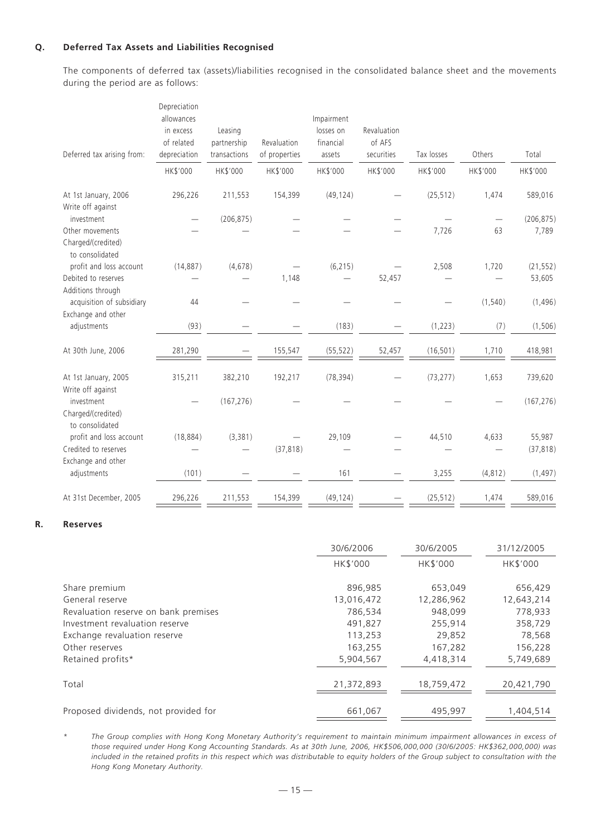# **Q. Deferred Tax Assets and Liabilities Recognised**

The components of deferred tax (assets)/liabilities recognised in the consolidated balance sheet and the movements during the period are as follows:

| Deferred tax arising from:                               | Depreciation<br>allowances<br>in excess<br>of related<br>depreciation<br>HK\$'000 | Leasing<br>partnership<br>transactions<br>HK\$'000 | Revaluation<br>of properties<br>HK\$'000 | Impairment<br>losses on<br>financial<br>assets<br>HK\$'000 | Revaluation<br>of AFS<br>securities<br>HK\$'000 | Tax losses<br>HK\$'000 | Others<br>HK\$'000 | Total<br>HK\$'000 |
|----------------------------------------------------------|-----------------------------------------------------------------------------------|----------------------------------------------------|------------------------------------------|------------------------------------------------------------|-------------------------------------------------|------------------------|--------------------|-------------------|
| At 1st January, 2006<br>Write off against                | 296,226                                                                           | 211,553                                            | 154,399                                  | (49, 124)                                                  |                                                 | (25, 512)              | 1,474              | 589,016           |
| investment                                               |                                                                                   | (206, 875)                                         |                                          |                                                            |                                                 |                        |                    | (206, 875)        |
| Other movements<br>Charged/(credited)<br>to consolidated |                                                                                   |                                                    |                                          |                                                            |                                                 | 7,726                  | 63                 | 7,789             |
| profit and loss account                                  | (14, 887)                                                                         | (4, 678)                                           |                                          | (6, 215)                                                   |                                                 | 2,508                  | 1,720              | (21, 552)         |
| Debited to reserves<br>Additions through                 |                                                                                   |                                                    | 1,148                                    |                                                            | 52,457                                          |                        |                    | 53,605            |
| acquisition of subsidiary<br>Exchange and other          | 44                                                                                |                                                    |                                          |                                                            |                                                 |                        | (1, 540)           | (1, 496)          |
| adjustments                                              | (93)                                                                              |                                                    |                                          | (183)                                                      |                                                 | (1, 223)               | (7)                | (1, 506)          |
| At 30th June, 2006                                       | 281,290                                                                           |                                                    | 155,547                                  | (55, 522)                                                  | 52,457                                          | (16, 501)              | 1,710              | 418,981           |
| At 1st January, 2005<br>Write off against                | 315,211                                                                           | 382,210                                            | 192,217                                  | (78, 394)                                                  |                                                 | (73, 277)              | 1,653              | 739,620           |
| investment<br>Charged/(credited)<br>to consolidated      |                                                                                   | (167, 276)                                         |                                          |                                                            |                                                 |                        |                    | (167, 276)        |
| profit and loss account                                  | (18, 884)                                                                         | (3, 381)                                           |                                          | 29,109                                                     |                                                 | 44,510                 | 4,633              | 55,987            |
| Credited to reserves<br>Exchange and other               |                                                                                   |                                                    | (37, 818)                                |                                                            |                                                 |                        |                    | (37, 818)         |
| adjustments                                              | (101)                                                                             |                                                    |                                          | 161                                                        |                                                 | 3,255                  | (4, 812)           | (1, 497)          |
| At 31st December, 2005                                   | 296,226                                                                           | 211,553                                            | 154,399                                  | (49, 124)                                                  |                                                 | (25, 512)              | 1,474              | 589,016           |

# **R. Reserves**

| 30/6/2006  | 30/6/2005  | 31/12/2005 |
|------------|------------|------------|
| HK\$'000   | HK\$'000   | HK\$'000   |
|            |            | 656,429    |
| 13,016,472 | 12,286,962 | 12,643,214 |
| 786,534    | 948.099    | 778,933    |
| 491,827    | 255,914    | 358,729    |
| 113,253    | 29,852     | 78,568     |
| 163,255    | 167,282    | 156,228    |
| 5,904,567  | 4,418,314  | 5,749,689  |
|            |            |            |
| 21,372,893 | 18,759,472 | 20,421,790 |
|            |            |            |
| 661,067    | 495,997    | 1,404,514  |
|            | 896,985    | 653,049    |

*\* The Group complies with Hong Kong Monetary Authority's requirement to maintain minimum impairment allowances in excess of those required under Hong Kong Accounting Standards. As at 30th June, 2006, HK\$506,000,000 (30/6/2005: HK\$362,000,000) was included in the retained profits in this respect which was distributable to equity holders of the Group subject to consultation with the Hong Kong Monetary Authority.*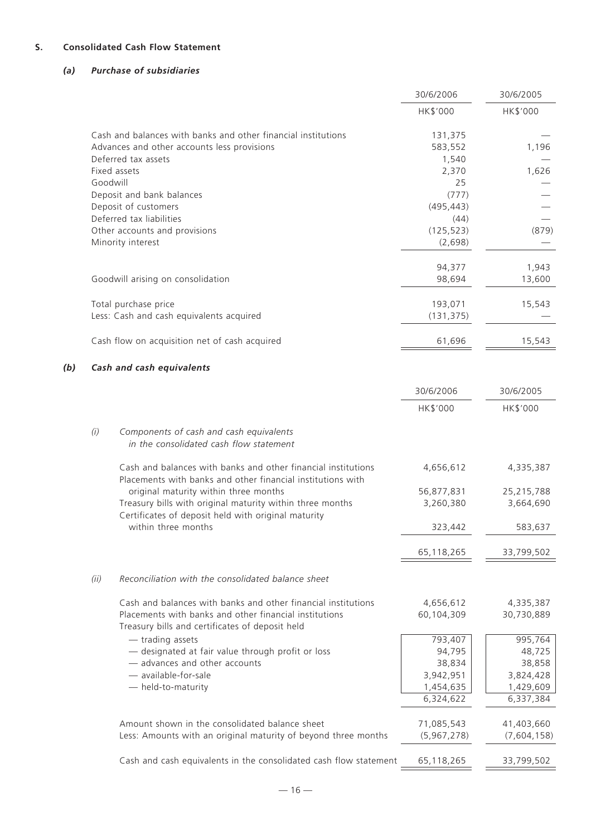# **S. Consolidated Cash Flow Statement**

# *(a) Purchase of subsidiaries*

|     |          |                                                                                                                              | 30/6/2006          | 30/6/2005   |
|-----|----------|------------------------------------------------------------------------------------------------------------------------------|--------------------|-------------|
|     |          |                                                                                                                              | HK\$'000           | HK\$'000    |
|     |          | Cash and balances with banks and other financial institutions<br>Advances and other accounts less provisions                 | 131,375<br>583,552 | 1,196       |
|     |          | Deferred tax assets                                                                                                          | 1,540              |             |
|     |          | Fixed assets                                                                                                                 | 2,370              | 1,626       |
|     | Goodwill |                                                                                                                              | 25                 |             |
|     |          | Deposit and bank balances                                                                                                    | (777)              |             |
|     |          | Deposit of customers                                                                                                         | (495, 443)         |             |
|     |          | Deferred tax liabilities                                                                                                     | (44)               |             |
|     |          | Other accounts and provisions                                                                                                | (125, 523)         | (879)       |
|     |          | Minority interest                                                                                                            | (2,698)            |             |
|     |          |                                                                                                                              | 94,377             | 1,943       |
|     |          | Goodwill arising on consolidation                                                                                            | 98,694             | 13,600      |
|     |          | Total purchase price                                                                                                         | 193,071            | 15,543      |
|     |          | Less: Cash and cash equivalents acquired                                                                                     | (131, 375)         |             |
|     |          | Cash flow on acquisition net of cash acquired                                                                                | 61,696             | 15,543      |
| (b) |          | Cash and cash equivalents                                                                                                    |                    |             |
|     |          |                                                                                                                              | 30/6/2006          | 30/6/2005   |
|     |          |                                                                                                                              | HK\$'000           | HK\$'000    |
|     | (i)      | Components of cash and cash equivalents<br>in the consolidated cash flow statement                                           |                    |             |
|     |          | Cash and balances with banks and other financial institutions<br>Placements with banks and other financial institutions with | 4,656,612          | 4,335,387   |
|     |          | original maturity within three months                                                                                        | 56,877,831         | 25,215,788  |
|     |          | Treasury bills with original maturity within three months<br>Certificates of deposit held with original maturity             | 3,260,380          | 3,664,690   |
|     |          | within three months                                                                                                          | 323,442            | 583,637     |
|     |          |                                                                                                                              | 65,118,265         | 33,799,502  |
|     | (ii)     | Reconciliation with the consolidated balance sheet                                                                           |                    |             |
|     |          | Cash and balances with banks and other financial institutions                                                                | 4,656,612          | 4,335,387   |
|     |          | Placements with banks and other financial institutions<br>Treasury bills and certificates of deposit held                    | 60,104,309         | 30,730,889  |
|     |          | - trading assets                                                                                                             | 793,407            | 995,764     |
|     |          | - designated at fair value through profit or loss                                                                            | 94,795             | 48,725      |
|     |          | - advances and other accounts                                                                                                | 38,834             | 38,858      |
|     |          | - available-for-sale                                                                                                         | 3,942,951          | 3,824,428   |
|     |          | - held-to-maturity                                                                                                           | 1,454,635          | 1,429,609   |
|     |          |                                                                                                                              | 6,324,622          | 6,337,384   |
|     |          | Amount shown in the consolidated balance sheet                                                                               | 71,085,543         | 41,403,660  |
|     |          | Less: Amounts with an original maturity of beyond three months                                                               | (5,967,278)        | (7,604,158) |
|     |          |                                                                                                                              |                    |             |
|     |          | Cash and cash equivalents in the consolidated cash flow statement                                                            | 65,118,265         | 33,799,502  |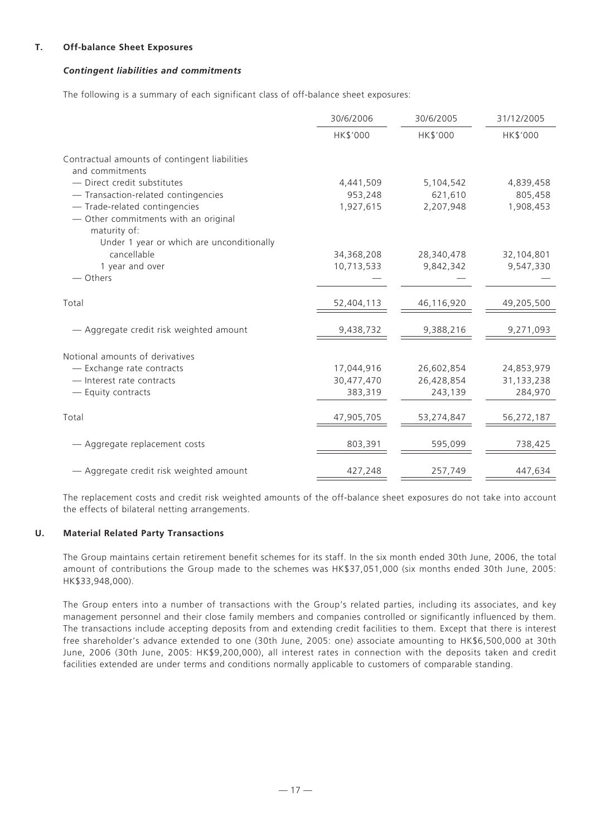# **T. Off-balance Sheet Exposures**

# *Contingent liabilities and commitments*

The following is a summary of each significant class of off-balance sheet exposures:

|                                                                                       | 30/6/2006  | 30/6/2005  | 31/12/2005 |
|---------------------------------------------------------------------------------------|------------|------------|------------|
|                                                                                       | HK\$'000   | HK\$'000   | HK\$'000   |
| Contractual amounts of contingent liabilities<br>and commitments                      |            |            |            |
| - Direct credit substitutes                                                           | 4,441,509  | 5,104,542  | 4,839,458  |
| - Transaction-related contingencies                                                   | 953,248    | 621,610    | 805,458    |
| - Trade-related contingencies<br>- Other commitments with an original<br>maturity of: | 1,927,615  | 2,207,948  | 1,908,453  |
| Under 1 year or which are unconditionally                                             |            |            |            |
| cancellable                                                                           | 34,368,208 | 28,340,478 | 32,104,801 |
| 1 year and over<br>- Others                                                           | 10,713,533 | 9,842,342  | 9,547,330  |
| Total                                                                                 | 52,404,113 | 46,116,920 | 49,205,500 |
| — Aggregate credit risk weighted amount                                               | 9,438,732  | 9,388,216  | 9,271,093  |
| Notional amounts of derivatives                                                       |            |            |            |
| - Exchange rate contracts                                                             | 17,044,916 | 26,602,854 | 24,853,979 |
| - Interest rate contracts                                                             | 30,477,470 | 26,428,854 | 31,133,238 |
| - Equity contracts                                                                    | 383,319    | 243,139    | 284,970    |
| Total                                                                                 | 47,905,705 | 53,274,847 | 56,272,187 |
| - Aggregate replacement costs                                                         | 803,391    | 595,099    | 738,425    |
| - Aggregate credit risk weighted amount                                               | 427,248    | 257,749    | 447,634    |

The replacement costs and credit risk weighted amounts of the off-balance sheet exposures do not take into account the effects of bilateral netting arrangements.

# **U. Material Related Party Transactions**

The Group maintains certain retirement benefit schemes for its staff. In the six month ended 30th June, 2006, the total amount of contributions the Group made to the schemes was HK\$37,051,000 (six months ended 30th June, 2005: HK\$33,948,000).

The Group enters into a number of transactions with the Group's related parties, including its associates, and key management personnel and their close family members and companies controlled or significantly influenced by them. The transactions include accepting deposits from and extending credit facilities to them. Except that there is interest free shareholder's advance extended to one (30th June, 2005: one) associate amounting to HK\$6,500,000 at 30th June, 2006 (30th June, 2005: HK\$9,200,000), all interest rates in connection with the deposits taken and credit facilities extended are under terms and conditions normally applicable to customers of comparable standing.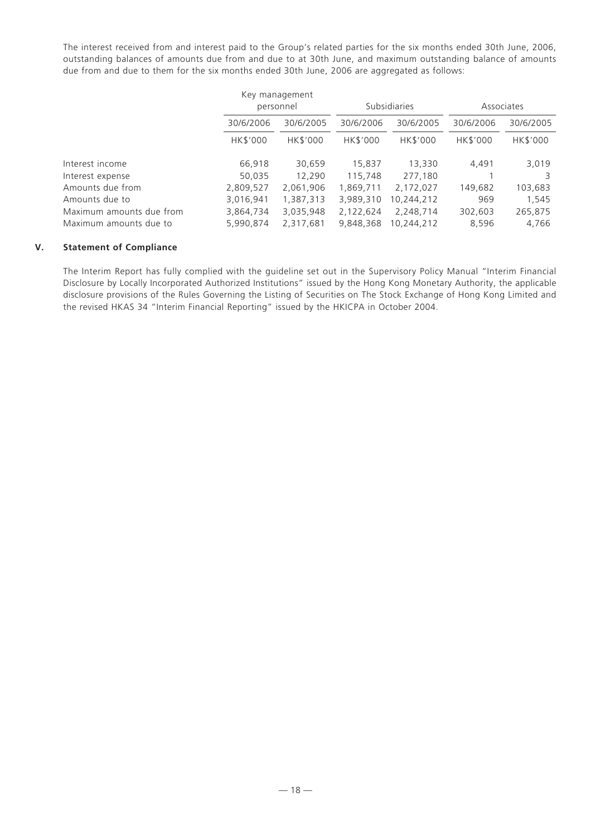The interest received from and interest paid to the Group's related parties for the six months ended 30th June, 2006, outstanding balances of amounts due from and due to at 30th June, and maximum outstanding balance of amounts due from and due to them for the six months ended 30th June, 2006 are aggregated as follows:

|                          |           | Key management |                     |            |            |           |
|--------------------------|-----------|----------------|---------------------|------------|------------|-----------|
|                          | personnel |                | <b>Subsidiaries</b> |            | Associates |           |
|                          | 30/6/2006 | 30/6/2005      | 30/6/2006           | 30/6/2005  | 30/6/2006  | 30/6/2005 |
|                          | HK\$'000  | HK\$'000       | HK\$'000            | HK\$'000   | HK\$'000   | HK\$'000  |
| Interest income          | 66,918    | 30,659         | 15,837              | 13,330     | 4,491      | 3,019     |
| Interest expense         | 50,035    | 12.290         | 115,748             | 277,180    |            |           |
| Amounts due from         | 2,809,527 | 2,061,906      | 1,869,711           | 2,172,027  | 149,682    | 103,683   |
| Amounts due to           | 3,016,941 | 1,387,313      | 3,989,310           | 10,244,212 | 969        | 1,545     |
| Maximum amounts due from | 3,864,734 | 3,035,948      | 2,122,624           | 2,248,714  | 302,603    | 265,875   |
| Maximum amounts due to   | 5,990,874 | 2.317.681      | 9.848.368           | 10.244.212 | 8,596      | 4.766     |

# **V. Statement of Compliance**

The Interim Report has fully complied with the guideline set out in the Supervisory Policy Manual "Interim Financial Disclosure by Locally Incorporated Authorized Institutions" issued by the Hong Kong Monetary Authority, the applicable disclosure provisions of the Rules Governing the Listing of Securities on The Stock Exchange of Hong Kong Limited and the revised HKAS 34 "Interim Financial Reporting" issued by the HKICPA in October 2004.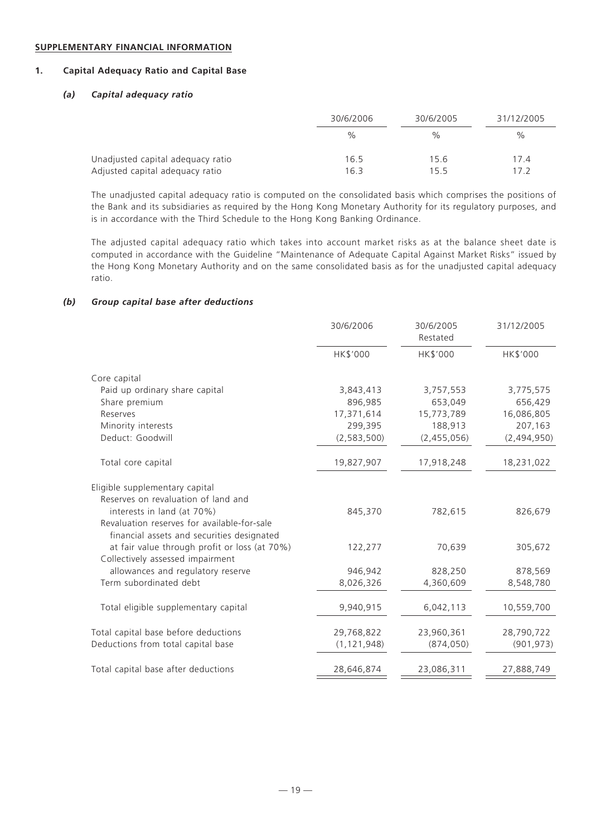#### **SUPPLEMENTARY FINANCIAL INFORMATION**

# **1. Capital Adequacy Ratio and Capital Base**

#### *(a) Capital adequacy ratio*

|                                   | 30/6/2006 | 30/6/2005 | 31/12/2005    |
|-----------------------------------|-----------|-----------|---------------|
|                                   | $\%$      | %         | $\frac{0}{0}$ |
| Unadjusted capital adequacy ratio | 16.5      | 15.6      | 17.4          |
| Adjusted capital adequacy ratio   | 16.3      | 15.5      | 17 2          |

The unadjusted capital adequacy ratio is computed on the consolidated basis which comprises the positions of the Bank and its subsidiaries as required by the Hong Kong Monetary Authority for its regulatory purposes, and is in accordance with the Third Schedule to the Hong Kong Banking Ordinance.

The adjusted capital adequacy ratio which takes into account market risks as at the balance sheet date is computed in accordance with the Guideline "Maintenance of Adequate Capital Against Market Risks" issued by the Hong Kong Monetary Authority and on the same consolidated basis as for the unadjusted capital adequacy ratio.

#### *(b) Group capital base after deductions*

|                                                                                           | 30/6/2006     | 30/6/2005<br>Restated | 31/12/2005  |
|-------------------------------------------------------------------------------------------|---------------|-----------------------|-------------|
|                                                                                           | HK\$'000      | HK\$'000              | HK\$'000    |
| Core capital                                                                              |               |                       |             |
| Paid up ordinary share capital                                                            | 3,843,413     | 3,757,553             | 3,775,575   |
| Share premium                                                                             | 896,985       | 653,049               | 656,429     |
| Reserves                                                                                  | 17,371,614    | 15,773,789            | 16,086,805  |
| Minority interests                                                                        | 299,395       | 188,913               | 207,163     |
| Deduct: Goodwill                                                                          | (2, 583, 500) | (2,455,056)           | (2,494,950) |
| Total core capital                                                                        | 19,827,907    | 17,918,248            | 18,231,022  |
| Eligible supplementary capital                                                            |               |                       |             |
| Reserves on revaluation of land and                                                       |               |                       |             |
| interests in land (at 70%)                                                                | 845,370       | 782,615               | 826,679     |
| Revaluation reserves for available-for-sale<br>financial assets and securities designated |               |                       |             |
| at fair value through profit or loss (at 70%)<br>Collectively assessed impairment         | 122,277       | 70,639                | 305,672     |
| allowances and regulatory reserve                                                         | 946,942       | 828,250               | 878,569     |
| Term subordinated debt                                                                    | 8,026,326     | 4,360,609             | 8,548,780   |
| Total eligible supplementary capital                                                      | 9,940,915     | 6,042,113             | 10,559,700  |
| Total capital base before deductions                                                      | 29,768,822    | 23,960,361            | 28,790,722  |
| Deductions from total capital base                                                        | (1, 121, 948) | (874, 050)            | (901, 973)  |
| Total capital base after deductions                                                       | 28,646,874    | 23,086,311            | 27,888,749  |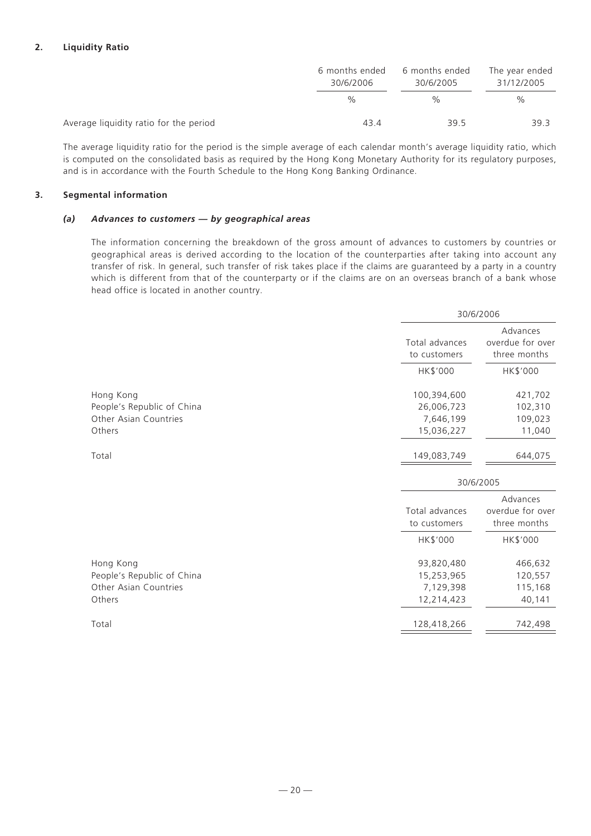# **2. Liquidity Ratio**

|                                        | 6 months ended<br>30/6/2006 | 6 months ended<br>30/6/2005 | The year ended<br>31/12/2005 |  |
|----------------------------------------|-----------------------------|-----------------------------|------------------------------|--|
|                                        | $\%$                        | $\frac{1}{2}$               | $\%$                         |  |
| Average liquidity ratio for the period | 43.4                        | 39.5                        | 39.3                         |  |

The average liquidity ratio for the period is the simple average of each calendar month's average liquidity ratio, which is computed on the consolidated basis as required by the Hong Kong Monetary Authority for its regulatory purposes, and is in accordance with the Fourth Schedule to the Hong Kong Banking Ordinance.

# **3. Segmental information**

# *(a) Advances to customers — by geographical areas*

The information concerning the breakdown of the gross amount of advances to customers by countries or geographical areas is derived according to the location of the counterparties after taking into account any transfer of risk. In general, such transfer of risk takes place if the claims are guaranteed by a party in a country which is different from that of the counterparty or if the claims are on an overseas branch of a bank whose head office is located in another country.

|                                                                            | 30/6/2006                                           |                                                          |  |
|----------------------------------------------------------------------------|-----------------------------------------------------|----------------------------------------------------------|--|
|                                                                            | Total advances<br>to customers                      | Advances<br>overdue for over<br>three months             |  |
|                                                                            | HK\$'000                                            | HK\$'000                                                 |  |
| Hong Kong<br>People's Republic of China                                    | 100,394,600<br>26,006,723                           | 421,702<br>102,310                                       |  |
| Other Asian Countries<br>Others                                            | 7,646,199<br>15,036,227                             | 109,023<br>11,040                                        |  |
| Total                                                                      | 149,083,749                                         | 644,075                                                  |  |
|                                                                            |                                                     | 30/6/2005                                                |  |
|                                                                            | Total advances<br>to customers<br>HK\$'000          | Advances<br>overdue for over<br>three months<br>HK\$'000 |  |
| Hong Kong<br>People's Republic of China<br>Other Asian Countries<br>Others | 93,820,480<br>15,253,965<br>7,129,398<br>12,214,423 | 466,632<br>120,557<br>115,168<br>40,141                  |  |
| Total                                                                      | 128,418,266                                         | 742,498                                                  |  |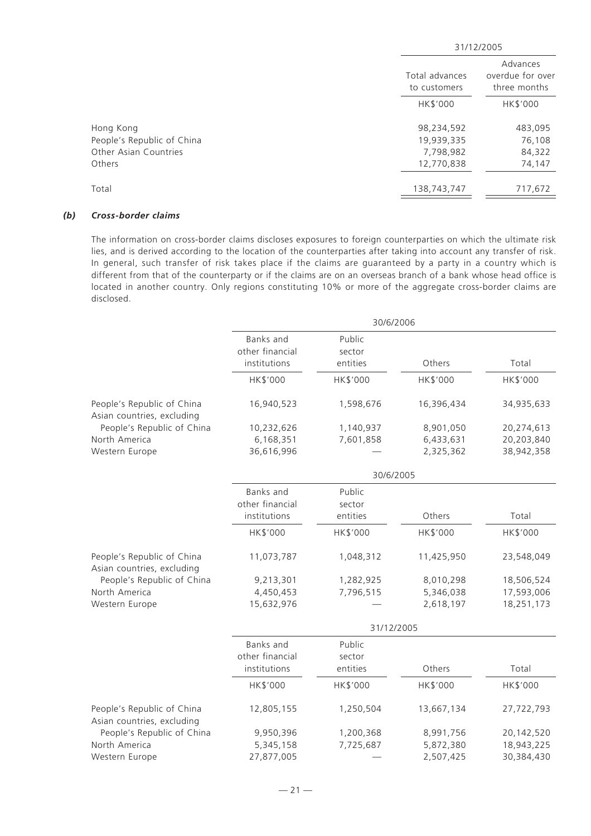|                                                                            | 31/12/2005                                          |                                              |  |
|----------------------------------------------------------------------------|-----------------------------------------------------|----------------------------------------------|--|
|                                                                            | Total advances<br>to customers                      | Advances<br>overdue for over<br>three months |  |
|                                                                            | HK\$'000                                            | HK\$'000                                     |  |
| Hong Kong<br>People's Republic of China<br>Other Asian Countries<br>Others | 98,234,592<br>19,939,335<br>7,798,982<br>12,770,838 | 483,095<br>76,108<br>84,322<br>74,147        |  |
| Total                                                                      | 138,743,747                                         | 717,672                                      |  |

#### *(b) Cross-border claims*

The information on cross-border claims discloses exposures to foreign counterparties on which the ultimate risk lies, and is derived according to the location of the counterparties after taking into account any transfer of risk. In general, such transfer of risk takes place if the claims are guaranteed by a party in a country which is different from that of the counterparty or if the claims are on an overseas branch of a bank whose head office is located in another country. Only regions constituting 10% or more of the aggregate cross-border claims are disclosed.

|                                                          | 30/6/2006                                           |                              |            |            |  |  |
|----------------------------------------------------------|-----------------------------------------------------|------------------------------|------------|------------|--|--|
|                                                          | Banks and<br>other financial<br>institutions        | Public<br>sector<br>entities | Others     | Total      |  |  |
|                                                          | HK\$'000                                            | HK\$'000                     | HK\$'000   | HK\$'000   |  |  |
| People's Republic of China<br>Asian countries, excluding | 16,940,523                                          | 1,598,676                    | 16,396,434 | 34,935,633 |  |  |
| People's Republic of China                               | 10,232,626                                          | 1,140,937                    | 8,901,050  | 20,274,613 |  |  |
| North America                                            | 6,168,351                                           | 7,601,858                    | 6,433,631  | 20,203,840 |  |  |
| Western Europe                                           | 36,616,996                                          |                              | 2,325,362  | 38,942,358 |  |  |
|                                                          |                                                     | 30/6/2005                    |            |            |  |  |
|                                                          | Banks and<br>other financial                        | Public<br>sector             |            |            |  |  |
|                                                          | institutions                                        | entities                     | Others     | Total      |  |  |
|                                                          | HK\$'000                                            | HK\$'000                     | HK\$'000   | HK\$'000   |  |  |
| People's Republic of China<br>Asian countries, excluding | 11,073,787                                          | 1,048,312                    | 11,425,950 | 23,548,049 |  |  |
| People's Republic of China                               | 9,213,301                                           | 1,282,925                    | 8,010,298  | 18,506,524 |  |  |
| North America                                            | 4,450,453                                           | 7,796,515                    | 5,346,038  | 17,593,006 |  |  |
| Western Europe                                           | 15,632,976                                          |                              | 2,618,197  | 18,251,173 |  |  |
|                                                          | 31/12/2005                                          |                              |            |            |  |  |
|                                                          | <b>Banks</b> and<br>other financial<br>institutions | Public<br>sector<br>entities | Others     | Total      |  |  |
|                                                          |                                                     |                              |            |            |  |  |
|                                                          | HK\$'000                                            | HK\$'000                     | HK\$'000   | HK\$'000   |  |  |
| People's Republic of China<br>Asian countries, excluding | 12,805,155                                          | 1,250,504                    | 13,667,134 | 27,722,793 |  |  |
| People's Republic of China                               | 9,950,396                                           | 1,200,368                    | 8,991,756  | 20,142,520 |  |  |
| North America                                            | 5,345,158                                           | 7,725,687                    | 5,872,380  | 18,943,225 |  |  |
| Western Europe                                           | 27,877,005                                          |                              | 2,507,425  | 30,384,430 |  |  |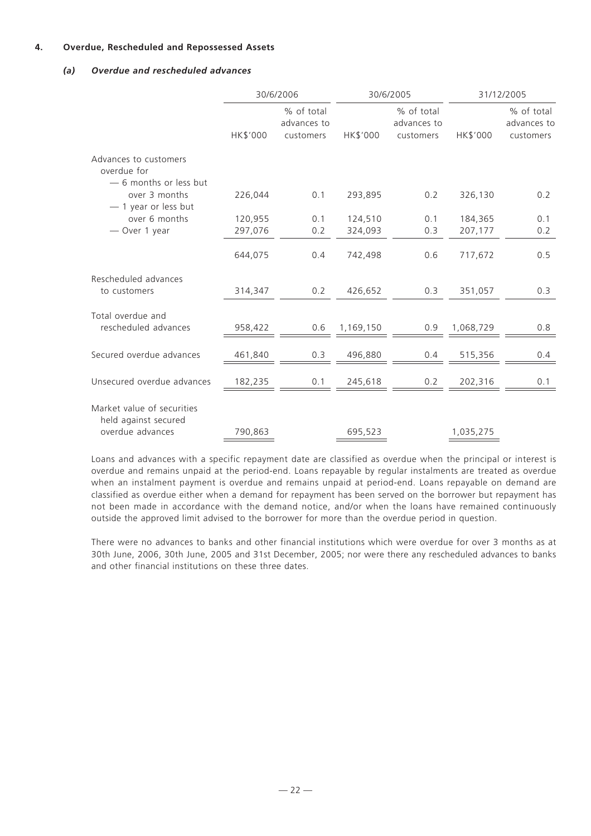# **4. Overdue, Rescheduled and Repossessed Assets**

# *(a) Overdue and rescheduled advances*

|                                                                        | 30/6/2006       |                                        |           | 30/6/2005                              |                 | 31/12/2005                             |  |
|------------------------------------------------------------------------|-----------------|----------------------------------------|-----------|----------------------------------------|-----------------|----------------------------------------|--|
|                                                                        | <b>HK\$'000</b> | % of total<br>advances to<br>customers | HK\$'000  | % of total<br>advances to<br>customers | <b>HK\$'000</b> | % of total<br>advances to<br>customers |  |
| Advances to customers<br>overdue for                                   |                 |                                        |           |                                        |                 |                                        |  |
| - 6 months or less but<br>over 3 months<br>$-1$ year or less but       | 226,044         | 0.1                                    | 293,895   | 0.2                                    | 326,130         | 0.2                                    |  |
| over 6 months                                                          | 120,955         | 0.1                                    | 124,510   | 0.1                                    | 184,365         | 0.1                                    |  |
| - Over 1 year                                                          | 297,076         | 0.2                                    | 324,093   | 0.3                                    | 207,177         | 0.2                                    |  |
|                                                                        | 644,075         | 0.4                                    | 742,498   | 0.6                                    | 717,672         | 0.5                                    |  |
| Rescheduled advances<br>to customers                                   | 314,347         | 0.2                                    | 426,652   | 0.3                                    | 351,057         | 0.3                                    |  |
| Total overdue and<br>rescheduled advances                              | 958,422         | 0.6                                    | 1,169,150 | 0.9                                    | 1,068,729       | 0.8                                    |  |
| Secured overdue advances                                               | 461,840         | 0.3                                    | 496,880   | 0.4                                    | 515,356         | 0.4                                    |  |
| Unsecured overdue advances                                             | 182,235         | 0.1                                    | 245,618   | 0.2                                    | 202,316         | 0.1                                    |  |
| Market value of securities<br>held against secured<br>overdue advances | 790,863         |                                        | 695,523   |                                        | 1,035,275       |                                        |  |

Loans and advances with a specific repayment date are classified as overdue when the principal or interest is overdue and remains unpaid at the period-end. Loans repayable by regular instalments are treated as overdue when an instalment payment is overdue and remains unpaid at period-end. Loans repayable on demand are classified as overdue either when a demand for repayment has been served on the borrower but repayment has not been made in accordance with the demand notice, and/or when the loans have remained continuously outside the approved limit advised to the borrower for more than the overdue period in question.

There were no advances to banks and other financial institutions which were overdue for over 3 months as at 30th June, 2006, 30th June, 2005 and 31st December, 2005; nor were there any rescheduled advances to banks and other financial institutions on these three dates.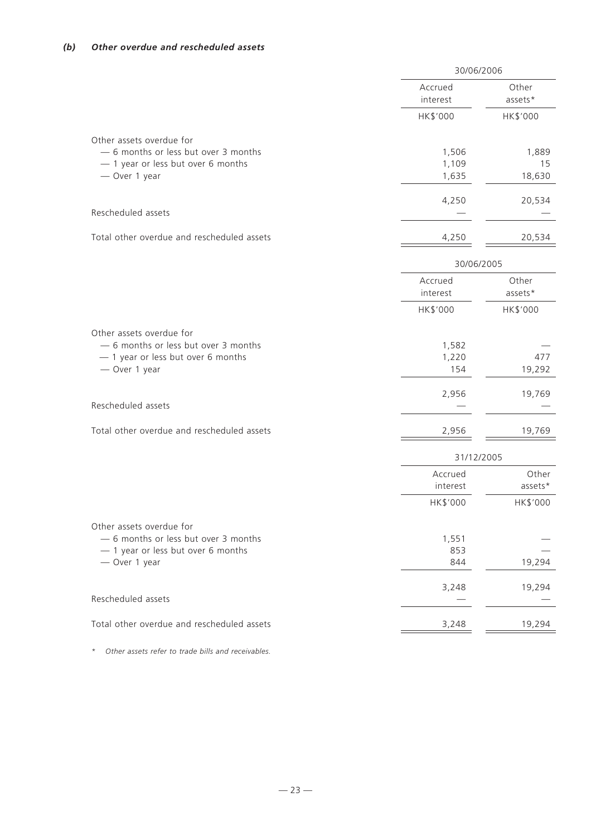|                                                                  | 30/06/2006          |                  |
|------------------------------------------------------------------|---------------------|------------------|
|                                                                  | Accrued<br>interest | Other<br>assets* |
|                                                                  | HK\$'000            | HK\$'000         |
| Other assets overdue for<br>- 6 months or less but over 3 months | 1,506               | 1,889            |
| - 1 year or less but over 6 months<br>- Over 1 year              | 1,109<br>1,635      | 15<br>18,630     |
|                                                                  | 4,250               | 20,534           |
| Rescheduled assets                                               |                     |                  |
| Total other overdue and rescheduled assets                       | 4,250               | 20,534           |
|                                                                  | 30/06/2005          |                  |
|                                                                  | Accrued<br>interest | Other<br>assets* |
|                                                                  | HK\$'000            | HK\$'000         |
| Other assets overdue for<br>- 6 months or less but over 3 months | 1,582               |                  |
| - 1 year or less but over 6 months<br>- Over 1 year              | 1,220<br>154        | 477<br>19,292    |
|                                                                  | 2,956               | 19,769           |
| Rescheduled assets                                               |                     |                  |
| Total other overdue and rescheduled assets                       | 2,956               | 19,769           |
|                                                                  | 31/12/2005          |                  |
|                                                                  | Accrued<br>interest | Other<br>assets* |
|                                                                  | HK\$'000            | HK\$'000         |
| Other assets overdue for<br>- 6 months or less but over 3 months |                     |                  |
| - 1 year or less but over 6 months                               | 1,551<br>853        |                  |
| - Over 1 year                                                    | 844                 | 19,294           |
| Rescheduled assets                                               | 3,248               | 19,294           |
|                                                                  |                     |                  |
| Total other overdue and rescheduled assets                       | 3,248               | 19,294           |

*\* Other assets refer to trade bills and receivables.*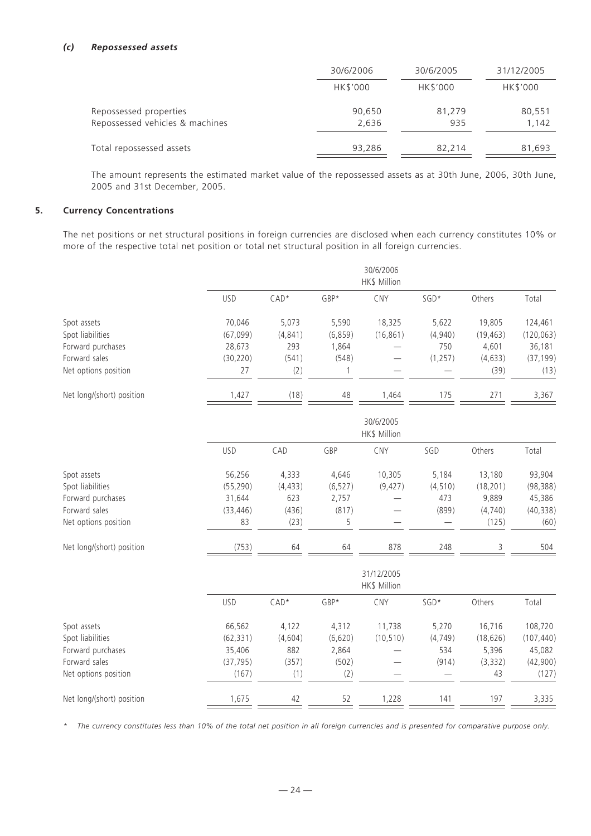#### *(c) Repossessed assets*

|                                 | 30/6/2006 | 30/6/2005 | 31/12/2005 |
|---------------------------------|-----------|-----------|------------|
|                                 | HK\$'000  | HK\$'000  | HK\$'000   |
| Repossessed properties          | 90,650    | 81,279    | 80,551     |
| Repossessed vehicles & machines | 2,636     | 935       | 1,142      |
| Total repossessed assets        | 93,286    | 82.214    | 81,693     |

The amount represents the estimated market value of the repossessed assets as at 30th June, 2006, 30th June, 2005 and 31st December, 2005.

#### **5. Currency Concentrations**

The net positions or net structural positions in foreign currencies are disclosed when each currency constitutes 10% or more of the respective total net position or total net structural position in all foreign currencies.

|                                 | 30/6/2006<br>HK\$ Million |                   |                   |                            |                  |                     |                       |
|---------------------------------|---------------------------|-------------------|-------------------|----------------------------|------------------|---------------------|-----------------------|
|                                 | <b>USD</b>                | $CAD*$            | GBP*              | CNY                        | SGD*             | Others              | Total                 |
| Spot assets<br>Spot liabilities | 70,046<br>(67,099)        | 5,073<br>(4, 841) | 5,590<br>(6, 859) | 18,325<br>(16, 861)        | 5,622<br>(4,940) | 19,805<br>(19, 463) | 124,461<br>(120, 063) |
| Forward purchases               | 28,673                    | 293               | 1,864             |                            | 750              | 4,601               | 36,181                |
| Forward sales                   | (30, 220)                 | (541)             | (548)             |                            | (1, 257)         | (4, 633)            | (37, 199)             |
| Net options position            | 27                        | (2)               | $\mathbf{1}$      |                            |                  | (39)                | (13)                  |
| Net long/(short) position       | 1,427                     | (18)              | 48                | 1,464                      | 175              | 271                 | 3,367                 |
|                                 | 30/6/2005<br>HK\$ Million |                   |                   |                            |                  |                     |                       |
|                                 | <b>USD</b>                | CAD               | GBP               | CNY                        | SGD              | Others              | Total                 |
| Spot assets                     | 56,256                    | 4,333             | 4,646             | 10,305                     | 5,184            | 13,180              | 93,904                |
| Spot liabilities                | (55, 290)                 | (4, 433)          | (6, 527)          | (9, 427)                   | (4, 510)         | (18, 201)           | (98, 388)             |
| Forward purchases               | 31,644                    | 623               | 2,757             |                            | 473              | 9,889               | 45,386                |
| Forward sales                   | (33, 446)                 | (436)             | (817)             |                            | (899)            | (4,740)             | (40, 338)             |
| Net options position            | 83                        | (23)              | 5                 |                            |                  | (125)               | (60)                  |
| Net long/(short) position       | (753)                     | 64                | 64                | 878                        | 248              | 3                   | 504                   |
|                                 |                           |                   |                   | 31/12/2005<br>HK\$ Million |                  |                     |                       |
|                                 | <b>USD</b>                | $CAD*$            | GBP*              | CNY                        | SGD*             | Others              | Total                 |
| Spot assets                     | 66,562                    | 4,122             | 4,312             | 11,738                     | 5,270            | 16,716              | 108,720               |
| Spot liabilities                | (62, 331)                 | (4,604)           | (6,620)           | (10, 510)                  | (4, 749)         | (18, 626)           | (107, 440)            |
| Forward purchases               | 35,406                    | 882               | 2,864             |                            | 534              | 5,396               | 45,082                |
| Forward sales                   | (37, 795)                 | (357)             | (502)             |                            | (914)            | (3, 332)            | (42,900)              |
| Net options position            | (167)                     | (1)               | (2)               |                            |                  | 43                  | (127)                 |
| Net long/(short) position       | 1,675                     | 42                | 52                | 1,228                      | 141              | 197                 | 3,335                 |

*\* The currency constitutes less than 10% of the total net position in all foreign currencies and is presented for comparative purpose only.*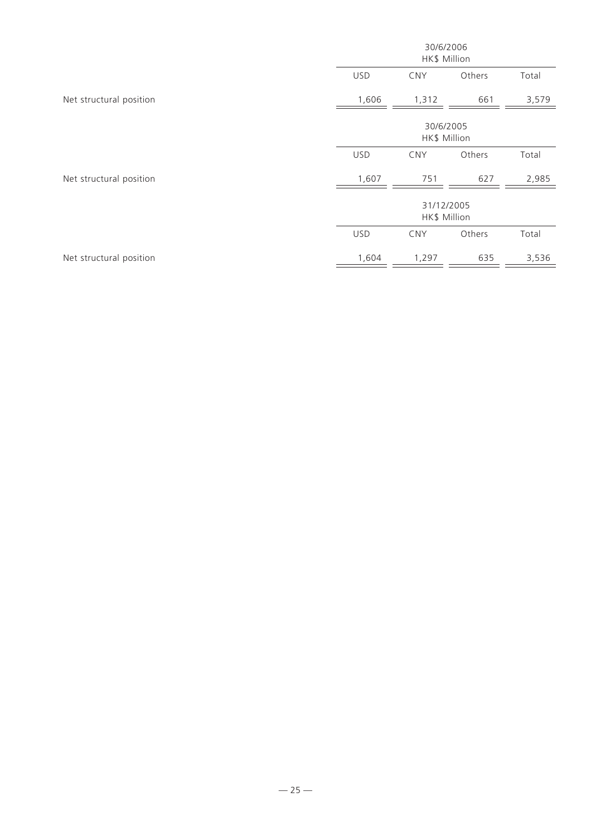|                         | 30/6/2006<br>HK\$ Million  |            |        |       |  |  |
|-------------------------|----------------------------|------------|--------|-------|--|--|
|                         | <b>USD</b>                 | <b>CNY</b> | Others | Total |  |  |
| Net structural position | 1,606                      | 1,312      | 661    | 3,579 |  |  |
|                         | 30/6/2005<br>HK\$ Million  |            |        |       |  |  |
|                         | <b>USD</b>                 | <b>CNY</b> | Others | Total |  |  |
| Net structural position | 1,607                      | 751        | 627    | 2,985 |  |  |
|                         | 31/12/2005<br>HK\$ Million |            |        |       |  |  |
|                         | <b>USD</b>                 | <b>CNY</b> | Others | Total |  |  |
| Net structural position | 1,604                      | 1,297      | 635    | 3,536 |  |  |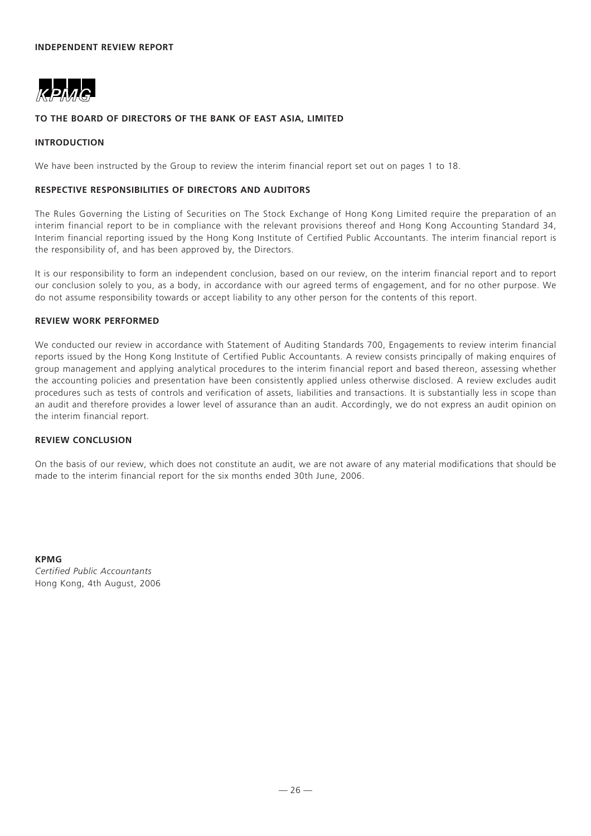

#### **TO THE BOARD OF DIRECTORS OF THE BANK OF EAST ASIA, LIMITED**

#### **INTRODUCTION**

We have been instructed by the Group to review the interim financial report set out on pages 1 to 18.

#### **RESPECTIVE RESPONSIBILITIES OF DIRECTORS AND AUDITORS**

The Rules Governing the Listing of Securities on The Stock Exchange of Hong Kong Limited require the preparation of an interim financial report to be in compliance with the relevant provisions thereof and Hong Kong Accounting Standard 34, Interim financial reporting issued by the Hong Kong Institute of Certified Public Accountants. The interim financial report is the responsibility of, and has been approved by, the Directors.

It is our responsibility to form an independent conclusion, based on our review, on the interim financial report and to report our conclusion solely to you, as a body, in accordance with our agreed terms of engagement, and for no other purpose. We do not assume responsibility towards or accept liability to any other person for the contents of this report.

#### **REVIEW WORK PERFORMED**

We conducted our review in accordance with Statement of Auditing Standards 700, Engagements to review interim financial reports issued by the Hong Kong Institute of Certified Public Accountants. A review consists principally of making enquires of group management and applying analytical procedures to the interim financial report and based thereon, assessing whether the accounting policies and presentation have been consistently applied unless otherwise disclosed. A review excludes audit procedures such as tests of controls and verification of assets, liabilities and transactions. It is substantially less in scope than an audit and therefore provides a lower level of assurance than an audit. Accordingly, we do not express an audit opinion on the interim financial report.

#### **REVIEW CONCLUSION**

On the basis of our review, which does not constitute an audit, we are not aware of any material modifications that should be made to the interim financial report for the six months ended 30th June, 2006.

**KPMG** *Certified Public Accountants* Hong Kong, 4th August, 2006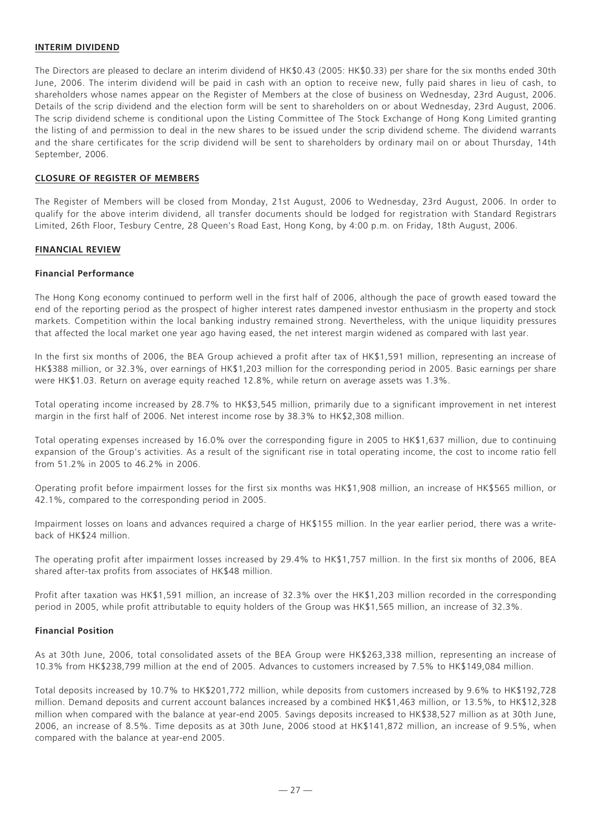# **INTERIM DIVIDEND**

The Directors are pleased to declare an interim dividend of HK\$0.43 (2005: HK\$0.33) per share for the six months ended 30th June, 2006. The interim dividend will be paid in cash with an option to receive new, fully paid shares in lieu of cash, to shareholders whose names appear on the Register of Members at the close of business on Wednesday, 23rd August, 2006. Details of the scrip dividend and the election form will be sent to shareholders on or about Wednesday, 23rd August, 2006. The scrip dividend scheme is conditional upon the Listing Committee of The Stock Exchange of Hong Kong Limited granting the listing of and permission to deal in the new shares to be issued under the scrip dividend scheme. The dividend warrants and the share certificates for the scrip dividend will be sent to shareholders by ordinary mail on or about Thursday, 14th September, 2006.

#### **CLOSURE OF REGISTER OF MEMBERS**

The Register of Members will be closed from Monday, 21st August, 2006 to Wednesday, 23rd August, 2006. In order to qualify for the above interim dividend, all transfer documents should be lodged for registration with Standard Registrars Limited, 26th Floor, Tesbury Centre, 28 Queen's Road East, Hong Kong, by 4:00 p.m. on Friday, 18th August, 2006.

#### **FINANCIAL REVIEW**

#### **Financial Performance**

The Hong Kong economy continued to perform well in the first half of 2006, although the pace of growth eased toward the end of the reporting period as the prospect of higher interest rates dampened investor enthusiasm in the property and stock markets. Competition within the local banking industry remained strong. Nevertheless, with the unique liquidity pressures that affected the local market one year ago having eased, the net interest margin widened as compared with last year.

In the first six months of 2006, the BEA Group achieved a profit after tax of HK\$1,591 million, representing an increase of HK\$388 million, or 32.3%, over earnings of HK\$1,203 million for the corresponding period in 2005. Basic earnings per share were HK\$1.03. Return on average equity reached 12.8%, while return on average assets was 1.3%.

Total operating income increased by 28.7% to HK\$3,545 million, primarily due to a significant improvement in net interest margin in the first half of 2006. Net interest income rose by 38.3% to HK\$2,308 million.

Total operating expenses increased by 16.0% over the corresponding figure in 2005 to HK\$1,637 million, due to continuing expansion of the Group's activities. As a result of the significant rise in total operating income, the cost to income ratio fell from 51.2% in 2005 to 46.2% in 2006.

Operating profit before impairment losses for the first six months was HK\$1,908 million, an increase of HK\$565 million, or 42.1%, compared to the corresponding period in 2005.

Impairment losses on loans and advances required a charge of HK\$155 million. In the year earlier period, there was a writeback of HK\$24 million.

The operating profit after impairment losses increased by 29.4% to HK\$1,757 million. In the first six months of 2006, BEA shared after-tax profits from associates of HK\$48 million.

Profit after taxation was HK\$1,591 million, an increase of 32.3% over the HK\$1,203 million recorded in the corresponding period in 2005, while profit attributable to equity holders of the Group was HK\$1,565 million, an increase of 32.3%.

#### **Financial Position**

As at 30th June, 2006, total consolidated assets of the BEA Group were HK\$263,338 million, representing an increase of 10.3% from HK\$238,799 million at the end of 2005. Advances to customers increased by 7.5% to HK\$149,084 million.

Total deposits increased by 10.7% to HK\$201,772 million, while deposits from customers increased by 9.6% to HK\$192,728 million. Demand deposits and current account balances increased by a combined HK\$1,463 million, or 13.5%, to HK\$12,328 million when compared with the balance at year-end 2005. Savings deposits increased to HK\$38,527 million as at 30th June, 2006, an increase of 8.5%. Time deposits as at 30th June, 2006 stood at HK\$141,872 million, an increase of 9.5%, when compared with the balance at year-end 2005.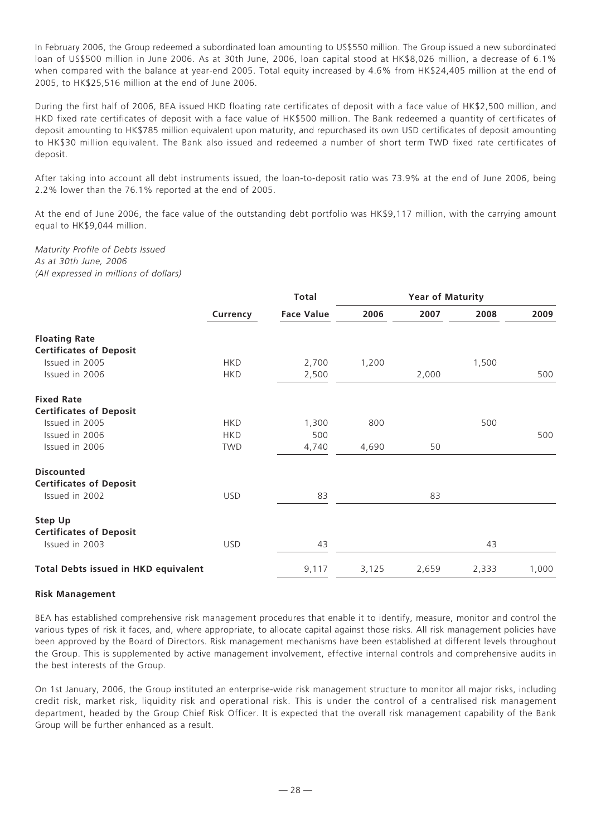In February 2006, the Group redeemed a subordinated loan amounting to US\$550 million. The Group issued a new subordinated loan of US\$500 million in June 2006. As at 30th June, 2006, loan capital stood at HK\$8,026 million, a decrease of 6.1% when compared with the balance at year-end 2005. Total equity increased by 4.6% from HK\$24,405 million at the end of 2005, to HK\$25,516 million at the end of June 2006.

During the first half of 2006, BEA issued HKD floating rate certificates of deposit with a face value of HK\$2,500 million, and HKD fixed rate certificates of deposit with a face value of HK\$500 million. The Bank redeemed a quantity of certificates of deposit amounting to HK\$785 million equivalent upon maturity, and repurchased its own USD certificates of deposit amounting to HK\$30 million equivalent. The Bank also issued and redeemed a number of short term TWD fixed rate certificates of deposit.

After taking into account all debt instruments issued, the loan-to-deposit ratio was 73.9% at the end of June 2006, being 2.2% lower than the 76.1% reported at the end of 2005.

At the end of June 2006, the face value of the outstanding debt portfolio was HK\$9,117 million, with the carrying amount equal to HK\$9,044 million.

*Maturity Profile of Debts Issued As at 30th June, 2006 (All expressed in millions of dollars)*

|                                             |            | <b>Total</b>      |       | <b>Year of Maturity</b> |       |       |  |
|---------------------------------------------|------------|-------------------|-------|-------------------------|-------|-------|--|
|                                             | Currency   | <b>Face Value</b> | 2006  | 2007                    | 2008  | 2009  |  |
| <b>Floating Rate</b>                        |            |                   |       |                         |       |       |  |
| <b>Certificates of Deposit</b>              |            |                   |       |                         |       |       |  |
| Issued in 2005                              | <b>HKD</b> | 2,700             | 1,200 |                         | 1,500 |       |  |
| Issued in 2006                              | <b>HKD</b> | 2,500             |       | 2,000                   |       | 500   |  |
| <b>Fixed Rate</b>                           |            |                   |       |                         |       |       |  |
| <b>Certificates of Deposit</b>              |            |                   |       |                         |       |       |  |
| Issued in 2005                              | <b>HKD</b> | 1,300             | 800   |                         | 500   |       |  |
| Issued in 2006                              | <b>HKD</b> | 500               |       |                         |       | 500   |  |
| Issued in 2006                              | <b>TWD</b> | 4,740             | 4,690 | 50                      |       |       |  |
| <b>Discounted</b>                           |            |                   |       |                         |       |       |  |
| <b>Certificates of Deposit</b>              |            |                   |       |                         |       |       |  |
| Issued in 2002                              | <b>USD</b> | 83                |       | 83                      |       |       |  |
| <b>Step Up</b>                              |            |                   |       |                         |       |       |  |
| <b>Certificates of Deposit</b>              |            |                   |       |                         |       |       |  |
| Issued in 2003                              | <b>USD</b> | 43                |       |                         | 43    |       |  |
| <b>Total Debts issued in HKD equivalent</b> |            | 9,117             | 3,125 | 2,659                   | 2,333 | 1,000 |  |

#### **Risk Management**

BEA has established comprehensive risk management procedures that enable it to identify, measure, monitor and control the various types of risk it faces, and, where appropriate, to allocate capital against those risks. All risk management policies have been approved by the Board of Directors. Risk management mechanisms have been established at different levels throughout the Group. This is supplemented by active management involvement, effective internal controls and comprehensive audits in the best interests of the Group.

On 1st January, 2006, the Group instituted an enterprise-wide risk management structure to monitor all major risks, including credit risk, market risk, liquidity risk and operational risk. This is under the control of a centralised risk management department, headed by the Group Chief Risk Officer. It is expected that the overall risk management capability of the Bank Group will be further enhanced as a result.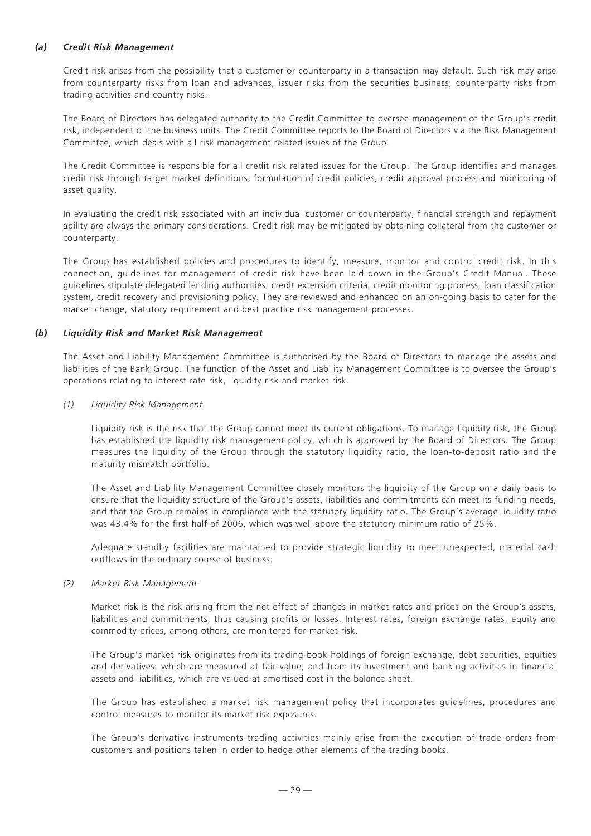# *(a) Credit Risk Management*

Credit risk arises from the possibility that a customer or counterparty in a transaction may default. Such risk may arise from counterparty risks from loan and advances, issuer risks from the securities business, counterparty risks from trading activities and country risks.

The Board of Directors has delegated authority to the Credit Committee to oversee management of the Group's credit risk, independent of the business units. The Credit Committee reports to the Board of Directors via the Risk Management Committee, which deals with all risk management related issues of the Group.

The Credit Committee is responsible for all credit risk related issues for the Group. The Group identifies and manages credit risk through target market definitions, formulation of credit policies, credit approval process and monitoring of asset quality.

In evaluating the credit risk associated with an individual customer or counterparty, financial strength and repayment ability are always the primary considerations. Credit risk may be mitigated by obtaining collateral from the customer or counterparty.

The Group has established policies and procedures to identify, measure, monitor and control credit risk. In this connection, guidelines for management of credit risk have been laid down in the Group's Credit Manual. These guidelines stipulate delegated lending authorities, credit extension criteria, credit monitoring process, loan classification system, credit recovery and provisioning policy. They are reviewed and enhanced on an on-going basis to cater for the market change, statutory requirement and best practice risk management processes.

#### *(b) Liquidity Risk and Market Risk Management*

The Asset and Liability Management Committee is authorised by the Board of Directors to manage the assets and liabilities of the Bank Group. The function of the Asset and Liability Management Committee is to oversee the Group's operations relating to interest rate risk, liquidity risk and market risk.

#### *(1) Liquidity Risk Management*

Liquidity risk is the risk that the Group cannot meet its current obligations. To manage liquidity risk, the Group has established the liquidity risk management policy, which is approved by the Board of Directors. The Group measures the liquidity of the Group through the statutory liquidity ratio, the loan-to-deposit ratio and the maturity mismatch portfolio.

The Asset and Liability Management Committee closely monitors the liquidity of the Group on a daily basis to ensure that the liquidity structure of the Group's assets, liabilities and commitments can meet its funding needs, and that the Group remains in compliance with the statutory liquidity ratio. The Group's average liquidity ratio was 43.4% for the first half of 2006, which was well above the statutory minimum ratio of 25%.

Adequate standby facilities are maintained to provide strategic liquidity to meet unexpected, material cash outflows in the ordinary course of business.

#### *(2) Market Risk Management*

Market risk is the risk arising from the net effect of changes in market rates and prices on the Group's assets, liabilities and commitments, thus causing profits or losses. Interest rates, foreign exchange rates, equity and commodity prices, among others, are monitored for market risk.

The Group's market risk originates from its trading-book holdings of foreign exchange, debt securities, equities and derivatives, which are measured at fair value; and from its investment and banking activities in financial assets and liabilities, which are valued at amortised cost in the balance sheet.

The Group has established a market risk management policy that incorporates guidelines, procedures and control measures to monitor its market risk exposures.

The Group's derivative instruments trading activities mainly arise from the execution of trade orders from customers and positions taken in order to hedge other elements of the trading books.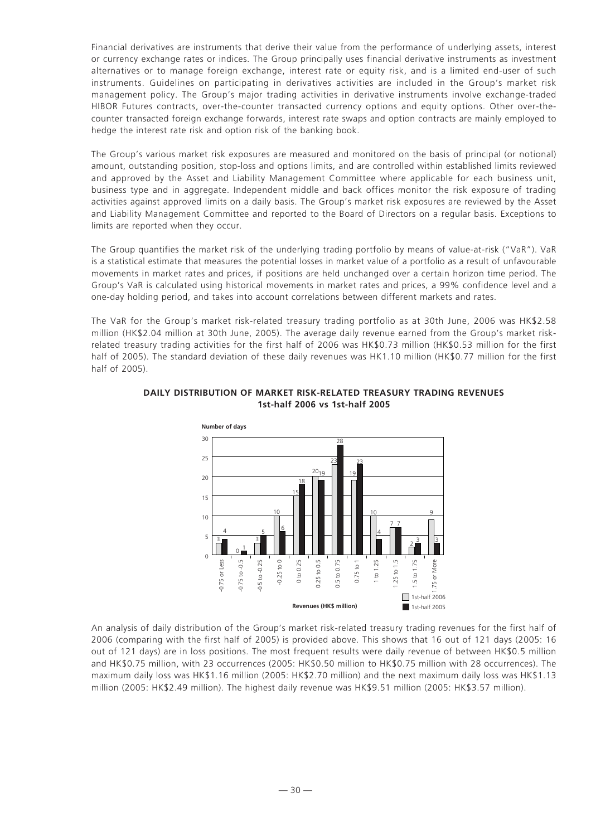Financial derivatives are instruments that derive their value from the performance of underlying assets, interest or currency exchange rates or indices. The Group principally uses financial derivative instruments as investment alternatives or to manage foreign exchange, interest rate or equity risk, and is a limited end-user of such instruments. Guidelines on participating in derivatives activities are included in the Group's market risk management policy. The Group's major trading activities in derivative instruments involve exchange-traded HIBOR Futures contracts, over-the-counter transacted currency options and equity options. Other over-thecounter transacted foreign exchange forwards, interest rate swaps and option contracts are mainly employed to hedge the interest rate risk and option risk of the banking book.

The Group's various market risk exposures are measured and monitored on the basis of principal (or notional) amount, outstanding position, stop-loss and options limits, and are controlled within established limits reviewed and approved by the Asset and Liability Management Committee where applicable for each business unit, business type and in aggregate. Independent middle and back offices monitor the risk exposure of trading activities against approved limits on a daily basis. The Group's market risk exposures are reviewed by the Asset and Liability Management Committee and reported to the Board of Directors on a regular basis. Exceptions to limits are reported when they occur.

The Group quantifies the market risk of the underlying trading portfolio by means of value-at-risk ("VaR"). VaR is a statistical estimate that measures the potential losses in market value of a portfolio as a result of unfavourable movements in market rates and prices, if positions are held unchanged over a certain horizon time period. The Group's VaR is calculated using historical movements in market rates and prices, a 99% confidence level and a one-day holding period, and takes into account correlations between different markets and rates.

The VaR for the Group's market risk-related treasury trading portfolio as at 30th June, 2006 was HK\$2.58 million (HK\$2.04 million at 30th June, 2005). The average daily revenue earned from the Group's market riskrelated treasury trading activities for the first half of 2006 was HK\$0.73 million (HK\$0.53 million for the first half of 2005). The standard deviation of these daily revenues was HK1.10 million (HK\$0.77 million for the first half of 2005).



# **DAILY DISTRIBUTION OF MARKET RISK-RELATED TREASURY TRADING REVENUES 1st-half 2006 vs 1st-half 2005**

An analysis of daily distribution of the Group's market risk-related treasury trading revenues for the first half of 2006 (comparing with the first half of 2005) is provided above. This shows that 16 out of 121 days (2005: 16 out of 121 days) are in loss positions. The most frequent results were daily revenue of between HK\$0.5 million and HK\$0.75 million, with 23 occurrences (2005: HK\$0.50 million to HK\$0.75 million with 28 occurrences). The maximum daily loss was HK\$1.16 million (2005: HK\$2.70 million) and the next maximum daily loss was HK\$1.13 million (2005: HK\$2.49 million). The highest daily revenue was HK\$9.51 million (2005: HK\$3.57 million).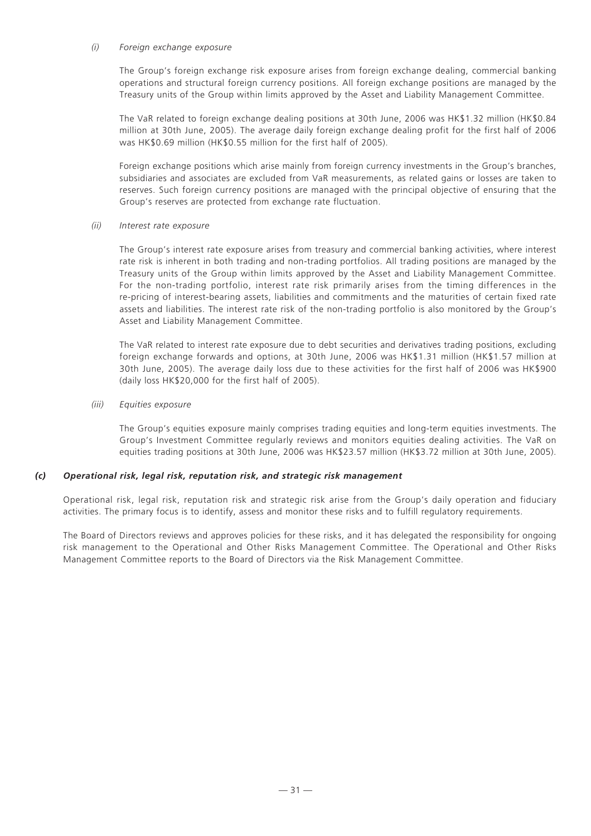#### *(i) Foreign exchange exposure*

The Group's foreign exchange risk exposure arises from foreign exchange dealing, commercial banking operations and structural foreign currency positions. All foreign exchange positions are managed by the Treasury units of the Group within limits approved by the Asset and Liability Management Committee.

The VaR related to foreign exchange dealing positions at 30th June, 2006 was HK\$1.32 million (HK\$0.84 million at 30th June, 2005). The average daily foreign exchange dealing profit for the first half of 2006 was HK\$0.69 million (HK\$0.55 million for the first half of 2005).

Foreign exchange positions which arise mainly from foreign currency investments in the Group's branches, subsidiaries and associates are excluded from VaR measurements, as related gains or losses are taken to reserves. Such foreign currency positions are managed with the principal objective of ensuring that the Group's reserves are protected from exchange rate fluctuation.

#### *(ii) Interest rate exposure*

The Group's interest rate exposure arises from treasury and commercial banking activities, where interest rate risk is inherent in both trading and non-trading portfolios. All trading positions are managed by the Treasury units of the Group within limits approved by the Asset and Liability Management Committee. For the non-trading portfolio, interest rate risk primarily arises from the timing differences in the re-pricing of interest-bearing assets, liabilities and commitments and the maturities of certain fixed rate assets and liabilities. The interest rate risk of the non-trading portfolio is also monitored by the Group's Asset and Liability Management Committee.

The VaR related to interest rate exposure due to debt securities and derivatives trading positions, excluding foreign exchange forwards and options, at 30th June, 2006 was HK\$1.31 million (HK\$1.57 million at 30th June, 2005). The average daily loss due to these activities for the first half of 2006 was HK\$900 (daily loss HK\$20,000 for the first half of 2005).

#### *(iii) Equities exposure*

The Group's equities exposure mainly comprises trading equities and long-term equities investments. The Group's Investment Committee regularly reviews and monitors equities dealing activities. The VaR on equities trading positions at 30th June, 2006 was HK\$23.57 million (HK\$3.72 million at 30th June, 2005).

#### *(c) Operational risk, legal risk, reputation risk, and strategic risk management*

Operational risk, legal risk, reputation risk and strategic risk arise from the Group's daily operation and fiduciary activities. The primary focus is to identify, assess and monitor these risks and to fulfill regulatory requirements.

The Board of Directors reviews and approves policies for these risks, and it has delegated the responsibility for ongoing risk management to the Operational and Other Risks Management Committee. The Operational and Other Risks Management Committee reports to the Board of Directors via the Risk Management Committee.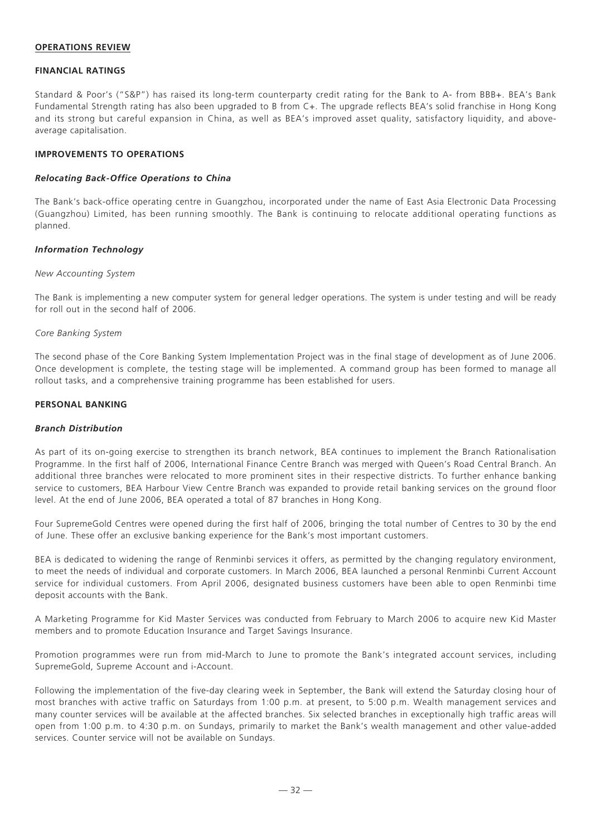#### **OPERATIONS REVIEW**

#### **FINANCIAL RATINGS**

Standard & Poor's ("S&P") has raised its long-term counterparty credit rating for the Bank to A- from BBB+. BEA's Bank Fundamental Strength rating has also been upgraded to B from C+. The upgrade reflects BEA's solid franchise in Hong Kong and its strong but careful expansion in China, as well as BEA's improved asset quality, satisfactory liquidity, and aboveaverage capitalisation.

#### **IMPROVEMENTS TO OPERATIONS**

#### *Relocating Back-Office Operations to China*

The Bank's back-office operating centre in Guangzhou, incorporated under the name of East Asia Electronic Data Processing (Guangzhou) Limited, has been running smoothly. The Bank is continuing to relocate additional operating functions as planned.

#### *Information Technology*

#### *New Accounting System*

The Bank is implementing a new computer system for general ledger operations. The system is under testing and will be ready for roll out in the second half of 2006.

#### *Core Banking System*

The second phase of the Core Banking System Implementation Project was in the final stage of development as of June 2006. Once development is complete, the testing stage will be implemented. A command group has been formed to manage all rollout tasks, and a comprehensive training programme has been established for users.

#### **PERSONAL BANKING**

#### *Branch Distribution*

As part of its on-going exercise to strengthen its branch network, BEA continues to implement the Branch Rationalisation Programme. In the first half of 2006, International Finance Centre Branch was merged with Queen's Road Central Branch. An additional three branches were relocated to more prominent sites in their respective districts. To further enhance banking service to customers, BEA Harbour View Centre Branch was expanded to provide retail banking services on the ground floor level. At the end of June 2006, BEA operated a total of 87 branches in Hong Kong.

Four SupremeGold Centres were opened during the first half of 2006, bringing the total number of Centres to 30 by the end of June. These offer an exclusive banking experience for the Bank's most important customers.

BEA is dedicated to widening the range of Renminbi services it offers, as permitted by the changing regulatory environment, to meet the needs of individual and corporate customers. In March 2006, BEA launched a personal Renminbi Current Account service for individual customers. From April 2006, designated business customers have been able to open Renminbi time deposit accounts with the Bank.

A Marketing Programme for Kid Master Services was conducted from February to March 2006 to acquire new Kid Master members and to promote Education Insurance and Target Savings Insurance.

Promotion programmes were run from mid-March to June to promote the Bank's integrated account services, including SupremeGold, Supreme Account and i-Account.

Following the implementation of the five-day clearing week in September, the Bank will extend the Saturday closing hour of most branches with active traffic on Saturdays from 1:00 p.m. at present, to 5:00 p.m. Wealth management services and many counter services will be available at the affected branches. Six selected branches in exceptionally high traffic areas will open from 1:00 p.m. to 4:30 p.m. on Sundays, primarily to market the Bank's wealth management and other value-added services. Counter service will not be available on Sundays.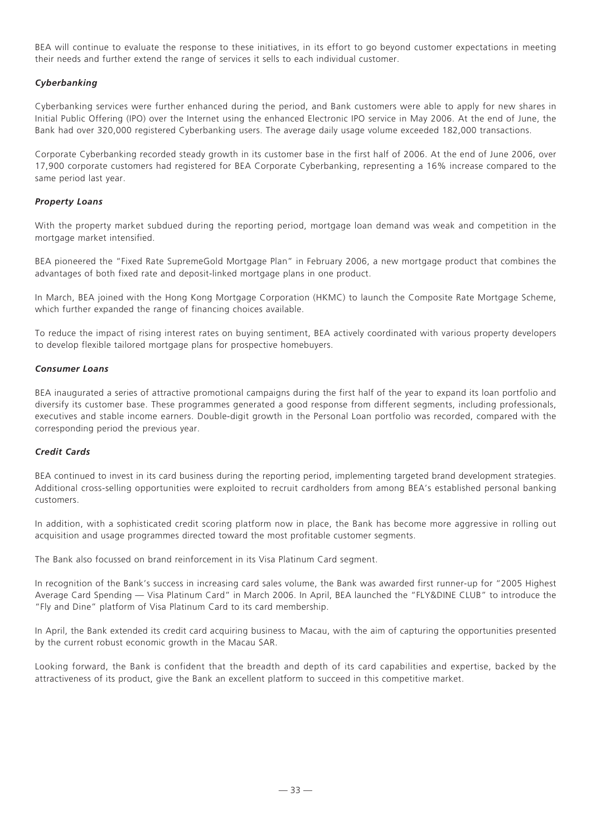BEA will continue to evaluate the response to these initiatives, in its effort to go beyond customer expectations in meeting their needs and further extend the range of services it sells to each individual customer.

# *Cyberbanking*

Cyberbanking services were further enhanced during the period, and Bank customers were able to apply for new shares in Initial Public Offering (IPO) over the Internet using the enhanced Electronic IPO service in May 2006. At the end of June, the Bank had over 320,000 registered Cyberbanking users. The average daily usage volume exceeded 182,000 transactions.

Corporate Cyberbanking recorded steady growth in its customer base in the first half of 2006. At the end of June 2006, over 17,900 corporate customers had registered for BEA Corporate Cyberbanking, representing a 16% increase compared to the same period last year.

# *Property Loans*

With the property market subdued during the reporting period, mortgage loan demand was weak and competition in the mortgage market intensified.

BEA pioneered the "Fixed Rate SupremeGold Mortgage Plan" in February 2006, a new mortgage product that combines the advantages of both fixed rate and deposit-linked mortgage plans in one product.

In March, BEA joined with the Hong Kong Mortgage Corporation (HKMC) to launch the Composite Rate Mortgage Scheme, which further expanded the range of financing choices available.

To reduce the impact of rising interest rates on buying sentiment, BEA actively coordinated with various property developers to develop flexible tailored mortgage plans for prospective homebuyers.

#### *Consumer Loans*

BEA inaugurated a series of attractive promotional campaigns during the first half of the year to expand its loan portfolio and diversify its customer base. These programmes generated a good response from different segments, including professionals, executives and stable income earners. Double-digit growth in the Personal Loan portfolio was recorded, compared with the corresponding period the previous year.

# *Credit Cards*

BEA continued to invest in its card business during the reporting period, implementing targeted brand development strategies. Additional cross-selling opportunities were exploited to recruit cardholders from among BEA's established personal banking customers.

In addition, with a sophisticated credit scoring platform now in place, the Bank has become more aggressive in rolling out acquisition and usage programmes directed toward the most profitable customer segments.

The Bank also focussed on brand reinforcement in its Visa Platinum Card segment.

In recognition of the Bank's success in increasing card sales volume, the Bank was awarded first runner-up for "2005 Highest Average Card Spending — Visa Platinum Card" in March 2006. In April, BEA launched the "FLY&DINE CLUB" to introduce the "Fly and Dine" platform of Visa Platinum Card to its card membership.

In April, the Bank extended its credit card acquiring business to Macau, with the aim of capturing the opportunities presented by the current robust economic growth in the Macau SAR.

Looking forward, the Bank is confident that the breadth and depth of its card capabilities and expertise, backed by the attractiveness of its product, give the Bank an excellent platform to succeed in this competitive market.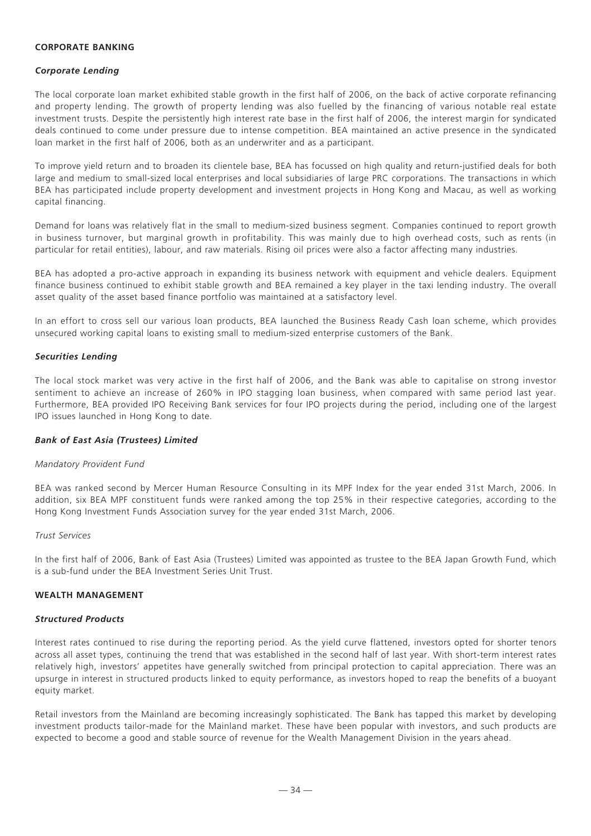#### **CORPORATE BANKING**

#### *Corporate Lending*

The local corporate loan market exhibited stable growth in the first half of 2006, on the back of active corporate refinancing and property lending. The growth of property lending was also fuelled by the financing of various notable real estate investment trusts. Despite the persistently high interest rate base in the first half of 2006, the interest margin for syndicated deals continued to come under pressure due to intense competition. BEA maintained an active presence in the syndicated loan market in the first half of 2006, both as an underwriter and as a participant.

To improve yield return and to broaden its clientele base, BEA has focussed on high quality and return-justified deals for both large and medium to small-sized local enterprises and local subsidiaries of large PRC corporations. The transactions in which BEA has participated include property development and investment projects in Hong Kong and Macau, as well as working capital financing.

Demand for loans was relatively flat in the small to medium-sized business segment. Companies continued to report growth in business turnover, but marginal growth in profitability. This was mainly due to high overhead costs, such as rents (in particular for retail entities), labour, and raw materials. Rising oil prices were also a factor affecting many industries.

BEA has adopted a pro-active approach in expanding its business network with equipment and vehicle dealers. Equipment finance business continued to exhibit stable growth and BEA remained a key player in the taxi lending industry. The overall asset quality of the asset based finance portfolio was maintained at a satisfactory level.

In an effort to cross sell our various loan products, BEA launched the Business Ready Cash loan scheme, which provides unsecured working capital loans to existing small to medium-sized enterprise customers of the Bank.

# *Securities Lending*

The local stock market was very active in the first half of 2006, and the Bank was able to capitalise on strong investor sentiment to achieve an increase of 260% in IPO stagging loan business, when compared with same period last year. Furthermore, BEA provided IPO Receiving Bank services for four IPO projects during the period, including one of the largest IPO issues launched in Hong Kong to date.

#### *Bank of East Asia (Trustees) Limited*

#### *Mandatory Provident Fund*

BEA was ranked second by Mercer Human Resource Consulting in its MPF Index for the year ended 31st March, 2006. In addition, six BEA MPF constituent funds were ranked among the top 25% in their respective categories, according to the Hong Kong Investment Funds Association survey for the year ended 31st March, 2006.

#### *Trust Services*

In the first half of 2006, Bank of East Asia (Trustees) Limited was appointed as trustee to the BEA Japan Growth Fund, which is a sub-fund under the BEA Investment Series Unit Trust.

# **WEALTH MANAGEMENT**

#### *Structured Products*

Interest rates continued to rise during the reporting period. As the yield curve flattened, investors opted for shorter tenors across all asset types, continuing the trend that was established in the second half of last year. With short-term interest rates relatively high, investors' appetites have generally switched from principal protection to capital appreciation. There was an upsurge in interest in structured products linked to equity performance, as investors hoped to reap the benefits of a buoyant equity market.

Retail investors from the Mainland are becoming increasingly sophisticated. The Bank has tapped this market by developing investment products tailor-made for the Mainland market. These have been popular with investors, and such products are expected to become a good and stable source of revenue for the Wealth Management Division in the years ahead.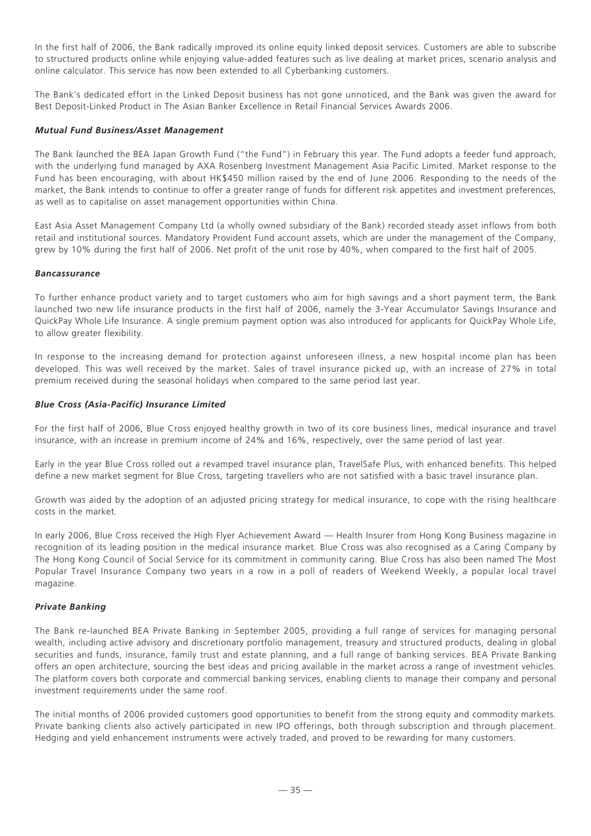In the first half of 2006, the Bank radically improved its online equity linked deposit services. Customers are able to subscribe to structured products online while enjoying value-added features such as live dealing at market prices, scenario analysis and online calculator. This service has now been extended to all Cyberbanking customers.

The Bank's dedicated effort in the Linked Deposit business has not gone unnoticed, and the Bank was given the award for Best Deposit-Linked Product in The Asian Banker Excellence in Retail Financial Services Awards 2006.

# *Mutual Fund Business/Asset Management*

The Bank launched the BEA Japan Growth Fund ("the Fund") in February this year. The Fund adopts a feeder fund approach, with the underlying fund managed by AXA Rosenberg Investment Management Asia Pacific Limited. Market response to the Fund has been encouraging, with about HK\$450 million raised by the end of June 2006. Responding to the needs of the market, the Bank intends to continue to offer a greater range of funds for different risk appetites and investment preferences, as well as to capitalise on asset management opportunities within China.

East Asia Asset Management Company Ltd (a wholly owned subsidiary of the Bank) recorded steady asset inflows from both retail and institutional sources. Mandatory Provident Fund account assets, which are under the management of the Company, grew by 10% during the first half of 2006. Net profit of the unit rose by 40%, when compared to the first half of 2005.

#### *Bancassurance*

To further enhance product variety and to target customers who aim for high savings and a short payment term, the Bank launched two new life insurance products in the first half of 2006, namely the 3-Year Accumulator Savings Insurance and QuickPay Whole Life Insurance. A single premium payment option was also introduced for applicants for QuickPay Whole Life, to allow greater flexibility.

In response to the increasing demand for protection against unforeseen illness, a new hospital income plan has been developed. This was well received by the market. Sales of travel insurance picked up, with an increase of 27% in total premium received during the seasonal holidays when compared to the same period last year.

# *Blue Cross (Asia-Pacific) Insurance Limited*

For the first half of 2006, Blue Cross enjoyed healthy growth in two of its core business lines, medical insurance and travel insurance, with an increase in premium income of 24% and 16%, respectively, over the same period of last year.

Early in the year Blue Cross rolled out a revamped travel insurance plan, TravelSafe Plus, with enhanced benefits. This helped define a new market segment for Blue Cross, targeting travellers who are not satisfied with a basic travel insurance plan.

Growth was aided by the adoption of an adjusted pricing strategy for medical insurance, to cope with the rising healthcare costs in the market.

In early 2006, Blue Cross received the High Flyer Achievement Award — Health Insurer from Hong Kong Business magazine in recognition of its leading position in the medical insurance market. Blue Cross was also recognised as a Caring Company by The Hong Kong Council of Social Service for its commitment in community caring. Blue Cross has also been named The Most Popular Travel Insurance Company two years in a row in a poll of readers of Weekend Weekly, a popular local travel magazine.

#### *Private Banking*

The Bank re-launched BEA Private Banking in September 2005, providing a full range of services for managing personal wealth, including active advisory and discretionary portfolio management, treasury and structured products, dealing in global securities and funds, insurance, family trust and estate planning, and a full range of banking services. BEA Private Banking offers an open architecture, sourcing the best ideas and pricing available in the market across a range of investment vehicles. The platform covers both corporate and commercial banking services, enabling clients to manage their company and personal investment requirements under the same roof.

The initial months of 2006 provided customers good opportunities to benefit from the strong equity and commodity markets. Private banking clients also actively participated in new IPO offerings, both through subscription and through placement. Hedging and yield enhancement instruments were actively traded, and proved to be rewarding for many customers.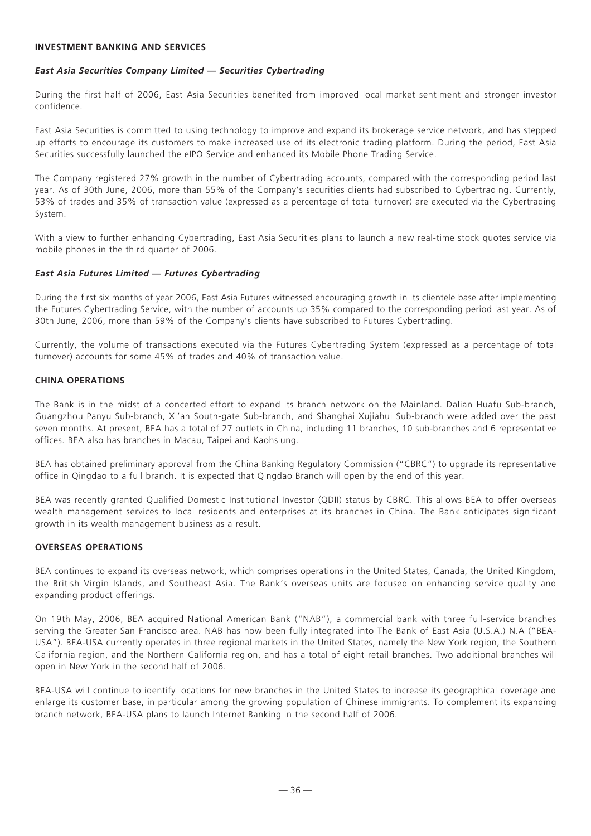#### **INVESTMENT BANKING AND SERVICES**

#### *East Asia Securities Company Limited — Securities Cybertrading*

During the first half of 2006, East Asia Securities benefited from improved local market sentiment and stronger investor confidence.

East Asia Securities is committed to using technology to improve and expand its brokerage service network, and has stepped up efforts to encourage its customers to make increased use of its electronic trading platform. During the period, East Asia Securities successfully launched the eIPO Service and enhanced its Mobile Phone Trading Service.

The Company registered 27% growth in the number of Cybertrading accounts, compared with the corresponding period last year. As of 30th June, 2006, more than 55% of the Company's securities clients had subscribed to Cybertrading. Currently, 53% of trades and 35% of transaction value (expressed as a percentage of total turnover) are executed via the Cybertrading System.

With a view to further enhancing Cybertrading, East Asia Securities plans to launch a new real-time stock quotes service via mobile phones in the third quarter of 2006.

#### *East Asia Futures Limited — Futures Cybertrading*

During the first six months of year 2006, East Asia Futures witnessed encouraging growth in its clientele base after implementing the Futures Cybertrading Service, with the number of accounts up 35% compared to the corresponding period last year. As of 30th June, 2006, more than 59% of the Company's clients have subscribed to Futures Cybertrading.

Currently, the volume of transactions executed via the Futures Cybertrading System (expressed as a percentage of total turnover) accounts for some 45% of trades and 40% of transaction value.

#### **CHINA OPERATIONS**

The Bank is in the midst of a concerted effort to expand its branch network on the Mainland. Dalian Huafu Sub-branch, Guangzhou Panyu Sub-branch, Xi'an South-gate Sub-branch, and Shanghai Xujiahui Sub-branch were added over the past seven months. At present, BEA has a total of 27 outlets in China, including 11 branches, 10 sub-branches and 6 representative offices. BEA also has branches in Macau, Taipei and Kaohsiung.

BEA has obtained preliminary approval from the China Banking Regulatory Commission ("CBRC") to upgrade its representative office in Qingdao to a full branch. It is expected that Qingdao Branch will open by the end of this year.

BEA was recently granted Qualified Domestic Institutional Investor (QDII) status by CBRC. This allows BEA to offer overseas wealth management services to local residents and enterprises at its branches in China. The Bank anticipates significant growth in its wealth management business as a result.

#### **OVERSEAS OPERATIONS**

BEA continues to expand its overseas network, which comprises operations in the United States, Canada, the United Kingdom, the British Virgin Islands, and Southeast Asia. The Bank's overseas units are focused on enhancing service quality and expanding product offerings.

On 19th May, 2006, BEA acquired National American Bank ("NAB"), a commercial bank with three full-service branches serving the Greater San Francisco area. NAB has now been fully integrated into The Bank of East Asia (U.S.A.) N.A ("BEA-USA"). BEA-USA currently operates in three regional markets in the United States, namely the New York region, the Southern California region, and the Northern California region, and has a total of eight retail branches. Two additional branches will open in New York in the second half of 2006.

BEA-USA will continue to identify locations for new branches in the United States to increase its geographical coverage and enlarge its customer base, in particular among the growing population of Chinese immigrants. To complement its expanding branch network, BEA-USA plans to launch Internet Banking in the second half of 2006.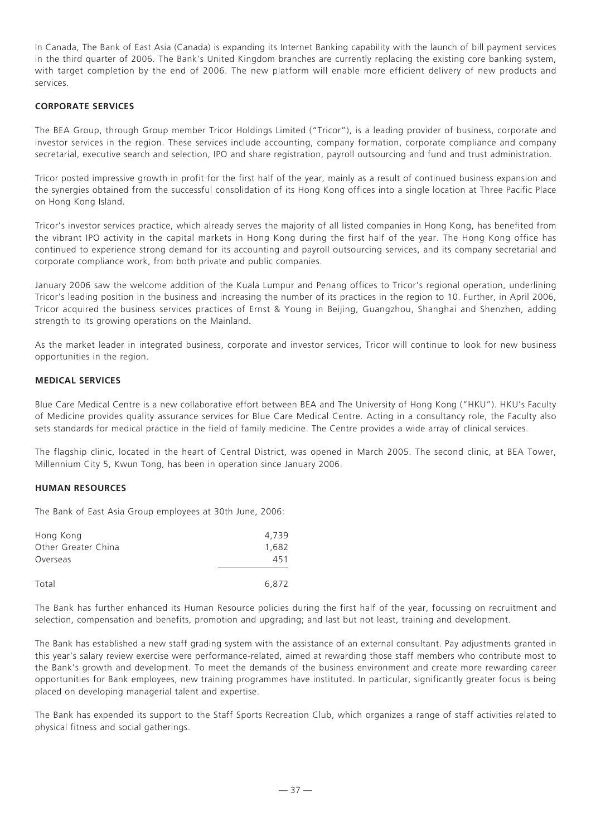In Canada, The Bank of East Asia (Canada) is expanding its Internet Banking capability with the launch of bill payment services in the third quarter of 2006. The Bank's United Kingdom branches are currently replacing the existing core banking system, with target completion by the end of 2006. The new platform will enable more efficient delivery of new products and services.

#### **CORPORATE SERVICES**

The BEA Group, through Group member Tricor Holdings Limited ("Tricor"), is a leading provider of business, corporate and investor services in the region. These services include accounting, company formation, corporate compliance and company secretarial, executive search and selection, IPO and share registration, payroll outsourcing and fund and trust administration.

Tricor posted impressive growth in profit for the first half of the year, mainly as a result of continued business expansion and the synergies obtained from the successful consolidation of its Hong Kong offices into a single location at Three Pacific Place on Hong Kong Island.

Tricor's investor services practice, which already serves the majority of all listed companies in Hong Kong, has benefited from the vibrant IPO activity in the capital markets in Hong Kong during the first half of the year. The Hong Kong office has continued to experience strong demand for its accounting and payroll outsourcing services, and its company secretarial and corporate compliance work, from both private and public companies.

January 2006 saw the welcome addition of the Kuala Lumpur and Penang offices to Tricor's regional operation, underlining Tricor's leading position in the business and increasing the number of its practices in the region to 10. Further, in April 2006, Tricor acquired the business services practices of Ernst & Young in Beijing, Guangzhou, Shanghai and Shenzhen, adding strength to its growing operations on the Mainland.

As the market leader in integrated business, corporate and investor services, Tricor will continue to look for new business opportunities in the region.

# **MEDICAL SERVICES**

Blue Care Medical Centre is a new collaborative effort between BEA and The University of Hong Kong ("HKU"). HKU's Faculty of Medicine provides quality assurance services for Blue Care Medical Centre. Acting in a consultancy role, the Faculty also sets standards for medical practice in the field of family medicine. The Centre provides a wide array of clinical services.

The flagship clinic, located in the heart of Central District, was opened in March 2005. The second clinic, at BEA Tower, Millennium City 5, Kwun Tong, has been in operation since January 2006.

#### **HUMAN RESOURCES**

The Bank of East Asia Group employees at 30th June, 2006:

| Hong Kong           | 4.739 |
|---------------------|-------|
| Other Greater China | 1.682 |
| Overseas            | 451   |
|                     |       |
| Total               | 6.872 |

The Bank has further enhanced its Human Resource policies during the first half of the year, focussing on recruitment and selection, compensation and benefits, promotion and upgrading; and last but not least, training and development.

The Bank has established a new staff grading system with the assistance of an external consultant. Pay adjustments granted in this year's salary review exercise were performance-related, aimed at rewarding those staff members who contribute most to the Bank's growth and development. To meet the demands of the business environment and create more rewarding career opportunities for Bank employees, new training programmes have instituted. In particular, significantly greater focus is being placed on developing managerial talent and expertise.

The Bank has expended its support to the Staff Sports Recreation Club, which organizes a range of staff activities related to physical fitness and social gatherings.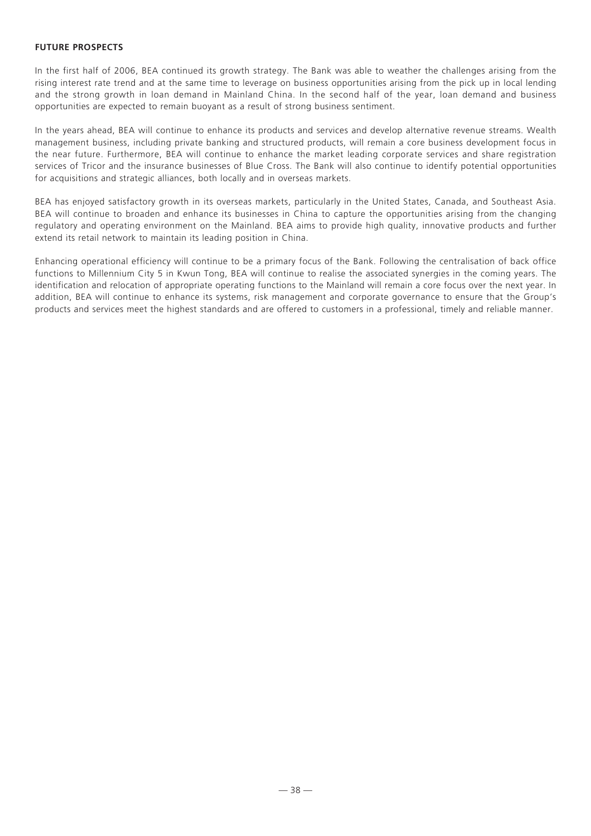# **FUTURE PROSPECTS**

In the first half of 2006, BEA continued its growth strategy. The Bank was able to weather the challenges arising from the rising interest rate trend and at the same time to leverage on business opportunities arising from the pick up in local lending and the strong growth in loan demand in Mainland China. In the second half of the year, loan demand and business opportunities are expected to remain buoyant as a result of strong business sentiment.

In the years ahead, BEA will continue to enhance its products and services and develop alternative revenue streams. Wealth management business, including private banking and structured products, will remain a core business development focus in the near future. Furthermore, BEA will continue to enhance the market leading corporate services and share registration services of Tricor and the insurance businesses of Blue Cross. The Bank will also continue to identify potential opportunities for acquisitions and strategic alliances, both locally and in overseas markets.

BEA has enjoyed satisfactory growth in its overseas markets, particularly in the United States, Canada, and Southeast Asia. BEA will continue to broaden and enhance its businesses in China to capture the opportunities arising from the changing regulatory and operating environment on the Mainland. BEA aims to provide high quality, innovative products and further extend its retail network to maintain its leading position in China.

Enhancing operational efficiency will continue to be a primary focus of the Bank. Following the centralisation of back office functions to Millennium City 5 in Kwun Tong, BEA will continue to realise the associated synergies in the coming years. The identification and relocation of appropriate operating functions to the Mainland will remain a core focus over the next year. In addition, BEA will continue to enhance its systems, risk management and corporate governance to ensure that the Group's products and services meet the highest standards and are offered to customers in a professional, timely and reliable manner.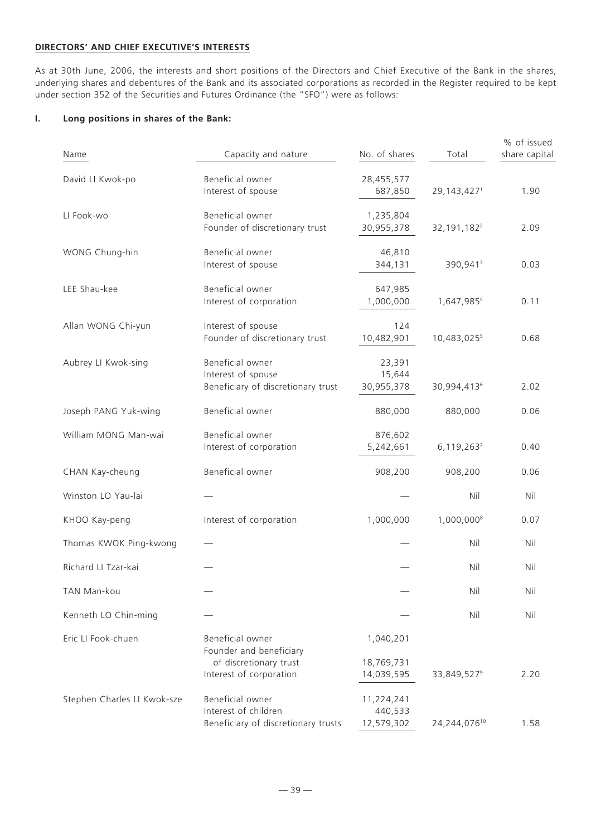# **DIRECTORS' AND CHIEF EXECUTIVE'S INTERESTS**

As at 30th June, 2006, the interests and short positions of the Directors and Chief Executive of the Bank in the shares, underlying shares and debentures of the Bank and its associated corporations as recorded in the Register required to be kept under section 352 of the Securities and Futures Ordinance (the "SFO") were as follows:

# **I. Long positions in shares of the Bank:**

| Name                        | Capacity and nature                                                             | No. of shares                       | Total                     | % of issued<br>share capital |
|-----------------------------|---------------------------------------------------------------------------------|-------------------------------------|---------------------------|------------------------------|
| David LI Kwok-po            | Beneficial owner<br>Interest of spouse                                          | 28,455,577<br>687,850               | 29, 143, 4271             | 1.90                         |
| LI Fook-wo                  | Beneficial owner<br>Founder of discretionary trust                              | 1,235,804<br>30,955,378             | 32, 191, 182 <sup>2</sup> | 2.09                         |
| WONG Chung-hin              | Beneficial owner<br>Interest of spouse                                          | 46,810<br>344,131                   | 390,941 <sup>3</sup>      | 0.03                         |
| LEE Shau-kee                | Beneficial owner<br>Interest of corporation                                     | 647,985<br>1,000,000                | 1,647,9854                | 0.11                         |
| Allan WONG Chi-yun          | Interest of spouse<br>Founder of discretionary trust                            | 124<br>10,482,901                   | 10,483,0255               | 0.68                         |
| Aubrey LI Kwok-sing         | Beneficial owner<br>Interest of spouse<br>Beneficiary of discretionary trust    | 23,391<br>15,644<br>30,955,378      | 30,994,4136               | 2.02                         |
| Joseph PANG Yuk-wing        | Beneficial owner                                                                | 880,000                             | 880,000                   | 0.06                         |
| William MONG Man-wai        | Beneficial owner<br>Interest of corporation                                     | 876,602<br>5,242,661                | 6,119,2637                | 0.40                         |
| CHAN Kay-cheung             | Beneficial owner                                                                | 908,200                             | 908,200                   | 0.06                         |
| Winston LO Yau-lai          |                                                                                 |                                     | Nil                       | Nil                          |
| KHOO Kay-peng               | Interest of corporation                                                         | 1,000,000                           | 1,000,0008                | 0.07                         |
| Thomas KWOK Ping-kwong      |                                                                                 |                                     | Nil                       | Nil                          |
| Richard LI Tzar-kai         |                                                                                 |                                     | Nil                       | Nil                          |
| TAN Man-kou                 |                                                                                 |                                     | Nil                       | Nil                          |
| Kenneth LO Chin-ming        |                                                                                 |                                     | Nil                       | Nil                          |
| Eric LI Fook-chuen          | Beneficial owner<br>Founder and beneficiary<br>of discretionary trust           | 1,040,201<br>18,769,731             |                           |                              |
|                             | Interest of corporation                                                         | 14,039,595                          | 33,849,527 <sup>9</sup>   | 2.20                         |
| Stephen Charles LI Kwok-sze | Beneficial owner<br>Interest of children<br>Beneficiary of discretionary trusts | 11,224,241<br>440,533<br>12,579,302 | 24,244,07610              | 1.58                         |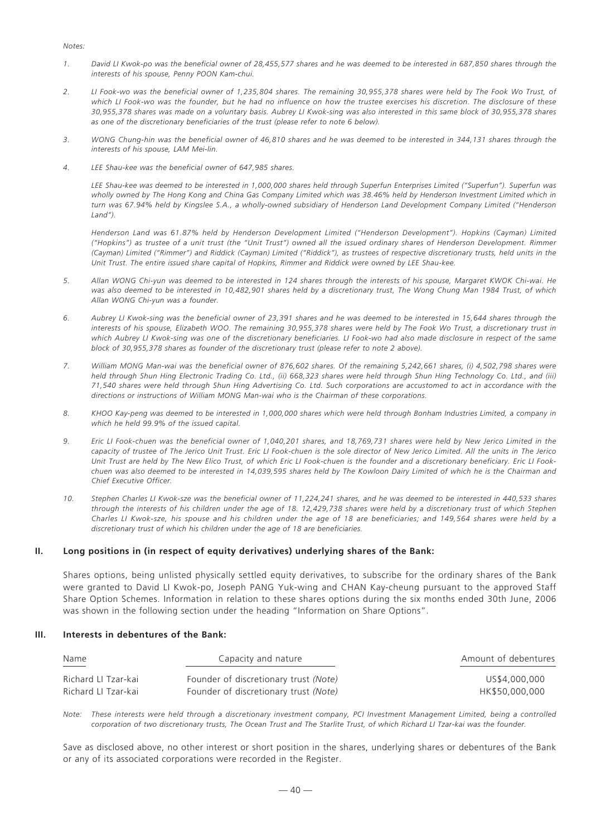#### *Notes:*

- *1. David LI Kwok-po was the beneficial owner of 28,455,577 shares and he was deemed to be interested in 687,850 shares through the interests of his spouse, Penny POON Kam-chui.*
- *2. LI Fook-wo was the beneficial owner of 1,235,804 shares. The remaining 30,955,378 shares were held by The Fook Wo Trust, of which LI Fook-wo was the founder, but he had no influence on how the trustee exercises his discretion. The disclosure of these 30,955,378 shares was made on a voluntary basis. Aubrey LI Kwok-sing was also interested in this same block of 30,955,378 shares as one of the discretionary beneficiaries of the trust (please refer to note 6 below).*
- *3. WONG Chung-hin was the beneficial owner of 46,810 shares and he was deemed to be interested in 344,131 shares through the interests of his spouse, LAM Mei-lin.*
- *4. LEE Shau-kee was the beneficial owner of 647,985 shares.*

*LEE Shau-kee was deemed to be interested in 1,000,000 shares held through Superfun Enterprises Limited ("Superfun"). Superfun was wholly owned by The Hong Kong and China Gas Company Limited which was 38.46% held by Henderson Investment Limited which in turn was 67.94% held by Kingslee S.A., a wholly-owned subsidiary of Henderson Land Development Company Limited ("Henderson Land").*

*Henderson Land was 61.87% held by Henderson Development Limited ("Henderson Development"). Hopkins (Cayman) Limited ("Hopkins") as trustee of a unit trust (the "Unit Trust") owned all the issued ordinary shares of Henderson Development. Rimmer (Cayman) Limited ("Rimmer") and Riddick (Cayman) Limited ("Riddick"), as trustees of respective discretionary trusts, held units in the Unit Trust. The entire issued share capital of Hopkins, Rimmer and Riddick were owned by LEE Shau-kee.*

- *5. Allan WONG Chi-yun was deemed to be interested in 124 shares through the interests of his spouse, Margaret KWOK Chi-wai. He was also deemed to be interested in 10,482,901 shares held by a discretionary trust, The Wong Chung Man 1984 Trust, of which Allan WONG Chi-yun was a founder.*
- *6. Aubrey LI Kwok-sing was the beneficial owner of 23,391 shares and he was deemed to be interested in 15,644 shares through the interests of his spouse, Elizabeth WOO. The remaining 30,955,378 shares were held by The Fook Wo Trust, a discretionary trust in which Aubrey LI Kwok-sing was one of the discretionary beneficiaries. LI Fook-wo had also made disclosure in respect of the same block of 30,955,378 shares as founder of the discretionary trust (please refer to note 2 above).*
- *7. William MONG Man-wai was the beneficial owner of 876,602 shares. Of the remaining 5,242,661 shares, (i) 4,502,798 shares were held through Shun Hing Electronic Trading Co. Ltd., (ii) 668,323 shares were held through Shun Hing Technology Co. Ltd., and (iii) 71,540 shares were held through Shun Hing Advertising Co. Ltd. Such corporations are accustomed to act in accordance with the directions or instructions of William MONG Man-wai who is the Chairman of these corporations.*
- *8. KHOO Kay-peng was deemed to be interested in 1,000,000 shares which were held through Bonham Industries Limited, a company in which he held 99.9% of the issued capital.*
- *9. Eric LI Fook-chuen was the beneficial owner of 1,040,201 shares, and 18,769,731 shares were held by New Jerico Limited in the capacity of trustee of The Jerico Unit Trust. Eric LI Fook-chuen is the sole director of New Jerico Limited. All the units in The Jerico Unit Trust are held by The New Elico Trust, of which Eric LI Fook-chuen is the founder and a discretionary beneficiary. Eric LI Fookchuen was also deemed to be interested in 14,039,595 shares held by The Kowloon Dairy Limited of which he is the Chairman and Chief Executive Officer.*
- *10. Stephen Charles LI Kwok-sze was the beneficial owner of 11,224,241 shares, and he was deemed to be interested in 440,533 shares through the interests of his children under the age of 18. 12,429,738 shares were held by a discretionary trust of which Stephen Charles LI Kwok-sze, his spouse and his children under the age of 18 are beneficiaries; and 149,564 shares were held by a discretionary trust of which his children under the age of 18 are beneficiaries.*

#### **II. Long positions in (in respect of equity derivatives) underlying shares of the Bank:**

Shares options, being unlisted physically settled equity derivatives, to subscribe for the ordinary shares of the Bank were granted to David LI Kwok-po, Joseph PANG Yuk-wing and CHAN Kay-cheung pursuant to the approved Staff Share Option Schemes. Information in relation to these shares options during the six months ended 30th June, 2006 was shown in the following section under the heading "Information on Share Options".

#### **III. Interests in debentures of the Bank:**

| Name<br>$\frac{1}{2} \left( \frac{1}{2} \right) \left( \frac{1}{2} \right) \left( \frac{1}{2} \right) \left( \frac{1}{2} \right) \left( \frac{1}{2} \right) \left( \frac{1}{2} \right) \left( \frac{1}{2} \right) \left( \frac{1}{2} \right) \left( \frac{1}{2} \right) \left( \frac{1}{2} \right) \left( \frac{1}{2} \right) \left( \frac{1}{2} \right) \left( \frac{1}{2} \right) \left( \frac{1}{2} \right) \left( \frac{1}{2} \right) \left( \frac{1}{2} \right) \left( \frac$ | Capacity and nature                   | Amount of debentures |  |  |
|------------------------------------------------------------------------------------------------------------------------------------------------------------------------------------------------------------------------------------------------------------------------------------------------------------------------------------------------------------------------------------------------------------------------------------------------------------------------------------|---------------------------------------|----------------------|--|--|
| Richard LI Tzar-kai                                                                                                                                                                                                                                                                                                                                                                                                                                                                | Founder of discretionary trust (Note) | US\$4,000,000        |  |  |
| Richard LI Tzar-kai                                                                                                                                                                                                                                                                                                                                                                                                                                                                | Founder of discretionary trust (Note) | HK\$50,000,000       |  |  |

*Note: These interests were held through a discretionary investment company, PCI Investment Management Limited, being a controlled corporation of two discretionary trusts, The Ocean Trust and The Starlite Trust, of which Richard LI Tzar-kai was the founder.*

Save as disclosed above, no other interest or short position in the shares, underlying shares or debentures of the Bank or any of its associated corporations were recorded in the Register.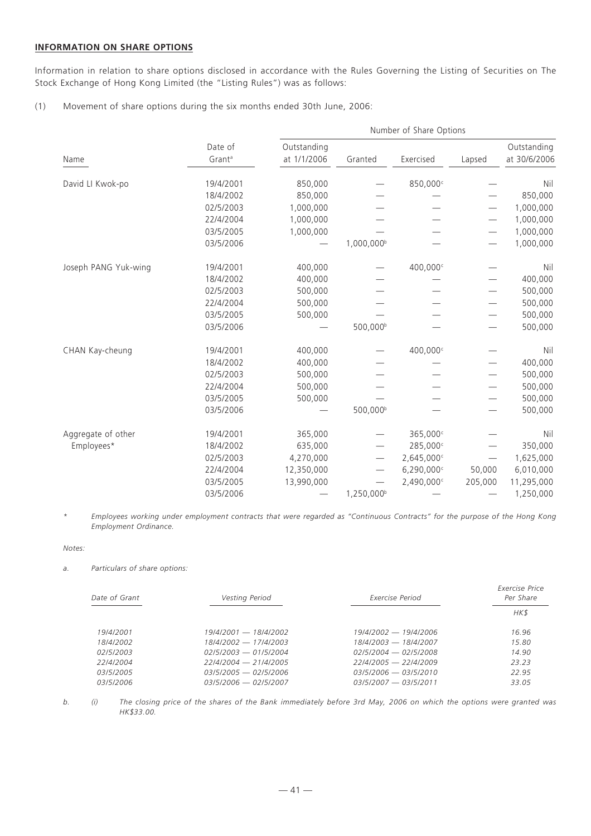# **INFORMATION ON SHARE OPTIONS**

Information in relation to share options disclosed in accordance with the Rules Governing the Listing of Securities on The Stock Exchange of Hong Kong Limited (the "Listing Rules") was as follows:

(1) Movement of share options during the six months ended 30th June, 2006:

|                      |                               | Number of Share Options    |                          |                      |                          |                             |  |
|----------------------|-------------------------------|----------------------------|--------------------------|----------------------|--------------------------|-----------------------------|--|
| Name                 | Date of<br>Grant <sup>a</sup> | Outstanding<br>at 1/1/2006 | Granted                  | Exercised            | Lapsed                   | Outstanding<br>at 30/6/2006 |  |
| David LI Kwok-po     | 19/4/2001                     | 850,000                    |                          | 850,000c             |                          | Nil                         |  |
|                      | 18/4/2002                     | 850,000                    |                          |                      |                          | 850,000                     |  |
|                      | 02/5/2003                     | 1,000,000                  |                          |                      |                          | 1,000,000                   |  |
|                      | 22/4/2004                     | 1,000,000                  |                          |                      |                          | 1,000,000                   |  |
|                      | 03/5/2005                     | 1,000,000                  |                          |                      |                          | 1,000,000                   |  |
|                      | 03/5/2006                     |                            | 1,000,000 <sup>b</sup>   |                      |                          | 1,000,000                   |  |
| Joseph PANG Yuk-wing | 19/4/2001                     | 400,000                    |                          | 400,000 <sup>c</sup> |                          | Nil                         |  |
|                      | 18/4/2002                     | 400,000                    |                          |                      |                          | 400,000                     |  |
|                      | 02/5/2003                     | 500,000                    |                          |                      |                          | 500,000                     |  |
|                      | 22/4/2004                     | 500,000                    |                          |                      |                          | 500,000                     |  |
|                      | 03/5/2005                     | 500,000                    |                          |                      |                          | 500,000                     |  |
|                      | 03/5/2006                     |                            | 500,000 <sup>b</sup>     |                      | $\overline{\phantom{0}}$ | 500,000                     |  |
| CHAN Kay-cheung      | 19/4/2001                     | 400,000                    |                          | 400,000 <sup>c</sup> |                          | Nil                         |  |
|                      | 18/4/2002                     | 400,000                    |                          |                      |                          | 400,000                     |  |
|                      | 02/5/2003                     | 500,000                    |                          |                      |                          | 500,000                     |  |
|                      | 22/4/2004                     | 500,000                    |                          |                      |                          | 500,000                     |  |
|                      | 03/5/2005                     | 500,000                    |                          |                      |                          | 500,000                     |  |
|                      | 03/5/2006                     |                            | 500,000 <sup>b</sup>     |                      |                          | 500,000                     |  |
| Aggregate of other   | 19/4/2001                     | 365,000                    |                          | 365,000c             |                          | Nil                         |  |
| Employees*           | 18/4/2002                     | 635,000                    |                          | 285,000c             |                          | 350,000                     |  |
|                      | 02/5/2003                     | 4,270,000                  |                          | 2,645,000            |                          | 1,625,000                   |  |
|                      | 22/4/2004                     | 12,350,000                 |                          | 6,290,000c           | 50,000                   | 6,010,000                   |  |
|                      | 03/5/2005                     | 13,990,000                 | $\overline{\phantom{0}}$ | 2,490,000            | 205,000                  | 11,295,000                  |  |
|                      | 03/5/2006                     |                            | 1,250,000 <sup>b</sup>   |                      |                          | 1,250,000                   |  |

*\* Employees working under employment contracts that were regarded as "Continuous Contracts" for the purpose of the Hong Kong Employment Ordinance.*

#### *Notes:*

#### *a. Particulars of share options:*

| Date of Grant    | Vesting Period          | Exercise Period         | Exercise Price<br>Per Share |
|------------------|-------------------------|-------------------------|-----------------------------|
|                  |                         |                         | HK\$                        |
| 19/4/2001        | $19/4/2001 - 18/4/2002$ | 19/4/2002 - 19/4/2006   | 16.96                       |
| 18/4/2002        | $18/4/2002 - 17/4/2003$ | 18/4/2003 - 18/4/2007   | 15.80                       |
| 02/5/2003        | $02/5/2003 - 01/5/2004$ | $02/5/2004 - 02/5/2008$ | 14.90                       |
| 22/4/2004        | $22/4/2004 - 21/4/2005$ | $22/4/2005 - 22/4/2009$ | 23.23                       |
| 03/5/2005        | 03/5/2005 — 02/5/2006   | 03/5/2006 — 03/5/2010   | 2295                        |
| <i>03/5/2006</i> | $03/5/2006 - 02/5/2007$ | $03/5/2007 - 03/5/2011$ | 33.05                       |

*b. (i) The closing price of the shares of the Bank immediately before 3rd May, 2006 on which the options were granted was HK\$33.00.*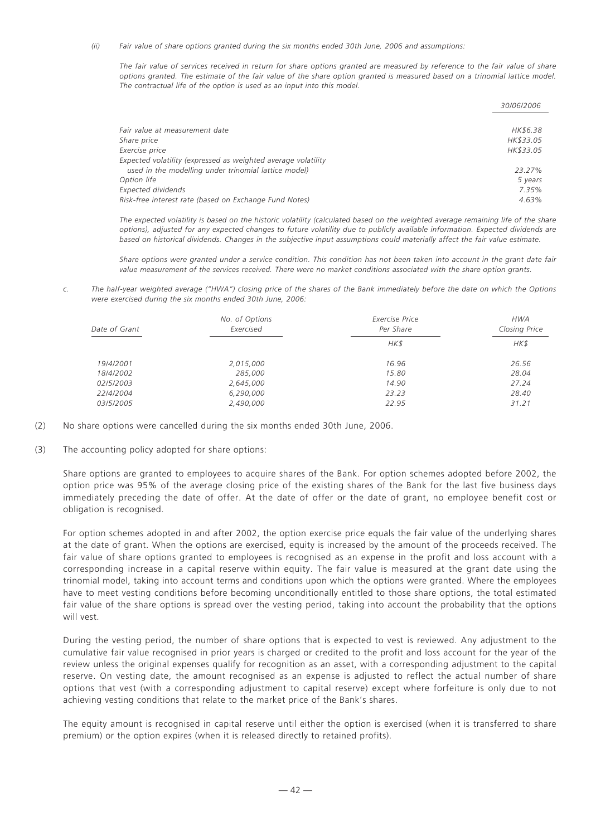*(ii) Fair value of share options granted during the six months ended 30th June, 2006 and assumptions:*

*The fair value of services received in return for share options granted are measured by reference to the fair value of share options granted. The estimate of the fair value of the share option granted is measured based on a trinomial lattice model. The contractual life of the option is used as an input into this model.*

|                                                               | 30/06/2006 |
|---------------------------------------------------------------|------------|
|                                                               |            |
| Fair value at measurement date                                | HK\$6.38   |
| Share price                                                   | HK\$33.05  |
| Exercise price                                                | HK\$33.05  |
| Expected volatility (expressed as weighted average volatility |            |
| used in the modelling under trinomial lattice model)          | 23.27%     |
| Option life                                                   | 5 years    |
| <b>Expected dividends</b>                                     | 7.35%      |
| Risk-free interest rate (based on Exchange Fund Notes)        | 4.63%      |

*The expected volatility is based on the historic volatility (calculated based on the weighted average remaining life of the share options), adjusted for any expected changes to future volatility due to publicly available information. Expected dividends are based on historical dividends. Changes in the subjective input assumptions could materially affect the fair value estimate.*

*Share options were granted under a service condition. This condition has not been taken into account in the grant date fair value measurement of the services received. There were no market conditions associated with the share option grants.*

*c. The half-year weighted average ("HWA") closing price of the shares of the Bank immediately before the date on which the Options were exercised during the six months ended 30th June, 2006:*

| No. of Options<br>Exercised<br>Date of Grant |           | Exercise Price<br>Per Share | <b>HWA</b><br>Closing Price |  |
|----------------------------------------------|-----------|-----------------------------|-----------------------------|--|
|                                              |           | HK\$                        | HK\$                        |  |
| 19/4/2001                                    | 2,015,000 | 16.96                       | 26.56                       |  |
| 18/4/2002                                    | 285,000   | 15.80                       | 28.04                       |  |
| 02/5/2003                                    | 2,645,000 | 14.90                       | 27.24                       |  |
| 22/4/2004                                    | 6,290,000 | 23.23                       | 28.40                       |  |
| 03/5/2005                                    | 2,490,000 | 22.95                       | 31.21                       |  |

- (2) No share options were cancelled during the six months ended 30th June, 2006.
- (3) The accounting policy adopted for share options:

Share options are granted to employees to acquire shares of the Bank. For option schemes adopted before 2002, the option price was 95% of the average closing price of the existing shares of the Bank for the last five business days immediately preceding the date of offer. At the date of offer or the date of grant, no employee benefit cost or obligation is recognised.

For option schemes adopted in and after 2002, the option exercise price equals the fair value of the underlying shares at the date of grant. When the options are exercised, equity is increased by the amount of the proceeds received. The fair value of share options granted to employees is recognised as an expense in the profit and loss account with a corresponding increase in a capital reserve within equity. The fair value is measured at the grant date using the trinomial model, taking into account terms and conditions upon which the options were granted. Where the employees have to meet vesting conditions before becoming unconditionally entitled to those share options, the total estimated fair value of the share options is spread over the vesting period, taking into account the probability that the options will vest.

During the vesting period, the number of share options that is expected to vest is reviewed. Any adjustment to the cumulative fair value recognised in prior years is charged or credited to the profit and loss account for the year of the review unless the original expenses qualify for recognition as an asset, with a corresponding adjustment to the capital reserve. On vesting date, the amount recognised as an expense is adjusted to reflect the actual number of share options that vest (with a corresponding adjustment to capital reserve) except where forfeiture is only due to not achieving vesting conditions that relate to the market price of the Bank's shares.

The equity amount is recognised in capital reserve until either the option is exercised (when it is transferred to share premium) or the option expires (when it is released directly to retained profits).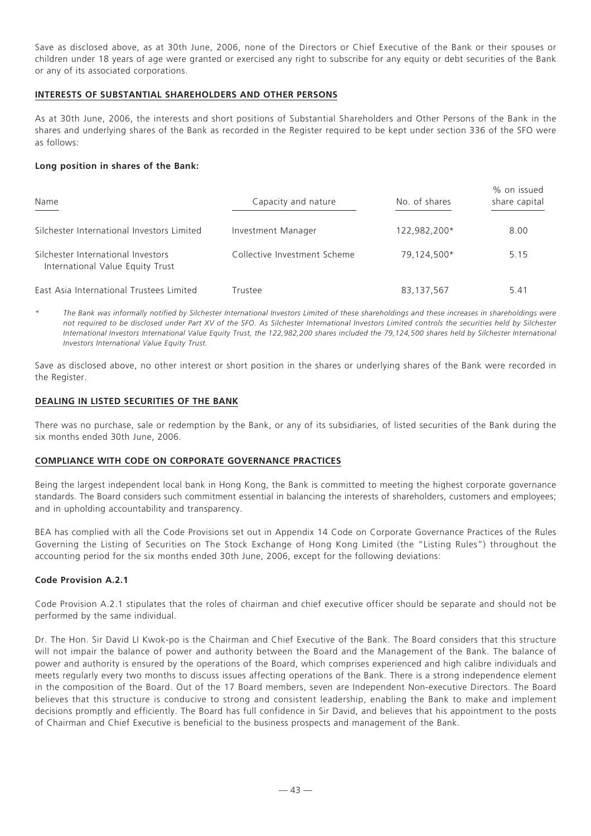Save as disclosed above, as at 30th June, 2006, none of the Directors or Chief Executive of the Bank or their spouses or children under 18 years of age were granted or exercised any right to subscribe for any equity or debt securities of the Bank or any of its associated corporations.

#### **INTERESTS OF SUBSTANTIAL SHAREHOLDERS AND OTHER PERSONS**

As at 30th June, 2006, the interests and short positions of Substantial Shareholders and Other Persons of the Bank in the shares and underlying shares of the Bank as recorded in the Register required to be kept under section 336 of the SFO were as follows:

# **Long position in shares of the Bank:**

| Name                                                                   | Capacity and nature          | No. of shares | % on issued<br>share capital |
|------------------------------------------------------------------------|------------------------------|---------------|------------------------------|
| Silchester International Investors Limited                             | Investment Manager           | 122,982,200*  | 8.00                         |
| Silchester International Investors<br>International Value Equity Trust | Collective Investment Scheme | 79,124,500*   | 5.15                         |
| East Asia International Trustees Limited                               | Trustee                      | 83,137,567    | 5.41                         |

*\* The Bank was informally notified by Silchester International Investors Limited of these shareholdings and these increases in shareholdings were not required to be disclosed under Part XV of the SFO. As Silchester International Investors Limited controls the securities held by Silchester International Investors International Value Equity Trust, the 122,982,200 shares included the 79,124,500 shares held by Silchester International Investors International Value Equity Trust.*

Save as disclosed above, no other interest or short position in the shares or underlying shares of the Bank were recorded in the Register.

# **DEALING IN LISTED SECURITIES OF THE BANK**

There was no purchase, sale or redemption by the Bank, or any of its subsidiaries, of listed securities of the Bank during the six months ended 30th June, 2006.

#### **COMPLIANCE WITH CODE ON CORPORATE GOVERNANCE PRACTICES**

Being the largest independent local bank in Hong Kong, the Bank is committed to meeting the highest corporate governance standards. The Board considers such commitment essential in balancing the interests of shareholders, customers and employees; and in upholding accountability and transparency.

BEA has complied with all the Code Provisions set out in Appendix 14 Code on Corporate Governance Practices of the Rules Governing the Listing of Securities on The Stock Exchange of Hong Kong Limited (the "Listing Rules") throughout the accounting period for the six months ended 30th June, 2006, except for the following deviations:

# **Code Provision A.2.1**

Code Provision A.2.1 stipulates that the roles of chairman and chief executive officer should be separate and should not be performed by the same individual.

Dr. The Hon. Sir David LI Kwok-po is the Chairman and Chief Executive of the Bank. The Board considers that this structure will not impair the balance of power and authority between the Board and the Management of the Bank. The balance of power and authority is ensured by the operations of the Board, which comprises experienced and high calibre individuals and meets regularly every two months to discuss issues affecting operations of the Bank. There is a strong independence element in the composition of the Board. Out of the 17 Board members, seven are Independent Non-executive Directors. The Board believes that this structure is conducive to strong and consistent leadership, enabling the Bank to make and implement decisions promptly and efficiently. The Board has full confidence in Sir David, and believes that his appointment to the posts of Chairman and Chief Executive is beneficial to the business prospects and management of the Bank.